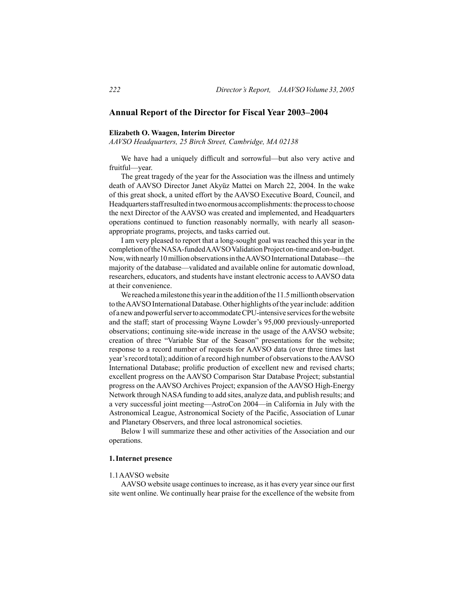# **Annual Report of the Director for Fiscal Year 2003–2004**

# **Elizabeth O. Waagen, Interim Director**

*AAVSO Headquarters, 25 Birch Street, Cambridge, MA 02138*

 We have had a uniquely difficult and sorrowful—but also very active and fruitful—year.

 The great tragedy of the year for the Association was the illness and untimely death of AAVSO Director Janet Akyüz Mattei on March 22, 2004. In the wake of this great shock, a united effort by the AAVSO Executive Board, Council, and Headquarters staff resulted in two enormous accomplishments: the process to choose the next Director of the AAVSO was created and implemented, and Headquarters operations continued to function reasonably normally, with nearly all seasonappropriate programs, projects, and tasks carried out.

 I am very pleased to report that a long-sought goal was reached this year in the completion of the NASA-funded AAVSO Validation Project on-time and on-budget. Now,withnearly10millionobservationsintheAAVSOInternationalDatabase—the majority of the database—validated and available online for automatic download, researchers, educators, and students have instant electronic access to AAVSO data at their convenience.

We reached a milestone this year in the addition of the 11.5 millionth observation to the AAVSO International Database. Other highlights of the year include: addition of anewandpowerfulservertoaccommodateCPU-intensive servicesforthewebsite and the staff; start of processing Wayne Lowder's 95,000 previously-unreported observations; continuing site-wide increase in the usage of the AAVSO website; creation of three "Variable Star of the Season" presentations for the website; response to a record number of requests for AAVSO data (over three times last year's record total); addition of a record high number of observations to the AAVSO International Database; prolific production of excellent new and revised charts; excellent progress on the AAVSO Comparison Star Database Project; substantial progress on the AAVSO Archives Project; expansion of the AAVSO High-Energy Network through NASA funding to add sites, analyze data, and publish results; and a very successful joint meeting—AstroCon 2004—in California in July with the Astronomical League, Astronomical Society of the Pacific, Association of Lunar and Planetary Observers, and three local astronomical societies.

 Below I will summarize these and other activities of the Association and our operations.

## **1.Internet presence**

## 1.1AAVSO website

AAVSO website usage continues to increase, as it has every year since our first site went online. We continually hear praise for the excellence of the website from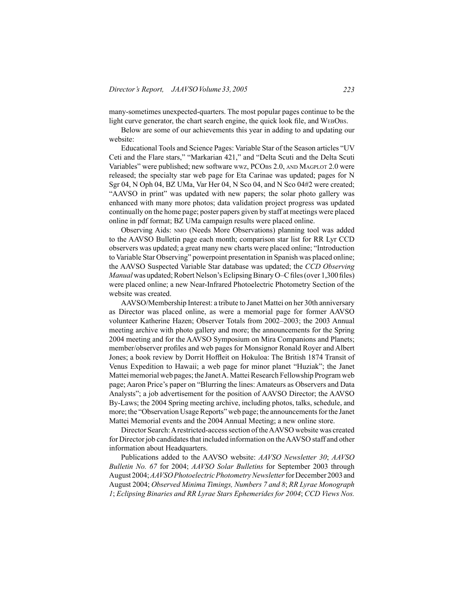many-sometimes unexpected-quarters. The most popular pages continue to be the light curve generator, the chart search engine, the quick look file, and WEBOBS.

 Below are some of our achievements this year in adding to and updating our website:

 Educational Tools and Science Pages: Variable Star of the Season articles "UV Ceti and the Flare stars," "Markarian 421," and "Delta Scuti and the Delta Scuti Variables" were published; new software wwz, PCOBS 2.0, AND MAGPLOT 2.0 were released; the specialty star web page for Eta Carinae was updated; pages for N Sgr 04, N Oph 04, BZ UMa, Var Her 04, N Sco 04, and N Sco 04#2 were created; "AAVSO in print" was updated with new papers; the solar photo gallery was enhanced with many more photos; data validation project progress was updated continually on the home page; poster papers given by staff at meetings were placed online in pdf format; BZ UMa campaign results were placed online.

 Observing Aids: nmo (Needs More Observations) planning tool was added to the AAVSO Bulletin page each month; comparison star list for RR Lyr CCD observers was updated; a great many new charts were placed online; "Introduction to Variable Star Observing" powerpoint presentation in Spanish was placed online; the AAVSO Suspected Variable Star database was updated; the *CCD Observing Manual* was updated; Robert Nelson's Eclipsing Binary O–C files (over 1,300 files) were placed online; a new Near-Infrared Photoelectric Photometry Section of the website was created.

 AAVSO/Membership Interest: a tribute to Janet Mattei on her 30th anniversary as Director was placed online, as were a memorial page for former AAVSO volunteer Katherine Hazen; Observer Totals from 2002–2003; the 2003 Annual meeting archive with photo gallery and more; the announcements for the Spring 2004 meeting and for the AAVSO Symposium on Mira Companions and Planets; member/observer profiles and web pages for Monsignor Ronald Royer and Albert Jones; a book review by Dorrit Hoffleit on Hokuloa: The British 1874 Transit of Venus Expedition to Hawaii; a web page for minor planet "Huziak"; the Janet Mattei memorial web pages; the Janet A. Mattei Research Fellowship Program web page; Aaron Price's paper on "Blurring the lines: Amateurs as Observers and Data Analysts"; a job advertisement for the position of AAVSO Director; the AAVSO By-Laws; the 2004 Spring meeting archive, including photos, talks, schedule, and more; the "Observation Usage Reports" web page; the announcements for the Janet Mattei Memorial events and the 2004 Annual Meeting; a new online store.

Director Search: A restricted-access section of the AAVSO website was created for Director job candidates that included information on the AAVSO staff and other information about Headquarters.

 Publications added to the AAVSO website: *AAVSO Newsletter 30*; *AAVSO Bulletin No. 67* for 2004; *AAVSO Solar Bulletins* for September 2003 through August 2004;*AAVSO Photoelectric Photometry Newsletter*forDecember 2003 and August 2004; *Observed Minima Timings, Numbers 7 and 8*; *RR Lyrae Monograph 1*; *Eclipsing Binaries and RR Lyrae Stars Ephemerides for 2004*; *CCD Views Nos.*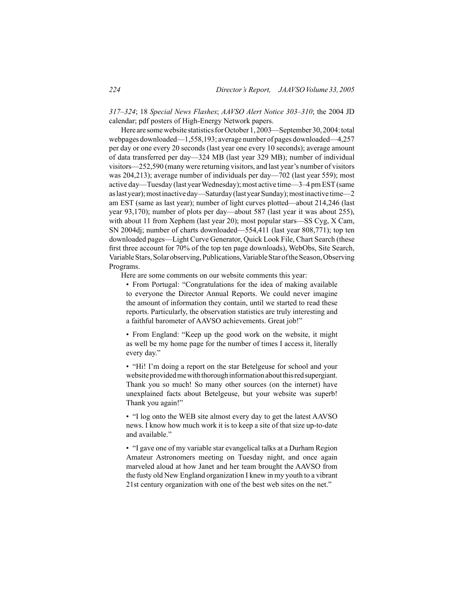*317–324*; 18 *Special News Flashes*; *AAVSO Alert Notice 303–310*; the 2004 JD calendar; pdf posters of High-Energy Network papers.

Here are some website statistics for October 1, 2003—September 30, 2004: total webpages downloaded—1,558,193; average number of pages downloaded—4,257 per day or one every 20 seconds (last year one every 10 seconds); average amount of data transferred per day—324 MB (last year 329 MB); number of individual visitors—252,590 (many were returning visitors, and last year's number of visitors was 204,213); average number of individuals per day—702 (last year 559); most active day—Tuesday (last yearWednesday); most active time—3–4 pm EST(same aslastyear);mostinactiveday—Saturday(lastyearSunday);mostinactive time—2 am EST (same as last year); number of light curves plotted—about 214,246 (last year 93,170); number of plots per day—about 587 (last year it was about 255), with about 11 from Xephem (last year 20); most popular stars—SS Cyg, X Cam, SN 2004dj; number of charts downloaded—554,411 (last year 808,771); top ten downloaded pages—Light Curve Generator, Quick Look File, Chart Search (these first three account for 70% of the top ten page downloads), WebObs, Site Search, Variable Stars, Solar observing, Publications, Variable Star of the Season, Observing Programs.

 Here are some comments on our website comments this year:

• From Portugal: "Congratulations for the idea of making available to everyone the Director Annual Reports. We could never imagine the amount of information they contain, until we started to read these reports. Particularly, the observation statistics are truly interesting and a faithful barometer of AAVSO achievements. Great job!"

• From England: "Keep up the good work on the website, it might as well be my home page for the number of times I access it, literally every day."

• "Hi! I'm doing a report on the star Betelgeuse for school and your website provided me with thorough information about this red supergiant. Thank you so much! So many other sources (on the internet) have unexplained facts about Betelgeuse, but your website was superb! Thank you again!"

• "I log onto the WEB site almost every day to get the latest AAVSO news. I know how much work it is to keep a site of that size up-to-date and available."

• "I gave one of my variable star evangelical talks at a Durham Region Amateur Astronomers meeting on Tuesday night, and once again marveled aloud at how Janet and her team brought the AAVSO from the fusty old New England organization I knew in my youth to a vibrant 21st century organization with one of the best web sites on the net."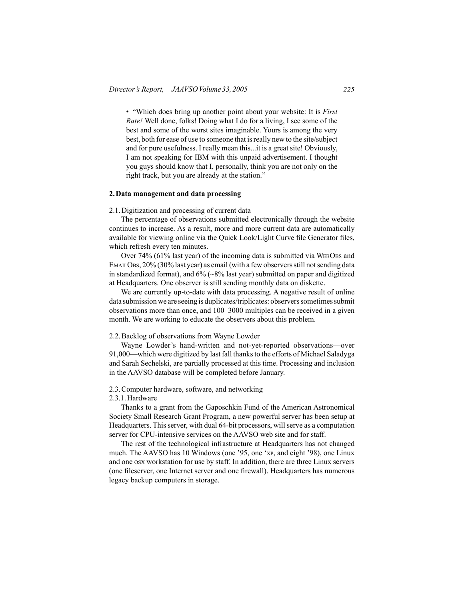• "Which does bring up another point about your website: It is *First Rate!* Well done, folks! Doing what I do for a living, I see some of the best and some of the worst sites imaginable. Yours is among the very best, both for ease of use to someone that isreally new to the site/subject and for pure usefulness. I really mean this...it is a great site! Obviously, I am not speaking for IBM with this unpaid advertisement. I thought you guys should know that I, personally, think you are not only on the right track, but you are already at the station."

#### **2.Data management and data processing**

#### 2.1.Digitization and processing of current data

 The percentage of observations submitted electronically through the website continues to increase. As a result, more and more current data are automatically available for viewing online via the Quick Look/Light Curve file Generator files, which refresh every ten minutes.

Over 74% (61% last year) of the incoming data is submitted via WEBOBS and EMAILOBS, 20% (30% last year) as email (with a few observers still not sending data in standardized format), and 6% (~8% last year) submitted on paper and digitized at Headquarters. One observer is still sending monthly data on diskette.

 We are currently up-to-date with data processing. A negative result of online data submission we are seeing is duplicates/triplicates: observers sometimes submit observations more than once, and 100–3000 multiples can be received in a given month. We are working to educate the observers about this problem.

## 2.2.Backlog of observations from Wayne Lowder

 Wayne Lowder's hand-written and not-yet-reported observations—over 91,000—which were digitized by last fall thanks to the efforts of Michael Saladyga and Sarah Sechelski, are partially processed at this time. Processing and inclusion in the AAVSO database will be completed before January.

#### 2.3.Computer hardware, software, and networking

2.3.1.Hardware

 Thanks to a grant from the Gaposchkin Fund of the American Astronomical Society Small Research Grant Program, a new powerful server has been setup at Headquarters. This server, with dual 64-bit processors, will serve as a computation server for CPU-intensive services on the AAVSO web site and for staff.

 The rest of the technological infrastructure at Headquarters has not changed much. The AAVSO has 10 Windows (one '95, one 'xp, and eight '98), one Linux and one osx workstation for use by staff. In addition, there are three Linux servers (one fileserver, one Internet server and one firewall). Headquarters has numerous legacy backup computers in storage.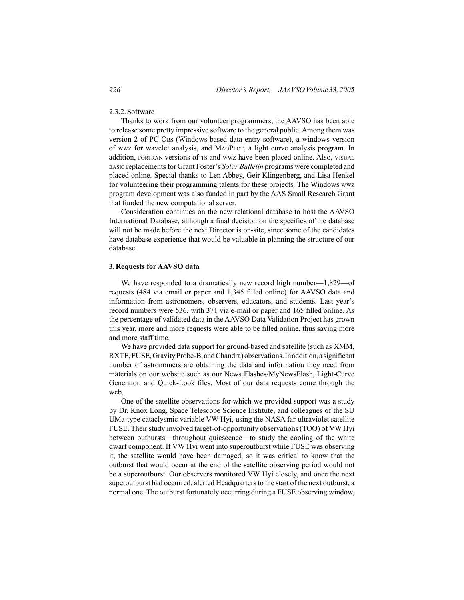## 2.3.2.Software

 Thanks to work from our volunteer programmers, the AAVSO has been able to release some pretty impressive software to the general public. Among them was version 2 of PC Obs (Windows-based data entry software), a windows version of wwz for wavelet analysis, and MagPlot, a light curve analysis program. In addition, FORTRAN versions of TS and wwz have been placed online. Also, VISUAL basic replacementsfor Grant Foster's *Solar Bulletin* programs were completed and placed online. Special thanks to Len Abbey, Geir Klingenberg, and Lisa Henkel for volunteering their programming talents for these projects. The Windows wwz program development was also funded in part by the AAS Small Research Grant that funded the new computational server.

 Consideration continues on the new relational database to host the AAVSO International Database, although a final decision on the specifics of the database will not be made before the next Director is on-site, since some of the candidates have database experience that would be valuable in planning the structure of our database.

## **3.Requests for AAVSO data**

 We have responded to a dramatically new record high number—1,829—of requests (484 via email or paper and 1,345 filled online) for AAVSO data and information from astronomers, observers, educators, and students. Last year's record numbers were 536, with 371 via e-mail or paper and 165 filled online. As the percentage of validated data in the AAVSO Data Validation Project has grown this year, more and more requests were able to be filled online, thus saving more and more staff time.

 We have provided data support for ground-based and satellite (such as XMM, RXTE,FUSE,GravityProbe-B, andChandra)observations.Inaddition, a significant number of astronomers are obtaining the data and information they need from materials on our website such as our News Flashes/MyNewsFlash, Light-Curve Generator, and Quick-Look files. Most of our data requests come through the web.

 One of the satellite observations for which we provided support was a study by Dr. Knox Long, Space Telescope Science Institute, and colleagues of the SU UMa-type cataclysmic variable VW Hyi, using the NASA far-ultraviolet satellite FUSE. Their study involved target-of-opportunity observations (TOO) of VW Hyi between outbursts—throughout quiescence—to study the cooling of the white dwarf component. If VW Hyi went into superoutburst while FUSE was observing it, the satellite would have been damaged, so it was critical to know that the outburst that would occur at the end of the satellite observing period would not be a superoutburst. Our observers monitored VW Hyi closely, and once the next superoutburst had occurred, alerted Headquarters to the start of the next outburst, a normal one. The outburst fortunately occurring during a FUSE observing window,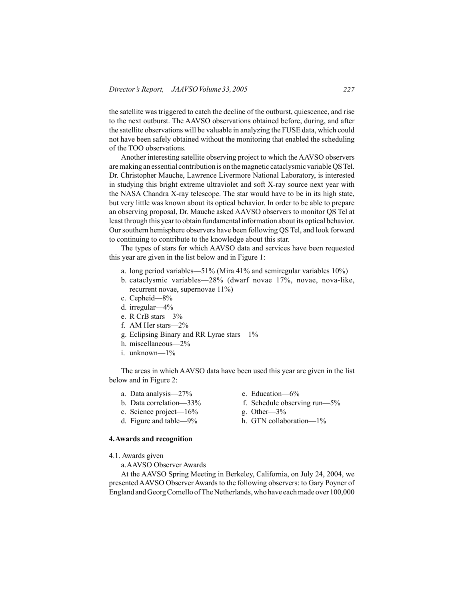the satellite was triggered to catch the decline of the outburst, quiescence, and rise to the next outburst. The AAVSO observations obtained before, during, and after the satellite observations will be valuable in analyzing the FUSE data, which could not have been safely obtained without the monitoring that enabled the scheduling of the TOO observations.

 Another interesting satellite observing project to which the AAVSO observers aremaking an essential contribution is on themagnetic cataclysmic variableQSTel. Dr. Christopher Mauche, Lawrence Livermore National Laboratory, is interested in studying this bright extreme ultraviolet and soft X-ray source next year with the NASA Chandra X-ray telescope. The star would have to be in its high state, but very little was known about its optical behavior. In order to be able to prepare an observing proposal, Dr. Mauche asked AAVSO observers to monitor QS Tel at least through this yearto obtain fundamental information about its optical behavior. Oursouthern hemisphere observers have been following QS Tel, and look forward to continuing to contribute to the knowledge about this star.

 The types of stars for which AAVSO data and services have been requested this year are given in the list below and in Figure 1:

- a. long period variables—51% (Mira  $41\%$  and semiregular variables  $10\%$ )
- b. cataclysmic variables—28% (dwarf novae 17%, novae, nova-like, recurrent novae, supernovae 11%)
- c. Cepheid—8%
- d. irregular—4%
- e. R CrB stars-3%
- f. AM Her stars-2%
- g. Eclipsing Binary and RR Lyrae stars—1%
- h. miscellaneous—2%
- $i$  unknown— $1\%$

 The areas in which AAVSO data have been used this year are given in the list below and in Figure 2:

- a. Data analysis— $27\%$  e. Education— $6\%$
- 
- c. Science project— $16\%$  g. Other— $3\%$
- 

# **4.Awards and recognition**

4.1. Awards given

 a.AAVSO Observer Awards

 At the AAVSO Spring Meeting in Berkeley, California, on July 24, 2004, we presented AAVSO Observer Awards to the following observers: to Gary Poyner of England and Georg Comello of The Netherlands, who have each made over 100,000

- 
- b. Data correlation—33% f. Schedule observing run—5%
	-
- d. Figure and table—9% h. GTN collaboration— $1\%$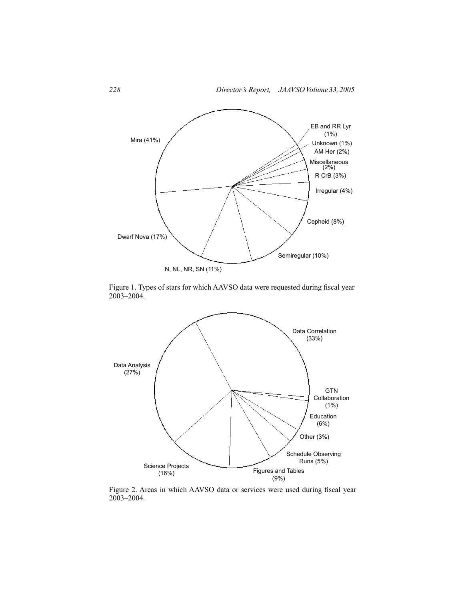

Figure 1. Types of stars for which AAVSO data were requested during fiscal year 2003–2004.



Figure 2. Areas in which AAVSO data or services were used during fiscal year 2003–2004.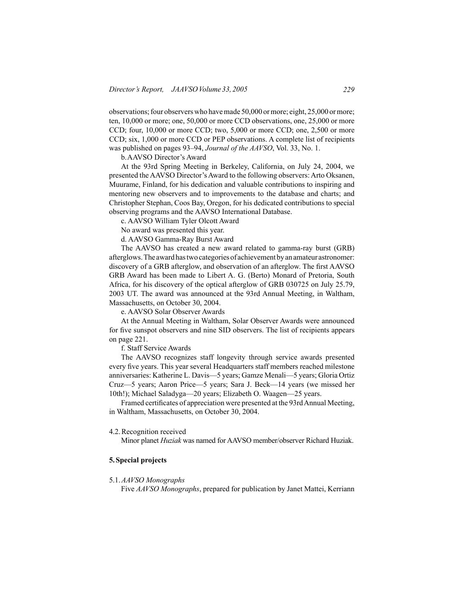observations;four observerswho havemade 50,000 ormore; eight, 25,000 ormore; ten, 10,000 or more; one, 50,000 or more CCD observations, one, 25,000 or more CCD; four, 10,000 or more CCD; two, 5,000 or more CCD; one, 2,500 or more CCD; six, 1,000 or more CCD or PEP observations. A complete list of recipients was published on pages 93–94, *Journal of the AAVSO*, Vol. 33, No. 1.

 b.AAVSO Director's Award

 At the 93rd Spring Meeting in Berkeley, California, on July 24, 2004, we presented the AAVSO Director's Award to the following observers: Arto Oksanen, Muurame, Finland, for his dedication and valuable contributions to inspiring and mentoring new observers and to improvements to the database and charts; and Christopher Stephan, Coos Bay, Oregon, for his dedicated contributions to special observing programs and the AAVSO International Database.

 c. AAVSO William Tyler Olcott Award

 No award was presented this year.

 d. AAVSO Gamma-Ray Burst Award

 The AAVSO has created a new award related to gamma-ray burst (GRB) afterglows.The awardhastwocategories of achievement byanamateur astronomer: discovery of a GRB afterglow, and observation of an afterglow. The first AAVSO GRB Award has been made to Libert A. G. (Berto) Monard of Pretoria, South Africa, for his discovery of the optical afterglow of GRB 030725 on July 25.79, 2003 UT. The award was announced at the 93rd Annual Meeting, in Waltham, Massachusetts, on October 30, 2004.

 e. AAVSO Solar Observer Awards

 At the Annual Meeting in Waltham, Solar Observer Awards were announced for five sunspot observers and nine SID observers. The list of recipients appears on page 221.

 f. Staff Service Awards

 The AAVSO recognizes staff longevity through service awards presented every five years. This year several Headquarters staff members reached milestone anniversaries: Katherine L. Davis—5 years; Gamze Menali—5 years; Gloria Ortiz Cruz—5 years; Aaron Price—5 years; Sara J. Beck—14 years (we missed her 10th!); Michael Saladyga—20 years; Elizabeth O. Waagen—25 years.

 Framed certificates of appreciation were presented at the 93rdAnnual Meeting, in Waltham, Massachusetts, on October 30, 2004.

#### 4.2.Recognition received

 Minor planet *Huziak* was named for AAVSO member/observer Richard Huziak.

# **5.Special projects**

5.1.*AAVSO Monographs*

 Five *AAVSO Monographs*, prepared for publication by Janet Mattei, Kerriann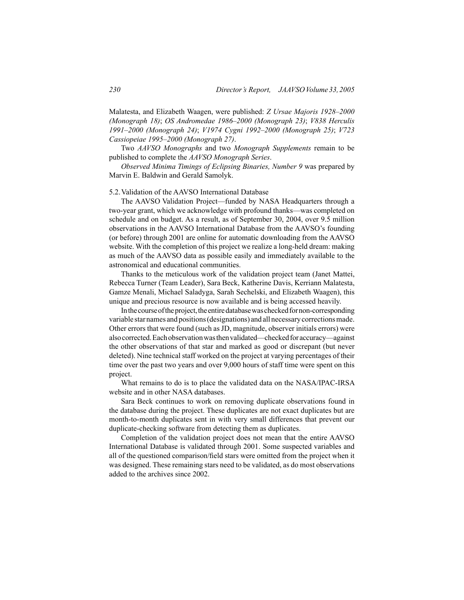Malatesta, and Elizabeth Waagen, were published: *Z Ursae Majoris 1928–2000 (Monograph 18)*; *OS Andromedae 1986–2000 (Monograph 23)*; *V838 Herculis 1991–2000 (Monograph 24)*; *V1974 Cygni 1992–2000 (Monograph 25)*; *V723 Cassiopeiae 1995–2000 (Monograph 27)*.

 Two *AAVSO Monographs* and two *Monograph Supplements* remain to be published to complete the *AAVSO Monograph Series*.

*Observed Minima Timings of Eclipsing Binaries, Number 9* was prepared by Marvin E. Baldwin and Gerald Samolyk.

#### 5.2.Validation of the AAVSO International Database

 The AAVSO Validation Project—funded by NASA Headquarters through a two-year grant, which we acknowledge with profound thanks—was completed on schedule and on budget. As a result, as of September 30, 2004, over 9.5 million observations in the AAVSO International Database from the AAVSO's founding (or before) through 2001 are online for automatic downloading from the AAVSO website. With the completion of this project we realize a long-held dream: making as much of the AAVSO data as possible easily and immediately available to the astronomical and educational communities.

 Thanks to the meticulous work of the validation project team (Janet Mattei, Rebecca Turner (Team Leader), Sara Beck, Katherine Davis, Kerriann Malatesta, Gamze Menali, Michael Saladyga, Sarah Sechelski, and Elizabeth Waagen), this unique and precious resource is now available and is being accessed heavily.

In the course of the project, the entire database was checked for non-corresponding variable star names and positions(designations) and all necessary correctionsmade. Other errors that were found (such as JD, magnitude, observer initials errors) were also corrected. Each observation was then validated—checked for accuracy—against the other observations of that star and marked as good or discrepant (but never deleted). Nine technical staff worked on the project at varying percentages of their time over the past two years and over 9,000 hours of staff time were spent on this project.

 What remains to do is to place the validated data on the NASA/IPAC-IRSA website and in other NASA databases.

 Sara Beck continues to work on removing duplicate observations found in the database during the project. These duplicates are not exact duplicates but are month-to-month duplicates sent in with very small differences that prevent our duplicate-checking software from detecting them as duplicates.

 Completion of the validation project does not mean that the entire AAVSO International Database is validated through 2001. Some suspected variables and all of the questioned comparison/field stars were omitted from the project when it was designed. These remaining stars need to be validated, as do most observations added to the archives since 2002.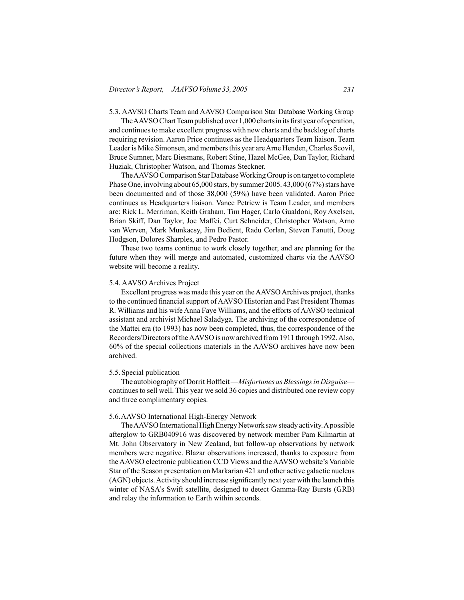5.3. AAVSO Charts Team and AAVSO Comparison Star Database Working Group

The AAVSO Chart Team published over 1,000 charts in its first year of operation, and continuesto make excellent progress with new charts and the backlog of charts requiring revision. Aaron Price continues as the Headquarters Team liaison. Team Leader is Mike Simonsen, and members this year are Arne Henden, Charles Scovil, Bruce Sumner, Marc Biesmans, Robert Stine, Hazel McGee, Dan Taylor, Richard Huziak, Christopher Watson, and Thomas Steckner.

The AAVSO Comparison Star Database Working Group is on target to complete Phase One, involving about  $65,000$  stars, by summer  $2005, 43,000$   $(67%)$  stars have been documented and of those 38,000 (59%) have been validated. Aaron Price continues as Headquarters liaison. Vance Petriew is Team Leader, and members are: Rick L. Merriman, Keith Graham, Tim Hager, Carlo Gualdoni, Roy Axelsen, Brian Skiff, Dan Taylor, Joe Maffei, Curt Schneider, Christopher Watson, Arno van Werven, Mark Munkacsy, Jim Bedient, Radu Corlan, Steven Fanutti, Doug Hodgson, Dolores Sharples, and Pedro Pastor.

 These two teams continue to work closely together, and are planning for the future when they will merge and automated, customized charts via the AAVSO website will become a reality.

## 5.4. AAVSO Archives Project

Excellent progress was made this year on the AAVSO Archives project, thanks to the continued financial support ofAAVSO Historian and Past President Thomas R. Williams and his wife Anna Faye Williams, and the efforts of AAVSO technical assistant and archivist Michael Saladyga. The archiving of the correspondence of the Mattei era (to 1993) has now been completed, thus, the correspondence of the Recorders/Directors of theAAVSO is now archived from 1911 through 1992.Also, 60% of the special collections materials in the AAVSO archives have now been archived.

## 5.5.Special publication

 The autobiography of Dorrit Hoffleit—*Misfortunes as Blessings in Disguise* continues to sell well. This year we sold 36 copies and distributed one review copy and three complimentary copies.

#### 5.6.AAVSO International High-Energy Network

The AAVSO International High Energy Network saw steady activity. A possible afterglow to GRB040916 was discovered by network member Pam Kilmartin at Mt. John Observatory in New Zealand, but follow-up observations by network members were negative. Blazar observations increased, thanks to exposure from theAAVSO electronic publication CCD Views and theAAVSO website's Variable Star of the Season presentation on Markarian 421 and other active galactic nucleus (AGN) objects.Activity should increase significantly next year with the launch this winter of NASA's Swift satellite, designed to detect Gamma-Ray Bursts (GRB) and relay the information to Earth within seconds.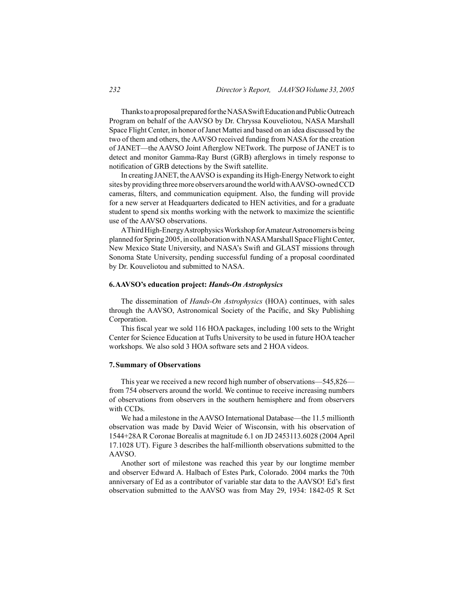Thanks to a proposal prepared for the NASA Swift Education and Public Outreach Program on behalf of the AAVSO by Dr. Chryssa Kouveliotou, NASA Marshall Space Flight Center, in honor ofJanet Mattei and based on an idea discussed by the two of them and others, the AAVSO received funding from NASA for the creation of JANET—the AAVSO Joint Afterglow NETwork. The purpose of JANET is to detect and monitor Gamma-Ray Burst (GRB) afterglows in timely response to notification of GRB detections by the Swift satellite.

 In creating JANET, theAAVSO is expanding its High-Energy Network to eight sites by providing threemore observers around theworldwithAAVSO-ownedCCD cameras, filters, and communication equipment. Also, the funding will provide for a new server at Headquarters dedicated to HEN activities, and for a graduate student to spend six months working with the network to maximize the scientific use of the AAVSO observations.

AThird High-Energy Astrophysics Workshop for Amateur Astronomers is being planned for Spring 2005, in collaboration with NASA Marshall Space Flight Center, New Mexico State University, and NASA's Swift and GLAST missions through Sonoma State University, pending successful funding of a proposal coordinated by Dr. Kouveliotou and submitted to NASA.

## **6.AAVSO's education project:** *Hands-On Astrophysics*

 The dissemination of *Hands-On Astrophysics* (HOA) continues, with sales through the AAVSO, Astronomical Society of the Pacific, and Sky Publishing Corporation.

 This fiscal year we sold 116 HOA packages, including 100 sets to the Wright Center for Science Education at Tufts University to be used in future HOA teacher workshops. We also sold 3 HOA software sets and 2 HOA videos.

## **7.Summary of Observations**

 This year we received a new record high number of observations—545,826 from 754 observers around the world. We continue to receive increasing numbers of observations from observers in the southern hemisphere and from observers with CCDs.

 We had a milestone in the AAVSO International Database—the 11.5 millionth observation was made by David Weier of Wisconsin, with his observation of 1544+28A R Coronae Borealis at magnitude 6.1 on JD 2453113.6028 (2004 April 17.1028 UT). Figure 3 describes the half-millionth observations submitted to the AAVSO.

 Another sort of milestone was reached this year by our longtime member and observer Edward A. Halbach of Estes Park, Colorado. 2004 marks the 70th anniversary of Ed as a contributor of variable star data to the AAVSO! Ed's first observation submitted to the AAVSO was from May 29, 1934: 1842-05 R Sct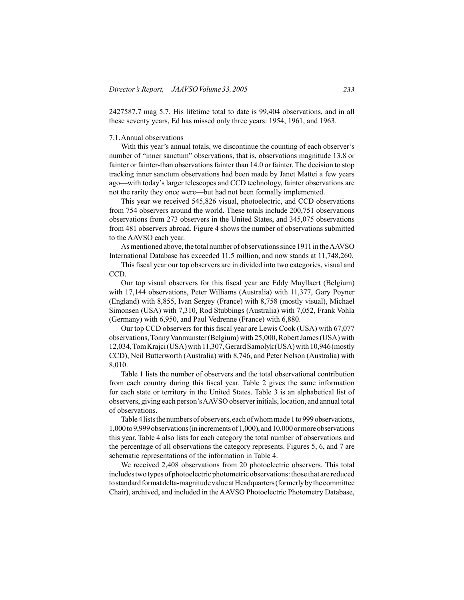2427587.7 mag 5.7. His lifetime total to date is 99,404 observations, and in all these seventy years, Ed has missed only three years: 1954, 1961, and 1963.

## 7.1.Annual observations

 With this year's annual totals, we discontinue the counting of each observer's number of "inner sanctum" observations, that is, observations magnitude 13.8 or fainter or fainter-than observations fainter than 14.0 or fainter. The decision to stop tracking inner sanctum observations had been made by Janet Mattei a few years ago—with today's larger telescopes and CCD technology, fainter observations are not the rarity they once were—but had not been formally implemented.

 This year we received 545,826 visual, photoelectric, and CCD observations from 754 observers around the world. These totals include 200,751 observations observations from 273 observers in the United States, and 345,075 observations from 481 observers abroad. Figure 4 shows the number of observations submitted to the AAVSO each year.

As mentioned above, the total number of observations since 1911 in the AAVSO International Database has exceeded 11.5 million, and now stands at 11,748,260.

 This fiscal year our top observers are in divided into two categories, visual and CCD.

 Our top visual observers for this fiscal year are Eddy Muyllaert (Belgium) with 17,144 observations, Peter Williams (Australia) with 11,377, Gary Poyner (England) with 8,855, Ivan Sergey (France) with 8,758 (mostly visual), Michael Simonsen (USA) with 7,310, Rod Stubbings (Australia) with 7,052, Frank Vohla (Germany) with 6,950, and Paul Vedrenne (France) with 6,880.

 Our top CCD observers for this fiscal year are Lewis Cook (USA) with 67,077 observations,TonnyVanmunster(Belgium) with 25,000,RobertJames(USA) with 12,034,TomKrajci(USA)with11,307,GerardSamolyk(USA)with10,946(mostly CCD), Neil Butterworth (Australia) with 8,746, and Peter Nelson (Australia) with 8,010.

 Table 1 lists the number of observers and the total observational contribution from each country during this fiscal year. Table 2 gives the same information for each state or territory in the United States. Table 3 is an alphabetical list of observers, giving each person'sAAVSO observerinitials, location, and annual total of observations.

Table 4 lists the numbers of observers, each of whom made 1 to 999 observations, 1,000to9,999observations(inincrementsof1,000),and10,000ormoreobservations this year. Table 4 also lists for each category the total number of observations and the percentage of all observations the category represents. Figures 5, 6, and 7 are schematic representations of the information in Table 4.

 We received 2,408 observations from 20 photoelectric observers. This total includes two types of photoelectric photometric observations: those that are reduced to standard format delta-magnitude value at Headquarters (formerly by the committee Chair), archived, and included in the AAVSO Photoelectric Photometry Database,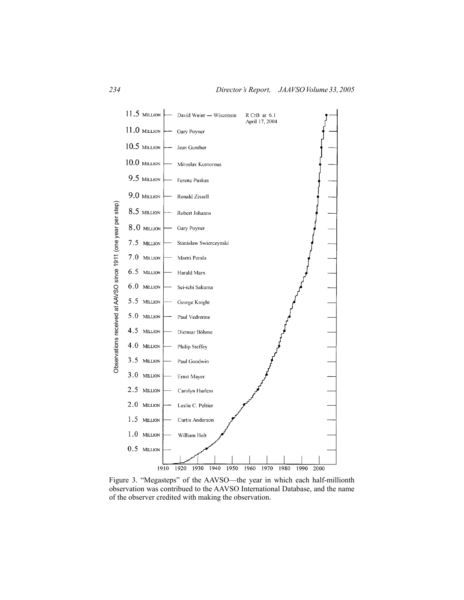

Figure 3. "Megasteps" of the AAVSO—the year in which each half-millionth observation was contribued to the AAVSO International Database, and the name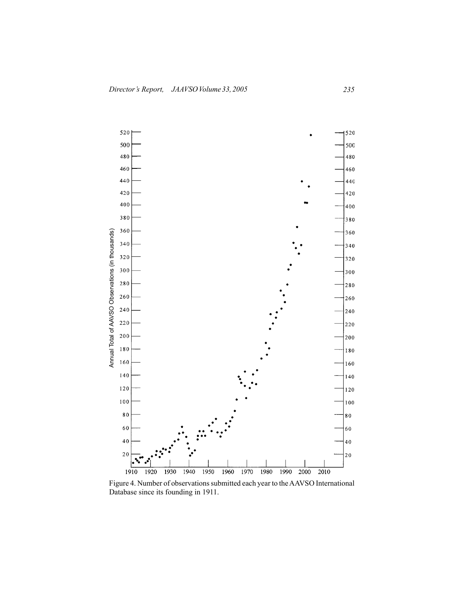

Figure 4. Number of observationssubmitted each year to theAAVSO International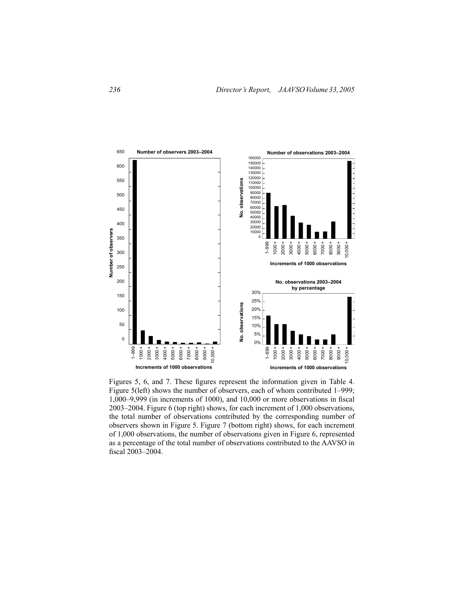

Figures 5, 6, and 7. These figures represent the information given in Table 4. Figure 5(left) shows the number of observers, each of whom contributed 1–999; 1,000–9,999 (in increments of 1000), and 10,000 or more observations in fiscal 2003–2004. Figure 6 (top right) shows, for each increment of 1,000 observations, the total number of observations contributed by the corresponding number of observers shown in Figure 5. Figure 7 (bottom right) shows, for each increment of 1,000 observations, the number of observations given in Figure 6, represented as a percentage of the total number of observations contributed to the AAVSO in fiscal 2003–2004.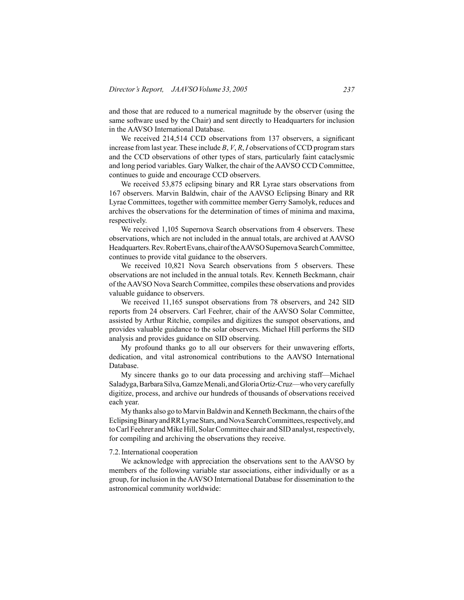and those that are reduced to a numerical magnitude by the observer (using the same software used by the Chair) and sent directly to Headquarters for inclusion in the AAVSO International Database.

 We received 214,514 CCD observations from 137 observers, a significant increase from last year. These include *B*, *V*, *R*, *I* observations of CCD program stars and the CCD observations of other types of stars, particularly faint cataclysmic and long period variables. Gary Walker, the chair of the AAVSO CCD Committee, continues to guide and encourage CCD observers.

 We received 53,875 eclipsing binary and RR Lyrae stars observations from 167 observers. Marvin Baldwin, chair of the AAVSO Eclipsing Binary and RR Lyrae Committees, together with committee member Gerry Samolyk, reduces and archives the observations for the determination of times of minima and maxima, respectively.

 We received 1,105 Supernova Search observations from 4 observers. These observations, which are not included in the annual totals, are archived at AAVSO Headquarters.Rev.RobertEvans,chairoftheAAVSOSupernovaSearchCommittee, continues to provide vital guidance to the observers.

We received 10,821 Nova Search observations from 5 observers. These observations are not included in the annual totals. Rev. Kenneth Beckmann, chair of the AAVSO Nova Search Committee, compiles these observations and provides valuable guidance to observers.

 We received 11,165 sunspot observations from 78 observers, and 242 SID reports from 24 observers. Carl Feehrer, chair of the AAVSO Solar Committee, assisted by Arthur Ritchie, compiles and digitizes the sunspot observations, and provides valuable guidance to the solar observers. Michael Hill performs the SID analysis and provides guidance on SID observing.

 My profound thanks go to all our observers for their unwavering efforts, dedication, and vital astronomical contributions to the AAVSO International Database.

 My sincere thanks go to our data processing and archiving staff—Michael Saladyga, Barbara Silva, Gamze Menali, and Gloria Ortiz-Cruz—who very carefully digitize, process, and archive our hundreds of thousands of observations received each year.

My thanks also go to Marvin Baldwin and Kenneth Beckmann, the chairs of the EclipsingBinaryandRRLyraeStars,andNovaSearchCommittees,respectively,and to Carl Feehrer and Mike Hill, Solar Committee chair and SID analyst, respectively, for compiling and archiving the observations they receive.

#### 7.2.International cooperation

 We acknowledge with appreciation the observations sent to the AAVSO by members of the following variable star associations, either individually or as a group, for inclusion in the AAVSO International Database for dissemination to the astronomical community worldwide: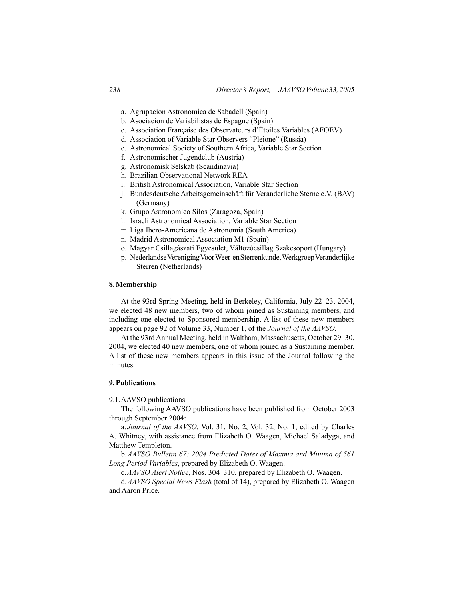- a. Agrupacion Astronomica de Sabadell (Spain)
- b. Asociacion de Variabilistas de Espagne (Spain)
- c. Association Française des Observateurs d'Étoiles Variables (AFOEV)
- d. Association of Variable Star Observers "Pleione" (Russia)
- e. Astronomical Society of Southern Africa, Variable Star Section
- f. Astronomischer Jugendclub (Austria)
- g. Astronomisk Selskab (Scandinavia)
- h. Brazilian Observational Network REA
- i. British Astronomical Association, Variable Star Section
- j. Bundesdeutsche Arbeitsgemeinschäft für Veranderliche Sterne e.V. (BAV) (Germany)
- k. Grupo Astronomico Silos (Zaragoza, Spain)
- l. Israeli Astronomical Association, Variable Star Section
- m. Liga Ibero-Americana de Astronomia (South America)
- n. Madrid Astronomical Association M1 (Spain)
- o. Magyar Csillagászati Egyesület, Változócsillag Szakcsoport (Hungary)
- p. Nederlandse Vereniging Voor Weer-en Sterrenkunde, Werkgroep Veranderlijke Sterren (Netherlands)

## **8.Membership**

 At the 93rd Spring Meeting, held in Berkeley, California, July 22–23, 2004, we elected 48 new members, two of whom joined as Sustaining members, and including one elected to Sponsored membership. A list of these new members appears on page 92 of Volume 33, Number 1, of the *Journal of the AAVSO*.

 At the 93rdAnnual Meeting, held in Waltham, Massachusetts, October 29–30, 2004, we elected 40 new members, one of whom joined as a Sustaining member. A list of these new members appears in this issue of the Journal following the minutes.

## **9.Publications**

### 9.1.AAVSO publications

 The following AAVSO publications have been published from October 2003 through September 2004:

 a. *Journal of the AAVSO*, Vol. 31, No. 2, Vol. 32, No. 1, edited by Charles A. Whitney, with assistance from Elizabeth O. Waagen, Michael Saladyga, and Matthew Templeton.

 b.*AAVSO Bulletin 67: 2004 Predicted Dates of Maxima and Minima of 561 Long Period Variables*, prepared by Elizabeth O. Waagen.

 c.*AAVSO Alert Notice*, Nos. 304–310, prepared by Elizabeth O. Waagen.

 d.*AAVSO Special News Flash* (total of 14), prepared by Elizabeth O. Waagen and Aaron Price.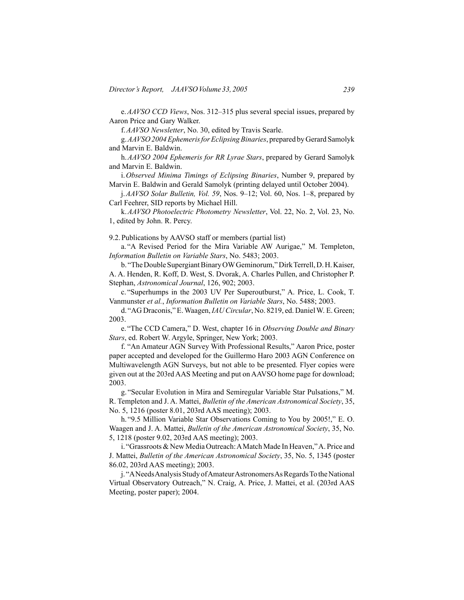e.*AAVSO CCD Views*, Nos. 312–315 plus several special issues, prepared by Aaron Price and Gary Walker.

 f.*AAVSO Newsletter*, No. 30, edited by Travis Searle.

 g.*AAVSO 2004 Ephemeris for Eclipsing Binaries*, prepared byGerardSamolyk and Marvin E. Baldwin.

 h.*AAVSO 2004 Ephemeris for RR Lyrae Stars*, prepared by Gerard Samolyk and Marvin E. Baldwin.

 i.*Observed Minima Timings of Eclipsing Binaries*, Number 9, prepared by Marvin E. Baldwin and Gerald Samolyk (printing delayed until October 2004).

 j.*AAVSO Solar Bulletin, Vol. 59*, Nos. 9–12; Vol. 60, Nos. 1–8, prepared by Carl Feehrer, SID reports by Michael Hill.

 k.*AAVSO Photoelectric Photometry Newsletter*, Vol. 22, No. 2, Vol. 23, No. 1, edited by John. R. Percy.

9.2.Publications by AAVSO staff or members (partial list)

 a. "A Revised Period for the Mira Variable AW Aurigae," M. Templeton, *Information Bulletin on Variable Stars*, No. 5483; 2003.

b. "The Double Supergiant Binary OW Geminorum," Dirk Terrell, D. H. Kaiser, A. A. Henden, R. Koff, D. West, S. Dvorak, A. Charles Pullen, and Christopher P. Stephan, *Astronomical Journal*, 126, 902; 2003.

 c. "Superhumps in the 2003 UV Per Superoutburst," A. Price, L. Cook, T. Vanmunster *et al.*, *Information Bulletin on Variable Stars*, No. 5488; 2003.

 d. "AG Draconis," E.Waagen,*IAU Circular*, No. 8219, ed. DanielW. E. Green; 2003.

 e. "The CCD Camera," D. West, chapter 16 in *Observing Double and Binary Stars*, ed. Robert W. Argyle, Springer, New York; 2003.

 f. "An Amateur AGN Survey With Professional Results," Aaron Price, poster paper accepted and developed for the Guillermo Haro 2003 AGN Conference on Multiwavelength AGN Surveys, but not able to be presented. Flyer copies were given out at the 203rd AAS Meeting and put on AAVSO home page for download; 2003.

 g. "Secular Evolution in Mira and Semiregular Variable Star Pulsations," M. R. Templeton and J. A. Mattei, *Bulletin of the American Astronomical Society*, 35, No. 5, 1216 (poster 8.01, 203rd AAS meeting); 2003.

 h. "9.5 Million Variable Star Observations Coming to You by 2005!," E. O. Waagen and J. A. Mattei, *Bulletin of the American Astronomical Society*, 35, No. 5, 1218 (poster 9.02, 203rd AAS meeting); 2003.

i. "Grassroots & New Media Outreach: A Match Made In Heaven," A. Price and J. Mattei, *Bulletin of the American Astronomical Society*, 35, No. 5, 1345 (poster 86.02, 203rd AAS meeting); 2003.

j. "A Needs Analysis Study of Amateur Astronomers As Regards To the National Virtual Observatory Outreach," N. Craig, A. Price, J. Mattei, et al. (203rd AAS Meeting, poster paper); 2004.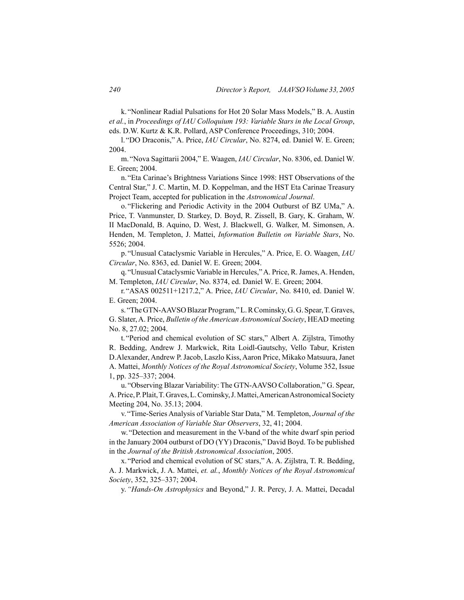k. "Nonlinear Radial Pulsations for Hot 20 Solar Mass Models," B. A. Austin *et al.*, in *Proceedings of IAU Colloquium 193: Variable Stars in the Local Group*, eds. D.W. Kurtz & K.R. Pollard, ASP Conference Proceedings, 310; 2004.

 l. "DO Draconis," A. Price, *IAU Circular*, No. 8274, ed. Daniel W. E. Green; 2004.

 m. "Nova Sagittarii 2004," E. Waagen, *IAU Circular*, No. 8306, ed. Daniel W. E. Green; 2004.

 n. "Eta Carinae's Brightness Variations Since 1998: HST Observations of the Central Star," J. C. Martin, M. D. Koppelman, and the HST Eta Carinae Treasury Project Team, accepted for publication in the *Astronomical Journal*.

 o. "Flickering and Periodic Activity in the 2004 Outburst of BZ UMa," A. Price, T. Vanmunster, D. Starkey, D. Boyd, R. Zissell, B. Gary, K. Graham, W. II MacDonald, B. Aquino, D. West, J. Blackwell, G. Walker, M. Simonsen, A. Henden, M. Templeton, J. Mattei, *Information Bulletin on Variable Stars*, No. 5526; 2004.

 p. "Unusual Cataclysmic Variable in Hercules," A. Price, E. O. Waagen, *IAU Circular*, No. 8363, ed. Daniel W. E. Green; 2004.

 q. "Unusual Cataclysmic Variable in Hercules,"A. Price, R.James,A. Henden, M. Templeton, *IAU Circular*, No. 8374, ed. Daniel W. E. Green; 2004.

 r. "ASAS 002511+1217.2," A. Price, *IAU Circular*, No. 8410, ed. Daniel W. E. Green; 2004.

s. "The GTN-AAVSO Blazar Program," L. R Cominsky, G. G. Spear, T. Graves, G. Slater,A. Price, *Bulletin of the American Astronomical Society*, HEAD meeting No. 8, 27.02; 2004.

 t. "Period and chemical evolution of SC stars," Albert A. Zijlstra, Timothy R. Bedding, Andrew J. Markwick, Rita Loidl-Gautschy, Vello Tabur, Kristen D.Alexander, Andrew P. Jacob, Laszlo Kiss, Aaron Price, Mikako Matsuura, Janet A. Mattei, *Monthly Notices of the Royal Astronomical Society*, Volume 352, Issue 1, pp. 325–337; 2004.

 u. "Observing Blazar Variability: The GTN-AAVSO Collaboration," G. Spear, A.Price,P.Plait,T.Graves,L.Cominsky,J.Mattei,AmericanAstronomicalSociety Meeting 204, No. 35.13; 2004.

 v. "Time-Series Analysis of Variable Star Data," M. Templeton, *Journal of the American Association of Variable Star Observers*, 32, 41; 2004.

 w. "Detection and measurement in the V-band of the white dwarf spin period in the January 2004 outburst of DO (YY) Draconis," David Boyd. To be published in the *Journal of the British Astronomical Association*, 2005.

 x. "Period and chemical evolution of SC stars," A. A. Zijlstra, T. R. Bedding, A. J. Markwick, J. A. Mattei, *et. al.*, *Monthly Notices of the Royal Astronomical Society*, 352, 325–337; 2004.

 y.*"Hands-On Astrophysics* and Beyond," J. R. Percy, J. A. Mattei, Decadal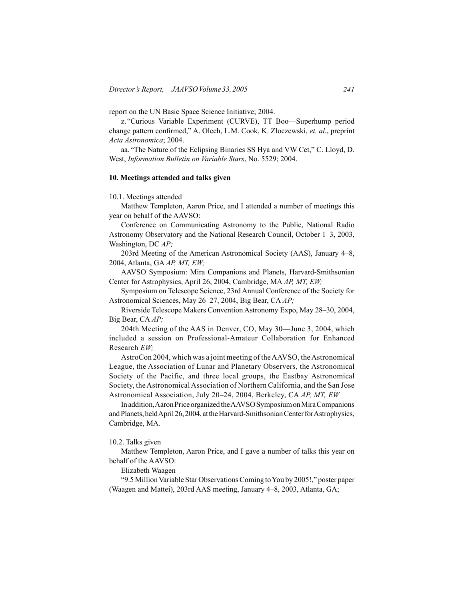report on the UN Basic Space Science Initiative; 2004.

 z. "Curious Variable Experiment (CURVE), TT Boo—Superhump period change pattern confirmed," A. Olech, L.M. Cook, K. Zloczewski, *et. al.*, preprint *Acta Astronomica*; 2004.

 aa. "The Nature of the Eclipsing Binaries SS Hya and VW Cet," C. Lloyd, D. West, *Information Bulletin on Variable Stars*, No. 5529; 2004.

#### **10. Meetings attended and talks given**

10.1. Meetings attended

 Matthew Templeton, Aaron Price, and I attended a number of meetings this year on behalf of the AAVSO:

 Conference on Communicating Astronomy to the Public, National Radio Astronomy Observatory and the National Research Council, October 1–3, 2003, Washington, DC *AP;*

 203rd Meeting of the American Astronomical Society (AAS), January 4–8, 2004, Atlanta, GA *AP, MT, EW;*

 AAVSO Symposium: Mira Companions and Planets, Harvard-Smithsonian Center for Astrophysics, April 26, 2004, Cambridge, MA *AP, MT, EW;*

 Symposium on Telescope Science, 23rd Annual Conference of the Society for Astronomical Sciences, May 26–27, 2004, Big Bear, CA *AP;*

 Riverside Telescope Makers Convention Astronomy Expo, May 28–30, 2004, Big Bear, CA *AP;*

 204th Meeting of the AAS in Denver, CO, May 30—June 3, 2004, which included a session on Professional-Amateur Collaboration for Enhanced Research *EW;*

 AstroCon 2004, which was a joint meeting of theAAVSO, theAstronomical League, the Association of Lunar and Planetary Observers, the Astronomical Society of the Pacific, and three local groups, the Eastbay Astronomical Society, theAstronomicalAssociation of Northern California, and the San Jose Astronomical Association, July 20–24, 2004, Berkeley, CA *AP, MT, EW*

In addition, Aaron Price organized the AAVSO Symposium on Mira Companions and Planets, heldApril 26, 2004, at the Harvard-Smithsonian Center for Astrophysics, Cambridge, MA*.*

## 10.2. Talks given

 Matthew Templeton, Aaron Price, and I gave a number of talks this year on behalf of the AAVSO:

 Elizabeth Waagen

 "9.5 MillionVariable Star ObservationsComing toYou by 2005!," poster paper (Waagen and Mattei), 203rd AAS meeting, January 4–8, 2003, Atlanta, GA;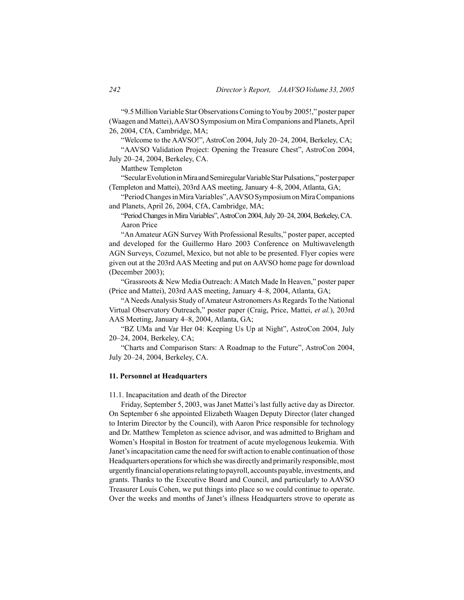"9.5 MillionVariable Star ObservationsComing toYou by 2005!," poster paper (Waagen and Mattei),AAVSO Symposium on MiraCompanions and Planets,April 26, 2004, CfA, Cambridge, MA;

 "Welcome to the AAVSO!", AstroCon 2004, July 20–24, 2004, Berkeley, CA;

 "AAVSO Validation Project: Opening the Treasure Chest", AstroCon 2004, July 20–24, 2004, Berkeley, CA.

 Matthew Templeton

 "SecularEvolutioninMiraandSemiregularVariableStarPulsations,"posterpaper (Templeton and Mattei), 203rd AAS meeting, January 4–8, 2004, Atlanta, GA;

 "PeriodChangesinMiraVariables",AAVSOSymposiumonMiraCompanions and Planets, April 26, 2004, CfA, Cambridge, MA;

"Period Changes in Mira Variables", AstroCon 2004, July 20–24, 2004, Berkeley, CA. Aaron Price

 "An Amateur AGN Survey With Professional Results," poster paper, accepted and developed for the Guillermo Haro 2003 Conference on Multiwavelength AGN Surveys, Cozumel, Mexico, but not able to be presented. Flyer copies were given out at the 203rd AAS Meeting and put on AAVSO home page for download (December 2003);

 "Grassroots & New Media Outreach: A Match Made In Heaven," poster paper (Price and Mattei), 203rd AAS meeting, January 4–8, 2004, Atlanta, GA;

 "ANeedsAnalysis Study ofAmateurAstronomersAs Regards To the National Virtual Observatory Outreach," poster paper (Craig, Price, Mattei, *et al.*), 203rd AAS Meeting, January 4–8, 2004, Atlanta, GA;

 "BZ UMa and Var Her 04: Keeping Us Up at Night", AstroCon 2004, July 20–24, 2004, Berkeley, CA;

 "Charts and Comparison Stars: A Roadmap to the Future", AstroCon 2004, July 20–24, 2004, Berkeley, CA.

## **11. Personnel at Headquarters**

11.1. Incapacitation and death of the Director

 Friday, September 5, 2003, was Janet Mattei's last fully active day as Director. On September 6 she appointed Elizabeth Waagen Deputy Director (later changed to Interim Director by the Council), with Aaron Price responsible for technology and Dr. Matthew Templeton as science advisor, and was admitted to Brigham and Women's Hospital in Boston for treatment of acute myelogenous leukemia. With Janet'sincapacitation came the need forswift action to enable continuation ofthose Headquarters operations for which she was directly and primarily responsible, most urgently financial operations relating to payroll, accounts payable, investments, and grants. Thanks to the Executive Board and Council, and particularly to AAVSO Treasurer Louis Cohen, we put things into place so we could continue to operate. Over the weeks and months of Janet's illness Headquarters strove to operate as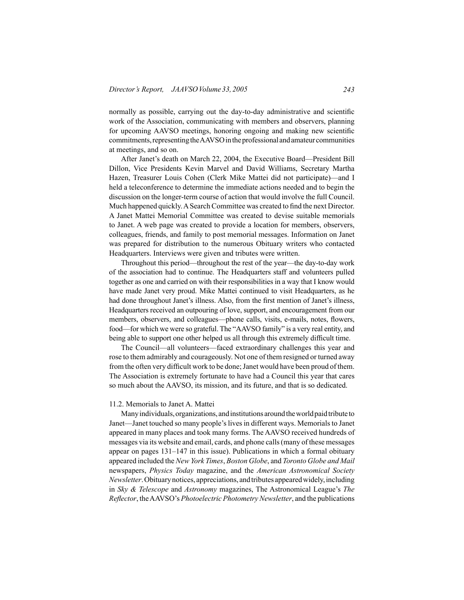normally as possible, carrying out the day-to-day administrative and scientific work of the Association, communicating with members and observers, planning for upcoming AAVSO meetings, honoring ongoing and making new scientific commitments, representing the AAVSO in the professional and amateur communities at meetings, and so on.

 After Janet's death on March 22, 2004, the Executive Board—President Bill Dillon, Vice Presidents Kevin Marvel and David Williams, Secretary Martha Hazen, Treasurer Louis Cohen (Clerk Mike Mattei did not participate)—and I held a teleconference to determine the immediate actions needed and to begin the discussion on the longer-term course of action that would involve the full Council. Much happened quickly.ASearch Committee was created to find the next Director. A Janet Mattei Memorial Committee was created to devise suitable memorials to Janet. A web page was created to provide a location for members, observers, colleagues, friends, and family to post memorial messages. Information on Janet was prepared for distribution to the numerous Obituary writers who contacted Headquarters. Interviews were given and tributes were written.

 Throughout this period—throughout the rest of the year—the day-to-day work of the association had to continue. The Headquarters staff and volunteers pulled together as one and carried on with their responsibilities in a way that I know would have made Janet very proud. Mike Mattei continued to visit Headquarters, as he had done throughout Janet's illness. Also, from the first mention of Janet's illness, Headquarters received an outpouring of love, support, and encouragement from our members, observers, and colleagues—phone calls, visits, e-mails, notes, flowers, food—for which we were so grateful. The "AAVSO family" is a very real entity, and being able to support one other helped us all through this extremely difficult time.

 The Council—all volunteers—faced extraordinary challenges this year and rose to them admirably and courageously. Not one of them resigned or turned away from the often very difficult work to be done; Janet would have been proud of them. The Association is extremely fortunate to have had a Council this year that cares so much about the AAVSO, its mission, and its future, and that is so dedicated.

## 11.2. Memorials to Janet A. Mattei

 Manyindividuals,organizations, andinstitutions aroundtheworldpaidtribute to Janet—Janet touched so many people'slivesin different ways. Memorialsto Janet appeared in many places and took many forms. The AAVSO received hundreds of messages via its website and email, cards, and phone calls(many of these messages appear on pages 131–147 in this issue). Publications in which a formal obituary appeared included the *New York Times*, *Boston Globe*, and *Toronto Globe and Mail* newspapers, *Physics Today* magazine, and the *American Astronomical Society Newsletter*. Obituary notices, appreciations, and tributes appeared widely, including in *Sky & Telescope* and *Astronomy* magazines, The Astronomical League's *The Reflector*, theAAVSO's *Photoelectric Photometry Newsletter*, and the publications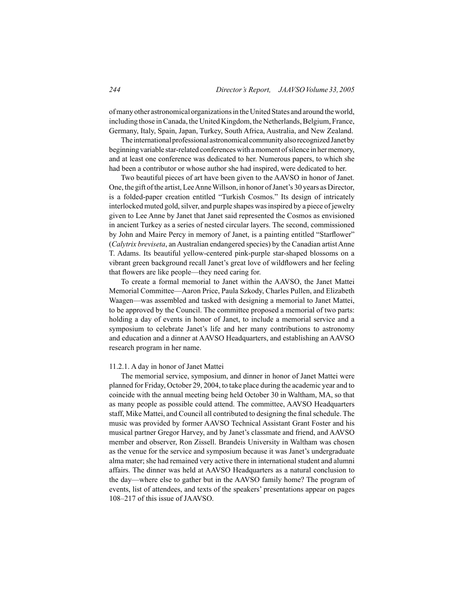ofmany other astronomical organizationsin theUnitedStates and around theworld, including those in Canada, the United Kingdom, the Netherlands, Belgium, France, Germany, Italy, Spain, Japan, Turkey, South Africa, Australia, and New Zealand.

The international professional astronomical community also recognized Janet by beginning variable star-related conferenceswith amoment ofsilence in hermemory, and at least one conference was dedicated to her. Numerous papers, to which she had been a contributor or whose author she had inspired, were dedicated to her.

 Two beautiful pieces of art have been given to the AAVSO in honor of Janet. One, the gift ofthe artist, LeeAnneWillson, in honor ofJanet's 30 years as Director, is a folded-paper creation entitled "Turkish Cosmos." Its design of intricately interlocked muted gold, silver, and purple shapes was inspired by a piece of jewelry given to Lee Anne by Janet that Janet said represented the Cosmos as envisioned in ancient Turkey as a series of nested circular layers. The second, commissioned by John and Maire Percy in memory of Janet, is a painting entitled "Starflower" (*Calytrix breviseta*, anAustralian endangered species) by the Canadian artistAnne T. Adams. Its beautiful yellow-centered pink-purple star-shaped blossoms on a vibrant green background recall Janet's great love of wildflowers and her feeling that flowers are like people—they need caring for.

 To create a formal memorial to Janet within the AAVSO, the Janet Mattei Memorial Committee—Aaron Price, Paula Szkody, Charles Pullen, and Elizabeth Waagen—was assembled and tasked with designing a memorial to Janet Mattei, to be approved by the Council. The committee proposed a memorial of two parts: holding a day of events in honor of Janet, to include a memorial service and a symposium to celebrate Janet's life and her many contributions to astronomy and education and a dinner at AAVSO Headquarters, and establishing an AAVSO research program in her name.

## 11.2.1. A day in honor of Janet Mattei

 The memorial service, symposium, and dinner in honor of Janet Mattei were planned for Friday, October 29, 2004, to take place during the academic year and to coincide with the annual meeting being held October 30 in Waltham, MA, so that as many people as possible could attend. The committee, AAVSO Headquarters staff, Mike Mattei, and Council all contributed to designing the finalschedule. The music was provided by former AAVSO Technical Assistant Grant Foster and his musical partner Gregor Harvey, and by Janet's classmate and friend, and AAVSO member and observer, Ron Zissell. Brandeis University in Waltham was chosen as the venue for the service and symposium because it was Janet's undergraduate alma mater; she had remained very active there in international student and alumni affairs. The dinner was held at AAVSO Headquarters as a natural conclusion to the day—where else to gather but in the AAVSO family home? The program of events, list of attendees, and texts of the speakers' presentations appear on pages 108–217 of this issue of JAAVSO.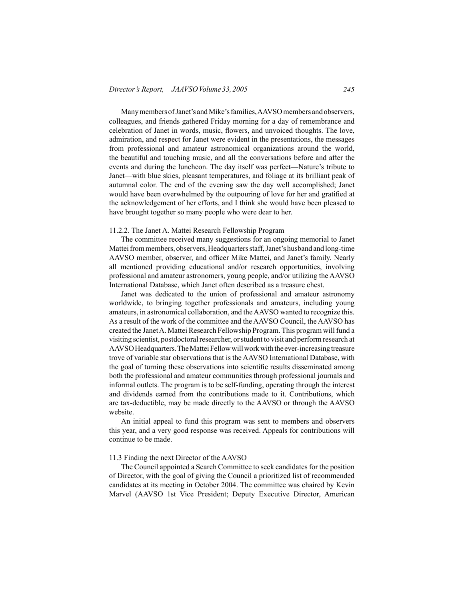Many members of Janet's and Mike's families, AAVSO members and observers, colleagues, and friends gathered Friday morning for a day of remembrance and celebration of Janet in words, music, flowers, and unvoiced thoughts. The love, admiration, and respect for Janet were evident in the presentations, the messages from professional and amateur astronomical organizations around the world, the beautiful and touching music, and all the conversations before and after the events and during the luncheon. The day itself was perfect—Nature's tribute to Janet—with blue skies, pleasant temperatures, and foliage at its brilliant peak of autumnal color. The end of the evening saw the day well accomplished; Janet would have been overwhelmed by the outpouring of love for her and gratified at the acknowledgement of her efforts, and I think she would have been pleased to have brought together so many people who were dear to her.

#### 11.2.2. The Janet A. Mattei Research Fellowship Program

 The committee received many suggestions for an ongoing memorial to Janet Mattei from members, observers, Headquarters staff, Janet's husband and long-time AAVSO member, observer, and officer Mike Mattei, and Janet's family. Nearly all mentioned providing educational and/or research opportunities, involving professional and amateur astronomers, young people, and/or utilizing the AAVSO International Database, which Janet often described as a treasure chest.

 Janet was dedicated to the union of professional and amateur astronomy worldwide, to bringing together professionals and amateurs, including young amateurs, in astronomical collaboration, and theAAVSO wanted to recognize this. As a result of the work of the committee and the AAVSO Council, the AAVSO has created the Janet A. Mattei Research Fellowship Program. This program will fund a visiting scientist, postdoctoral researcher, or student to visit and perform research at AAVSO Headquarters. The Mattei Fellow will work with the ever-increasing treasure trove of variable star observations that is the AAVSO International Database, with the goal of turning these observations into scientific results disseminated among both the professional and amateur communities through professional journals and informal outlets. The program is to be self-funding, operating through the interest and dividends earned from the contributions made to it. Contributions, which are tax-deductible, may be made directly to the AAVSO or through the AAVSO website.

 An initial appeal to fund this program was sent to members and observers this year, and a very good response was received. Appeals for contributions will continue to be made.

#### 11.3 Finding the next Director of the AAVSO

 The Council appointed a Search Committee to seek candidates for the position of Director, with the goal of giving the Council a prioritized list of recommended candidates at its meeting in October 2004. The committee was chaired by Kevin Marvel (AAVSO 1st Vice President; Deputy Executive Director, American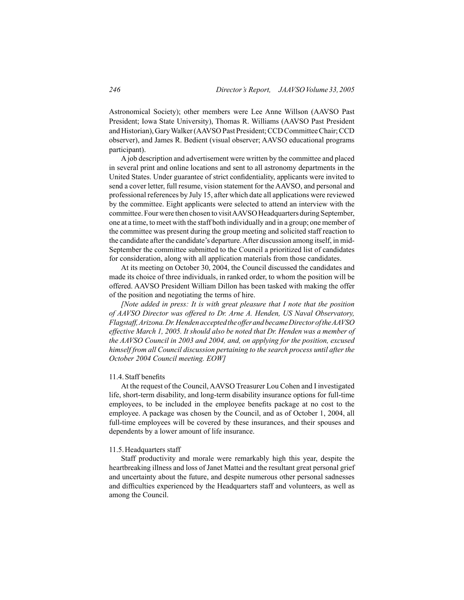Astronomical Society); other members were Lee Anne Willson (AAVSO Past President; Iowa State University), Thomas R. Williams (AAVSO Past President and Historian), Gary Walker (AAVSO Past President; CCD Committee Chair; CCD observer), and James R. Bedient (visual observer; AAVSO educational programs participant).

 Ajob description and advertisement were written by the committee and placed in several print and online locations and sent to all astronomy departments in the United States. Under guarantee of strict confidentiality, applicants were invited to send a cover letter, full resume, vision statement for the AAVSO, and personal and professional references by July 15, after which date all applications were reviewed by the committee. Eight applicants were selected to attend an interview with the committee. Four were then chosen to visit AAVSO Headquarters during September, one at a time, to meet with the staff both individually and in a group; one member of the committee was present during the group meeting and solicited staff reaction to the candidate after the candidate's departure.After discussion among itself, in mid-September the committee submitted to the Council a prioritized list of candidates for consideration, along with all application materials from those candidates.

 At its meeting on October 30, 2004, the Council discussed the candidates and made its choice of three individuals, in ranked order, to whom the position will be offered. AAVSO President William Dillon has been tasked with making the offer of the position and negotiating the terms of hire.

*[Note added in press: It is with great pleasure that I note that the position of AAVSO Director was offered to Dr. Arne A. Henden, US Naval Observatory, Flagstaff, Arizona. Dr. Henden accepted the offer and became Director of the AAVSO effective March 1, 2005. It should also be noted that Dr. Henden was a member of the AAVSO Council in 2003 and 2004, and, on applying for the position, excused himself from all Council discussion pertaining to the search process until after the October 2004 Council meeting. EOW]*

#### 11.4.Staff benefits

 At the request of the Council,AAVSO Treasurer Lou Cohen and I investigated life, short-term disability, and long-term disability insurance options for full-time employees, to be included in the employee benefits package at no cost to the employee. A package was chosen by the Council, and as of October 1, 2004, all full-time employees will be covered by these insurances, and their spouses and dependents by a lower amount of life insurance.

#### 11.5.Headquarters staff

 Staff productivity and morale were remarkably high this year, despite the heartbreaking illness and loss of Janet Mattei and the resultant great personal grief and uncertainty about the future, and despite numerous other personal sadnesses and difficulties experienced by the Headquarters staff and volunteers, as well as among the Council.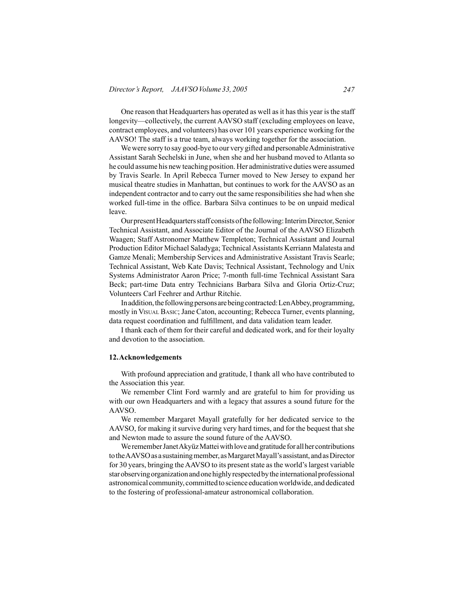One reason that Headquarters has operated as well as it has this year is the staff longevity—collectively, the current AAVSO staff (excluding employees on leave, contract employees, and volunteers) has over 101 years experience working for the AAVSO! The staff is a true team, always working together for the association.

We were sorry to say good-bye to our very gifted and personable Administrative Assistant Sarah Sechelski in June, when she and her husband moved to Atlanta so he could assume his new teaching position. Her administrative duties were assumed by Travis Searle. In April Rebecca Turner moved to New Jersey to expand her musical theatre studies in Manhattan, but continues to work for the AAVSO as an independent contractor and to carry out the same responsibilities she had when she worked full-time in the office. Barbara Silva continues to be on unpaid medical leave.

Our present Headquarters staff consists of the following: Interim Director, Senior Technical Assistant, and Associate Editor of the Journal of the AAVSO Elizabeth Waagen; Staff Astronomer Matthew Templeton; Technical Assistant and Journal Production Editor Michael Saladyga; Technical Assistants Kerriann Malatesta and Gamze Menali; Membership Services and Administrative Assistant Travis Searle; Technical Assistant, Web Kate Davis; Technical Assistant, Technology and Unix Systems Administrator Aaron Price; 7-month full-time Technical Assistant Sara Beck; part-time Data entry Technicians Barbara Silva and Gloria Ortiz-Cruz; Volunteers Carl Feehrer and Arthur Ritchie.

In addition, the following persons are being contracted: LenAbbey, programming, mostly in Visual Basic; Jane Caton, accounting; Rebecca Turner, events planning, data request coordination and fulfillment, and data validation team leader.

 I thank each of them for their careful and dedicated work, and for their loyalty and devotion to the association.

## **12.Acknowledgements**

 With profound appreciation and gratitude, I thank all who have contributed to the Association this year.

 We remember Clint Ford warmly and are grateful to him for providing us with our own Headquarters and with a legacy that assures a sound future for the AAVSO.

 We remember Margaret Mayall gratefully for her dedicated service to the AAVSO, for making it survive during very hard times, and for the bequest that she and Newton made to assure the sound future of the AAVSO.

We remember Janet Akyüz Mattei with love and gratitude for all her contributions to the AAVSO as a sustaining member, as Margaret Mayall's assistant, and as Director for 30 years, bringing the AAVSO to its present state as the world's largest variable star observing organization and one highly respected by the international professional astronomical community, committed to science education worldwide, and dedicated to the fostering of professional-amateur astronomical collaboration.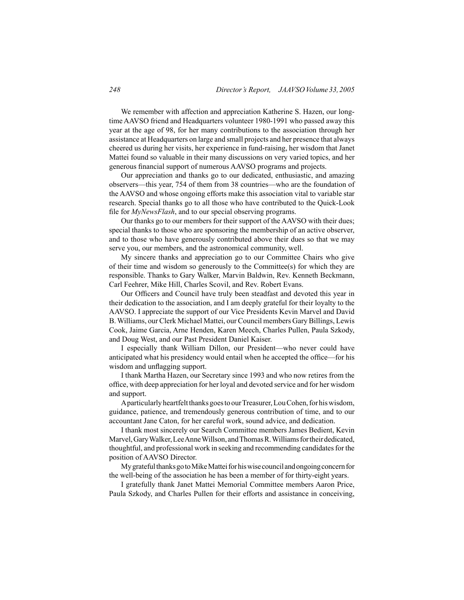We remember with affection and appreciation Katherine S. Hazen, our longtime AAVSO friend and Headquarters volunteer 1980-1991 who passed away this year at the age of 98, for her many contributions to the association through her assistance at Headquarters on large and small projects and her presence that always cheered us during her visits, her experience in fund-raising, her wisdom that Janet Mattei found so valuable in their many discussions on very varied topics, and her generous financial support of numerous AAVSO programs and projects.

 Our appreciation and thanks go to our dedicated, enthusiastic, and amazing observers—this year, 754 of them from 38 countries—who are the foundation of the AAVSO and whose ongoing efforts make this association vital to variable star research. Special thanks go to all those who have contributed to the Quick-Look file for *MyNewsFlash*, and to our special observing programs.

 Our thanks go to our members for their support of the AAVSO with their dues; special thanks to those who are sponsoring the membership of an active observer, and to those who have generously contributed above their dues so that we may serve you, our members, and the astronomical community, well.

 My sincere thanks and appreciation go to our Committee Chairs who give of their time and wisdom so generously to the Committee(s) for which they are responsible. Thanks to Gary Walker, Marvin Baldwin, Rev. Kenneth Beckmann, Carl Feehrer, Mike Hill, Charles Scovil, and Rev. Robert Evans.

 Our Officers and Council have truly been steadfast and devoted this year in their dedication to the association, and I am deeply grateful for their loyalty to the AAVSO. I appreciate the support of our Vice Presidents Kevin Marvel and David B.Williams, our Clerk Michael Mattei, our Council members Gary Billings, Lewis Cook, Jaime Garcia, Arne Henden, Karen Meech, Charles Pullen, Paula Szkody, and Doug West, and our Past President Daniel Kaiser.

 I especially thank William Dillon, our President—who never could have anticipated what his presidency would entail when he accepted the office—for his wisdom and unflagging support.

 I thank Martha Hazen, our Secretary since 1993 and who now retires from the office, with deep appreciation for her loyal and devoted service and for her wisdom and support.

Aparticularly heartfelt thanks goes to our Treasurer, Lou Cohen, for his wisdom, guidance, patience, and tremendously generous contribution of time, and to our accountant Jane Caton, for her careful work, sound advice, and dedication.

 I thank most sincerely our Search Committee members James Bedient, Kevin Marvel, Gary Walker, Lee Anne Willson, and Thomas R. Williams for their dedicated, thoughtful, and professional work in seeking and recommending candidatesfor the position of AAVSO Director.

My grateful thanks go to Mike Mattei for his wise council and ongoing concern for the well-being of the association he has been a member of for thirty-eight years.

 I gratefully thank Janet Mattei Memorial Committee members Aaron Price, Paula Szkody, and Charles Pullen for their efforts and assistance in conceiving,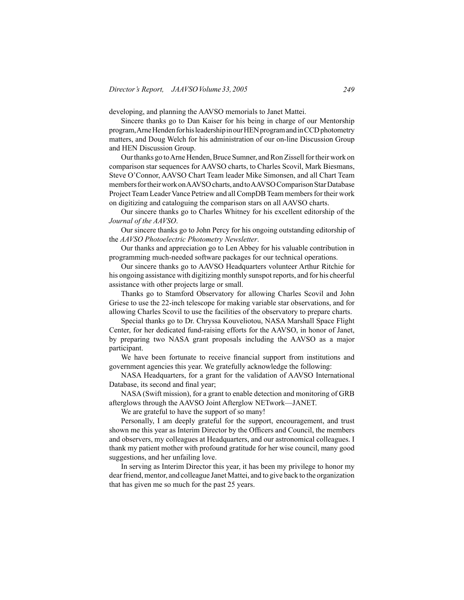developing, and planning the AAVSO memorials to Janet Mattei.

 Sincere thanks go to Dan Kaiser for his being in charge of our Mentorship program, Arne Henden for his leadership in our HEN program and in CCD photometry matters, and Doug Welch for his administration of our on-line Discussion Group and HEN Discussion Group.

Our thanks go to Arne Henden, Bruce Sumner, and Ron Zissell for their work on comparison star sequences for AAVSO charts, to Charles Scovil, Mark Biesmans, Steve O'Connor, AAVSO Chart Team leader Mike Simonsen, and all Chart Team members for their work on AAVSO charts, and to AAVSO Comparison Star Database Project Team Leader Vance Petriew and all CompDB Team members for their work on digitizing and cataloguing the comparison stars on all AAVSO charts.

 Our sincere thanks go to Charles Whitney for his excellent editorship of the *Journal of the AAVSO*.

 Our sincere thanks go to John Percy for his ongoing outstanding editorship of the *AAVSO Photoelectric Photometry Newsletter*.

 Our thanks and appreciation go to Len Abbey for his valuable contribution in programming much-needed software packages for our technical operations.

 Our sincere thanks go to AAVSO Headquarters volunteer Arthur Ritchie for his ongoing assistance with digitizing monthly sunspot reports, and for his cheerful assistance with other projects large or small.

 Thanks go to Stamford Observatory for allowing Charles Scovil and John Griese to use the 22-inch telescope for making variable star observations, and for allowing Charles Scovil to use the facilities of the observatory to prepare charts.

 Special thanks go to Dr. Chryssa Kouveliotou, NASA Marshall Space Flight Center, for her dedicated fund-raising efforts for the AAVSO, in honor of Janet, by preparing two NASA grant proposals including the AAVSO as a major participant.

 We have been fortunate to receive financial support from institutions and government agencies this year. We gratefully acknowledge the following:

 NASA Headquarters, for a grant for the validation of AAVSO International Database, its second and final year;

 NASA (Swift mission), for a grant to enable detection and monitoring of GRB afterglows through the AAVSO Joint Afterglow NETwork—JANET.

 We are grateful to have the support of so many!

 Personally, I am deeply grateful for the support, encouragement, and trust shown me this year as Interim Director by the Officers and Council, the members and observers, my colleagues at Headquarters, and our astronomical colleagues. I thank my patient mother with profound gratitude for her wise council, many good suggestions, and her unfailing love.

 In serving as Interim Director this year, it has been my privilege to honor my dear friend, mentor, and colleague Janet Mattei, and to give back to the organization that has given me so much for the past 25 years.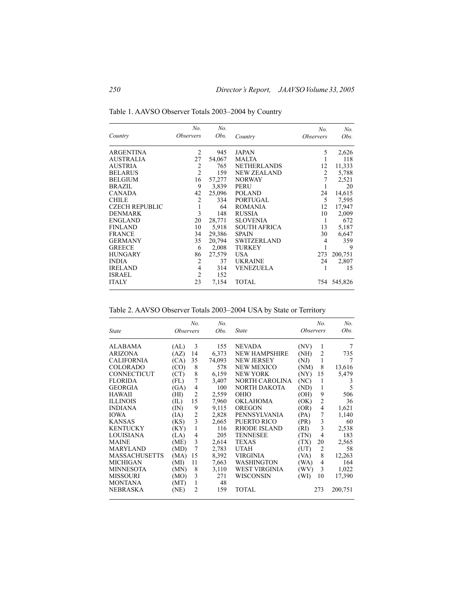| Country               | No.<br><i><b>Observers</b></i> | No.<br>Obs. | Country             | No.<br><i><b>Observers</b></i> | No.<br>Obs. |
|-----------------------|--------------------------------|-------------|---------------------|--------------------------------|-------------|
| <b>ARGENTINA</b>      | 2                              | 945         | <b>JAPAN</b>        | 5                              | 2,626       |
| <b>AUSTRALIA</b>      | 27                             | 54,067      | <b>MALTA</b>        |                                | 118         |
| <b>AUSTRIA</b>        | 2                              | 765         | <b>NETHERLANDS</b>  | 12                             | 11,333      |
| <b>BELARUS</b>        | $\overline{2}$                 | 159         | <b>NEW ZEALAND</b>  | 2                              | 5,788       |
| <b>BELGIUM</b>        | 16                             | 57,277      | <b>NORWAY</b>       |                                | 2,521       |
| <b>BRAZIL</b>         | 9                              | 3,839       | <b>PERU</b>         |                                | 20          |
| <b>CANADA</b>         | 42                             | 25,096      | <b>POLAND</b>       | 24                             | 14,615      |
| <b>CHILE</b>          | $\overline{2}$                 | 334         | <b>PORTUGAL</b>     | 5                              | 7,595       |
| <b>CZECH REPUBLIC</b> | 1                              | 64          | <b>ROMANIA</b>      | 12                             | 17,947      |
| <b>DENMARK</b>        | 3                              | 148         | <b>RUSSIA</b>       | 10                             | 2,009       |
| <b>ENGLAND</b>        | 20                             | 28,771      | <b>SLOVENIA</b>     | 1                              | 672         |
| <b>FINLAND</b>        | 10                             | 5,918       | <b>SOUTH AFRICA</b> | 13                             | 5,187       |
| <b>FRANCE</b>         | 34                             | 29,386      | <b>SPAIN</b>        | 30                             | 6,647       |
| <b>GERMANY</b>        | 35                             | 20,794      | <b>SWITZERLAND</b>  | $\overline{4}$                 | 359         |
| <b>GREECE</b>         | 6                              | 2,008       | <b>TURKEY</b>       | 1                              | 9           |
| <b>HUNGARY</b>        | 86                             | 27,579      | USA.                | 273                            | 200,751     |
| <b>INDIA</b>          | $\overline{2}$                 | 37          | <b>UKRAINE</b>      | 24                             | 2,807       |
| <b>IRELAND</b>        | 4                              | 314         | VENEZUELA           |                                | 15          |
| <b>ISRAEL</b>         | $\overline{2}$                 | 152         |                     |                                |             |
| <b>ITALY</b>          | 23                             | 7,154       | <b>TOTAL</b>        |                                | 754 545,826 |

Table 1. AAVSO Observer Totals 2003–2004 by Country

Table 2. AAVSO Observer Totals 2003–2004 USA by State or Territory

|                      |                         | No.            | No.    |                      |                         | No.                     | No.     |
|----------------------|-------------------------|----------------|--------|----------------------|-------------------------|-------------------------|---------|
| <b>State</b>         | <i><b>Observers</b></i> |                | Obs.   | <b>State</b>         | <i><b>Observers</b></i> |                         | Obs.    |
| <b>ALABAMA</b>       | (AL)                    | 3              | 155    | <b>NEVADA</b>        | (NV)                    | 1                       | 7       |
| <b>ARIZONA</b>       | (AZ)                    | 14             | 6,373  | <b>NEW HAMPSHIRE</b> | (NH)                    | 2                       | 735     |
| <b>CALIFORNIA</b>    | (CA)                    | 35             | 74,093 | <b>NEW JERSEY</b>    | (NJ)                    | 1                       | 7       |
| <b>COLORADO</b>      | (CO)                    | 8              | 578    | <b>NEW MEXICO</b>    | (NM)                    | 8                       | 13,616  |
| <b>CONNECTICUT</b>   | (CT)                    | 8              | 6,159  | <b>NEW YORK</b>      | (NY)                    | 15                      | 5,479   |
| <b>FLORIDA</b>       | (FL)                    | 7              | 3,407  | NORTH CAROLINA       | (NC)                    | 1                       | 3       |
| <b>GEORGIA</b>       | (GA)                    | 4              | 100    | NORTH DAKOTA         | (ND)                    | 1                       | 5       |
| <b>HAWAII</b>        | (HI)                    | $\overline{2}$ | 2,559  | <b>OHIO</b>          | (OH)                    | 9                       | 506     |
| <b>ILLINOIS</b>      | (IL)                    | 15             | 7,960  | <b>OKLAHOMA</b>      | (OK)                    | $\overline{\mathbf{c}}$ | 36      |
| <b>INDIANA</b>       | (IN)                    | 9              | 9,115  | <b>OREGON</b>        | (OR)                    | 4                       | 1,621   |
| <b>IOWA</b>          | (IA)                    | $\overline{2}$ | 2,828  | PENNSYLVANIA         | (PA)                    | 7                       | 1,140   |
| <b>KANSAS</b>        | (KS)                    | 3              | 2,665  | PUERTO RICO          | (PR)                    | 3                       | 60      |
| <b>KENTUCKY</b>      | (KY)                    | 1              | 116    | <b>RHODE ISLAND</b>  | (RI)                    | 3                       | 2,538   |
| <b>LOUISIANA</b>     | (LA)                    | 4              | 205    | <b>TENNESEE</b>      | (TN)                    | 4                       | 183     |
| <b>MAINE</b>         | (ME)                    | 3              | 2,614  | <b>TEXAS</b>         | (TX)                    | 20                      | 2,565   |
| <b>MARYLAND</b>      | (MD)                    | 7              | 2,783  | <b>UTAH</b>          | (UT)                    | 2                       | 58      |
| <b>MASSACHUSETTS</b> | (MA)                    | 15             | 8,392  | VIRGINIA             | (VA)                    | 8                       | 12,263  |
| MICHIGAN             | (MI)                    | 11             | 7,663  | WASHINGTON           | (W <sub>A</sub> )       | 4                       | 164     |
| <b>MINNESOTA</b>     | (MN)                    | 8              | 3,110  | <b>WEST VIRGINIA</b> | (WV)                    | 3                       | 1,022   |
| <b>MISSOURI</b>      | (MO)                    | 3              | 271    | WISCONSIN            | (WI)                    | 10                      | 17,390  |
| <b>MONTANA</b>       | (MT)                    | 1              | 48     |                      |                         |                         |         |
| <b>NEBRASKA</b>      | (NE)                    | 2              | 159    | <b>TOTAL</b>         |                         | 273                     | 200,751 |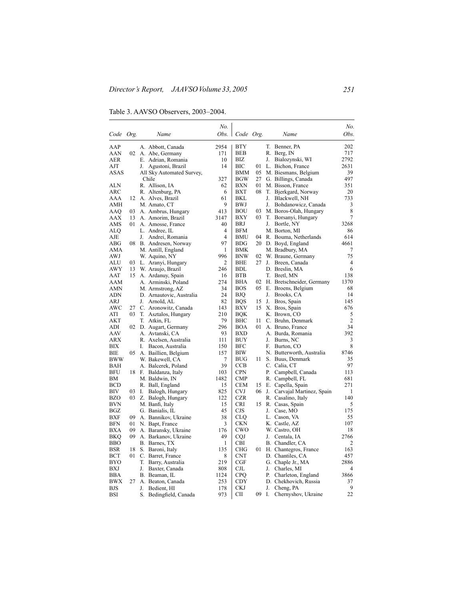Table 3. AAVSO Observers, 2003–2004.

|             |     |    |                           | No.            |            |    |    |                           | No.            |
|-------------|-----|----|---------------------------|----------------|------------|----|----|---------------------------|----------------|
| Code Org.   |     |    | Name                      | Obs.           | Code Org.  |    |    | Name                      | Obs.           |
| AAP         |     |    | A. Abbott, Canada         | 2954           | BTY        |    | T. | Benner, PA                | 202            |
| AAN         | 02  |    | A. Abe, Germany           | 171            | BEB        |    |    | R. Berg, IN               | 717            |
| AER         |     |    | E. Adrian, Romania        | 10             | ВIZ        |    | J. | Bialozynski, WI           | 2792           |
| AJT         |     | J. | Agustoni, Brazil          | 14             | ВIС        | 01 |    | L. Bichon, France         | 2631           |
| <b>ASAS</b> |     |    | All Sky Automated Survey, |                | BMM        | 05 |    | M. Biesmans, Belgium      | 39             |
|             |     |    | Chile                     | 327            | <b>BGW</b> | 27 |    | G. Billings, Canada       | 497            |
| ALN         |     |    | R. Allison, IA            | 62             | BXN        | 01 |    | M. Bisson, France         | 351            |
| ARC         |     |    | R. Altenburg, PA          | 6              | BXT        | 08 |    | T. Bjerkgard, Norway      | 20             |
| AAA         | 12  |    | A. Alves, Brazil          | 61             | BKL        |    | J. | Blackwell, NH             | 733            |
| AMH         |     |    | M. Amato, CT              | 9              | BWJ        |    | J. | Bohdanowicz, Canada       | 3              |
| AAQ         | 03  |    | A. Ambrus, Hungary        | 413            | BOU        | 03 |    | M. Boros-Olah, Hungary    | 8              |
| AAX         | 13  |    | A. Amorim, Brazil         | 3147           | BXY        | 03 |    | T. Borsanyi, Hungary      | $\overline{7}$ |
| AMS         | 01. |    | A. Amosse, France         | 40             | BRJ        |    | J. | Bortle, NY                | 3268           |
| ALQ         |     |    | L. Andree, IL             | 4              | BFM        |    |    | M. Borton, MI             | 86             |
| AJE         |     | J. | Andrei, Romania           | 4              | BMU        | 04 |    | R. Bouma, Netherlands     | 614            |
| ABG         |     |    | 08 B. Andresen, Norway    | 97             | <b>BDG</b> |    |    | 20 D. Boyd, England       | 4661           |
| AMA         |     |    | M. Antill, England        | 1              | <b>BMK</b> |    |    | M. Bradbury, MA           | 7              |
| AWJ         |     |    | W. Aquino, NY             | 996            | <b>BNW</b> | 02 |    | W. Braune, Germany        | 75             |
| ALU         | 03  |    | L. Aranyi, Hungary        | $\overline{2}$ | BHE        | 27 | J. | Breen, Canada             | $\overline{4}$ |
| <b>AWY</b>  | 13  |    | W. Araujo, Brazil         | 246            | BDL        |    |    | D. Breslin, MA            | 6              |
| AAT         |     |    | 15 A. Ardanuy, Spain      | 16             | <b>BTB</b> |    |    | T. Bretl, MN              | 138            |
| AAM         |     |    | A. Arminski, Poland       | 274            | BHA        | 02 |    | H. Bretschneider, Germany | 1370           |
| AMN         |     |    | M. Armstrong, AZ          | 34             | <b>BOS</b> | 05 |    | E. Broens, Belgium        | 68             |
| ADN         |     |    | D. Arnautovic, Australia  | 24             | ВJО        |    | J. | Brooks, CA                | 14             |
| ARJ         |     | J. | Arnold, AL                | 82             | BQS        | 15 | J. | Bros, Spain               | 145            |
| AWC         | 27  |    | C. Aronowitz, Canada      | 143            | BXV        | 15 |    | X. Bros, Spain            | 676            |
| ATI         | 03  |    | T. Asztalos, Hungary      | 210            | BOK        |    |    | K. Brown, CO              | 5              |
| AKT         |     |    | T. Atkin, FL              | 79             | BHC        | 11 |    | C. Bruhn, Denmark         | $\overline{2}$ |
| ADI         | 02  |    | D. Augart, Germany        | 296            | BOA        | 01 |    | A. Bruno, France          | 34             |
| AAV         |     |    | A. Avtanski, CA           | 93             | BXD        |    |    | A. Burda, Romania         | 392            |
| ARX         |     |    | R. Axelsen, Australia     | 111            | BUY        |    | J. | Burns, NC                 | 3              |
| ВIХ         |     | I. | Bacon, Australia          | 150            | BFC        |    | F. | Burton, CO                | 8              |
| BIE         | 05  |    | A. Baillien, Belgium      | 157            | <b>BIW</b> |    |    | N. Butterworth, Australia | 8746           |
| BWW         |     |    | W. Bakewell, CA           | 7              | BUG        | 11 | S. | Buus, Denmark             | 35             |
| BAH         |     |    | A. Balcerek, Poland       | 39             | CCB        |    |    | C. Calia, CT              | 97             |
| BFU         |     |    | 18 F. Baldanza, Italy     | 103            | <b>CPN</b> |    | Р. | Campbell, Canada          | 113            |
| ВM          |     |    | M. Baldwin, IN            | 1482           | <b>CMP</b> |    |    | R. Campbell, FL           | 681            |
| <b>BCD</b>  |     |    | R. Ball, England          | 15             | <b>CEM</b> | 15 |    | E. Capella, Spain         | 271            |
| BIV         | 03  | Ι. | Balogh, Hungary           | 825            | CVJ        | 06 | J. | Carvajal Martinez, Spain  | 1              |
| BZO         | 03  |    | Z. Balogh, Hungary        | 122            | CZR        |    |    | R. Casalino, Italy        | 140            |
| <b>BVN</b>  |     |    | M. Banfi, Italy           | 15             | CRI        | 15 |    | R. Casas, Spain           | 5              |
| <b>BGZ</b>  |     |    | G. Banialis, IL           | 45             | <b>CJS</b> |    | J. | Case, MO                  | 175            |
| <b>BXF</b>  | 09  |    | A. Bannikov, Ukraine      | 38             | CLQ        |    |    | L. Cason, VA              | 55             |
| <b>BFN</b>  | 01  |    | N. Bapt, France           | 3              | CKN        |    |    | K. Castle, AZ             | 107            |
| BXA         | 09  |    | A. Baransky, Ukraine      | 176            | CWO        |    |    | W. Castro, OH             | 18             |
| BKO         | 09  |    | A. Barkanov, Ukraine      | 49             | CQJ        |    | J. | Centala, IA               | 2766           |
| <b>BBO</b>  |     |    | B. Barnes, TX             | 1              | CBI        |    |    | B. Chandler, CA           | 2              |
| <b>BSR</b>  | 18  |    | S. Baroni, Italy          | 135            | CHG        | 01 |    | H. Chantegros, France     | 163            |
| <b>BCT</b>  | 01  |    | C. Barret, France         | 8              | <b>CNT</b> |    |    | D. Chantiles, CA          | 457            |
| BYO         |     | T. | Barry, Australia          | 219            | CGF        |    |    | G. Chaple Jr., MA         | 2886           |
| BXJ         |     | J. | Baxter, Canada            | 808            | CJL        |    | J. | Charles, MI               | 4              |
| BBA         |     |    | B. Beaman, IL             | 1124           | <b>CPO</b> |    | Р. | Charleton, England        | 3866           |
| BWX         | 27  |    | A. Beaton, Canada         | 253            | CDY        |    |    | D. Chekhovich, Russia     | 37             |
| BJS         |     | J. | Bedient, HI               | 178            | CKJ        |    | J. | Cheng, PA                 | 9              |
| BSI         |     | S. | Bedingfield, Canada       | 973            | CП         | 09 | I. | Chernyshov, Ukraine       | 22             |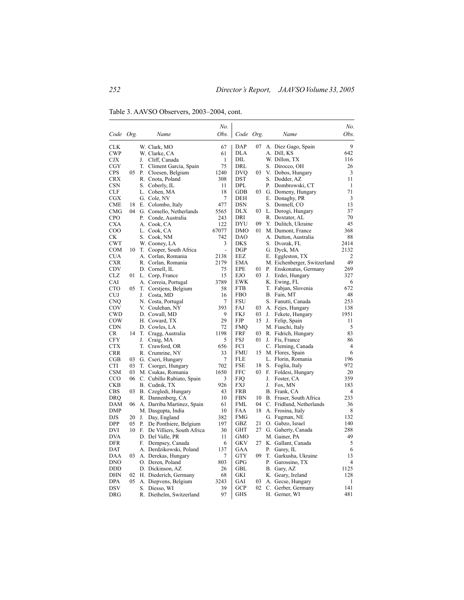Table 3. AAVSO Observers, 2003–2004, cont.

|                   |    |       |                                       | No.                      |                   |     |          |                                         | No.         |
|-------------------|----|-------|---------------------------------------|--------------------------|-------------------|-----|----------|-----------------------------------------|-------------|
| Code Org.         |    |       | Name                                  | Obs.                     | Code Org.         |     |          | Name                                    | Obs.        |
| <b>CLK</b>        |    |       | W. Clark, MO                          | 67                       | <b>DAP</b>        | 07  |          | A. Diez Gago, Spain                     | 9           |
| <b>CWP</b>        |    |       | W. Clarke, CA                         | 61                       | DLA               |     |          | A. Dill, KS                             | 642         |
| CJX               |    | J.    | Cliff, Canada                         | 1                        | DIL               |     |          | W. Dillon, TX                           | 116         |
| CGY               |    | Т.    | Climent Garcia, Spain                 | 75                       | DRL               |     |          | S. Dirocco, OH                          | 26          |
| <b>CPS</b>        | 05 | - P.  | Cloesen, Belgium                      | 1240                     | <b>DVQ</b>        | 03  |          | V. Dobos, Hungary                       | 3           |
| <b>CRX</b>        |    |       | R. Cnota, Poland                      | 308                      | DST               |     |          | S. Dodder, AZ                           | 11          |
| <b>CSN</b>        |    |       | S. Coberly, IL                        | 11                       | DPL               |     | Р.       | Dombrowski, CT                          | 1           |
| <b>CLF</b>        |    |       | L. Cohen, MA                          | 18                       | GDB               | 03  |          | G. Domeny, Hungary                      | 71          |
| <b>CGX</b>        |    |       | G. Cole, NV                           | $\tau$                   | DEH               |     |          | E. Donaghy, PR                          | 3           |
| CME               | 18 |       | E. Colombo, Italy                     | 477                      | <b>DSN</b>        |     |          | S. Donnell, CO                          | 13          |
| CMG               | 04 |       | G. Comello, Netherlands               | 5565                     | DLX               | 03. |          | L. Dorogi, Hungary                      | 37          |
| <b>CPO</b>        |    | Р.    | Conde, Australia                      | 243                      | DRI               |     |          | R. Doxtater, AL                         | 70          |
| CXA               |    |       | A. Cook, CA                           | 122                      | DYU               | 09  |          | Y. Dulitch, Ukraine                     | 45          |
| COO               |    |       | L. Cook, CA                           | 67077                    | DMO               | 01  |          | M. Dumont, France                       | 368         |
| СK                |    |       | S. Cook, NM                           | 742                      | <b>DAO</b>        |     |          | A. Dutton, Australia                    | 88          |
| <b>CWT</b>        |    |       | W. Cooney, LA                         | 3                        | <b>DKS</b>        |     |          | S. Dvorak, FL                           | 2414        |
| COM               | 10 |       | T. Cooper, South Africa               | $\overline{\phantom{0}}$ | DGP               |     |          | G. Dyck, MA                             | 2132        |
| CUA               |    |       | A. Corlan, Romania                    | 2138                     | EEZ               |     |          | E. Eggleston, TX                        | 2           |
| CXR               |    |       | R. Corlan, Romania                    | 2179                     | EMA               |     |          | M. Eichenberger, Switzerland            | 49          |
| CDV               |    |       | D. Cornell, IL                        | 75                       | EPE               | 01  |          | P. Enskonatus, Germany                  | 269         |
| CLZ               |    |       | 01 L. Corp, France                    | 15                       | EJO               | 03  | J.       | Erdei, Hungary                          | 327         |
| CAI               |    |       | A. Correia, Portugal                  | 3789                     | EWK               |     |          | K. Ewing, FL                            | 6           |
| <b>CTO</b>        | 05 | T.    | Corstjens, Belgium                    | 58                       | <b>FTB</b>        |     | T.       | Fabjan, Slovenia                        | 672         |
| <b>CUJ</b>        |    | J.    | Costa, MD                             | 16                       | FBO               |     |          | B. Fain, MT                             | 48          |
| <b>CNO</b>        |    |       | N. Costa, Portugal                    | 7                        | FSU               |     |          | S. Fanutti, Canada                      | 253         |
| COV               |    |       | V. Coulehan, NY                       | 393                      | <b>FAJ</b>        | 03  |          | A. Fejes, Hungary                       | 138         |
| <b>CWD</b>        |    |       | D. Cowall, MD                         | 9                        | FKJ               | 03  | J.       | Fekete, Hungary                         | 1951        |
| COW               |    |       | H. Coward, TX                         | 29                       | FJP               | 15  |          | J. Felip, Spain                         | 11          |
| <b>CDN</b>        |    |       | D. Cowles, LA                         | 72                       | FMQ               |     |          | M. Fiaschi, Italy                       | 5           |
| CR                |    | 14 T. | Cragg, Australia                      | 1198                     | FRF               | 03  |          | R. Fidrich, Hungary                     | 83          |
| <b>CFY</b>        |    | J.    | Craig, MA                             | 5                        | FSJ               | 01  | J.       | Fis, France                             | 86          |
| <b>CTX</b>        |    |       | T. Crawford, OR                       | 656                      | FCI               |     |          | C. Fleming, Canada                      | 4           |
| <b>CRR</b>        |    |       | R. Crumrine, NY                       | 33                       | FMU               | 15  |          | M. Flores, Spain                        | 6           |
| CGB               | 03 |       | G. Cseri, Hungary                     | 7                        | FLE               |     |          | L. Florin, Romania                      | 196         |
| CTI               | 03 |       | T. Csorgei, Hungary                   | 702                      | <b>FSE</b>        | 18  |          | S. Foglia, Italy                        | 972         |
| <b>CSM</b>        | 03 |       | M. Csukas, Romania                    | 1650                     | FFC               | 03  | F.       | Foldesi, Hungary                        | 20          |
| CCO               |    |       | 06 C. Cubillo Rubiato, Spain          | 3                        | FJQ               |     | J.       | Foster, CA                              | 359         |
| CKB               |    |       | B. Cudnik, TX                         | 926                      | <b>FXJ</b>        |     | J.       | Fox, MN                                 | 183         |
| <b>CBS</b>        | 03 |       | B. Czegledi, Hungary                  | 43                       | <b>FRB</b>        |     |          | B. Frank, CA                            | 4           |
| DRO               |    |       | R. Dannenberg, CA                     | 10                       | <b>FBN</b>        | 10  |          | B. Fraser, South Africa                 | 233         |
| DAM               | 06 |       | A. Darriba Martinez, Spain            | 61                       | FML               | 04  |          | C. Fridlund, Netherlands                | 36          |
| DMP               |    |       | M. Dasgupta, India                    | 10                       | FAA               | 18  |          | A. Frosina, Italy                       | 8           |
| DJS               | 20 | J.    | Day, England                          | 382                      | FMG               |     |          | G. Fugman, NE                           | 132         |
| <b>DPP</b>        | 05 | P.    | De Ponthiere, Belgium                 | 197                      | GBZ               | 21  |          | O. Gabzo, Israel                        | 140         |
| DVI               |    |       | 10 F. De Villiers, South Africa       | 30                       | <b>GHT</b>        | 27  |          | G. Gaherty, Canada                      | 288         |
| <b>DVA</b>        |    |       | D. Del Valle, PR                      | 11                       | GMO               |     |          | M. Gainer, PA                           | 49          |
| <b>DFR</b>        |    |       | F. Dempsey, Canada                    | 6                        | <b>GKV</b>        | 27  |          | K. Gallant, Canada                      | 5           |
| DAT               |    |       | A. Derdzikowski, Poland               | 137                      | GAA<br><b>GTY</b> | 09  | Р.<br>T. | Garey, IL                               | 6<br>13     |
| DAA               | 03 |       | A. Derekas, Hungary                   | 7                        |                   |     |          | Garkusha, Ukraine                       |             |
| DNO<br><b>DDD</b> |    |       | O. Deren, Poland                      | 803                      | GPG<br>GBL        |     | Р.       | Garossino, TX                           | 4           |
|                   | 02 |       | D. Dickinson, AZ                      | 26                       | GKI               |     |          | B. Gary, AZ<br>K. Geary, Ireland        | 1125<br>128 |
| DHN<br><b>DPA</b> | 05 |       | H. Diederich, Germany                 | 68<br>3243               | GAI               | 03  |          |                                         | 1           |
| <b>DSV</b>        |    |       | A. Diepvens, Belgium<br>S. Diesso, WI | 39                       | GCP               | 02  |          | A. Gecse, Hungary<br>C. Gerber, Germany | 141         |
| <b>DRG</b>        |    |       | R. Diethelm, Switzerland              | 97                       | <b>GHS</b>        |     |          | H. Gerner, WI                           | 481         |
|                   |    |       |                                       |                          |                   |     |          |                                         |             |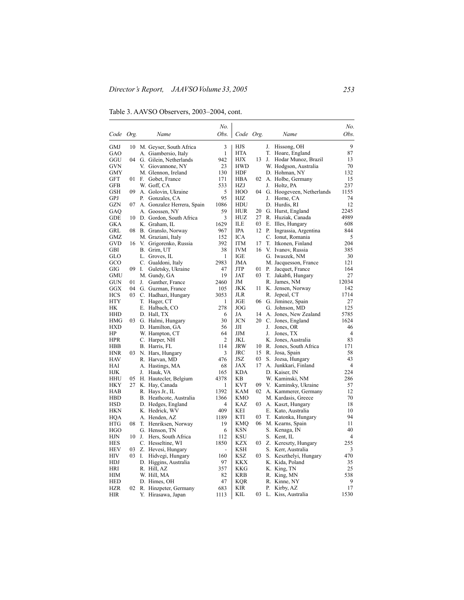Table 3. AAVSO Observers, 2003–2004, cont.

|                  |          |    |                            | No.            |                  |     |    |                           | No.            |
|------------------|----------|----|----------------------------|----------------|------------------|-----|----|---------------------------|----------------|
| Code Org.        |          |    | Name                       | Obs.           | Code Org.        |     |    | Name                      | Obs.           |
| GMJ              |          |    | 10 M. Geyser, South Africa | 3              | HJS              |     | J. | Hissong, OH               | 9              |
| GAO              |          |    | A. Giambersio, Italy       | 1              | HTA              |     | T. | Hoare, England            | 87             |
| GGU              |          |    | 04 G. Gilein, Netherlands  | 942            | НJХ              | 13  | J. | Hodar Munoz, Brazil       | 13             |
| GVN              |          |    | V. Giovannone, NY          | 23             | <b>HWD</b>       |     |    | W. Hodgson, Australia     | 70             |
| GMY              |          |    | M. Glennon, Ireland        | 130            | HDF              |     |    | D. Hohman, NY             | 132            |
| GFT              | 01 -     |    | F. Gobet, France           | 171            | HBA              | 02  |    | A. Holbe, Germany         | 15             |
| GFB              |          |    | W. Goff, CA                | 533            | HZJ              |     |    | J. Holtz, PA              | 237            |
| GSH              | 09.      |    | A. Golovin, Ukraine        | 5              | HOO              | 04  |    | G. Hoogeveen, Netherlands | 1155           |
| GPJ              |          | Р. | Gonzales, CA               | 95             | HJZ              |     | J. | Horne, CA                 | 74             |
| GZN              | 07       |    | A. Gonzalez Herrera, Spain | 1086           | HDU              |     |    | D. Hurdis, RI             | 12             |
| GAQ              |          |    | A. Goossen, NY             | 59             | <b>HUR</b>       | 20  |    | G. Hurst, England         | 2245           |
| GDE              |          |    | 10 D. Gordon, South Africa | 3              | HUZ              | 27  |    | R. Huziak, Canada         | 4989           |
| GKA              |          |    | K. Graham, IL              | 1629           | ILE              | 03  |    | E. Illes, Hungary         | 608            |
| GRL              |          |    | 08 B. Granslo, Norway      | 967            | IPA              | 12  |    | P. Ingrassia, Argentina   | 844            |
| GMZ              |          |    | M. Graziani, Italy         | 152            | ICA              |     |    | C. Ionut, Romania         | 5              |
| GVD              |          |    | 16 V. Grigorenko, Russia   | 392            | <b>ITM</b>       | 17  |    | T. Itkonen, Finland       | 204            |
| GBI              |          |    | B. Grim, UT                | 38             | <b>IVM</b>       | 16  |    | V. Ivanov, Russia         | 385            |
| GLO              |          |    | L. Groves, IL              | 1              | IGE              |     |    | G. Iwaszek, NM            | 30             |
| GCO              |          |    |                            | 2983           | JMA              |     |    | M. Jacquesson, France     | 121            |
| GIG              | 09       | I. | C. Gualdoni, Italy         | 47             | JTP              | 01  | Р. |                           | 164            |
|                  |          |    | Guletsky, Ukraine          | 19             |                  | 03  |    | Jacquet, France           |                |
| GMU<br>GUN       |          |    | M. Gundy, GA               | 2460           | JAT<br>JM        |     |    | T. Jakabfi, Hungary       | 27<br>12034    |
| GGX              | 01<br>04 | J. | Gunther, France            | 105            | JKK              | 11  |    | R. James, NM              | 142            |
|                  |          |    | G. Guzman, France          |                |                  |     |    | K. Jensen, Norway         | 1714           |
| HCS              | 03       |    | C. Hadhazi, Hungary        | 3053           | JLR              | 06  |    | R. Jepeal, CT             |                |
| <b>HTY</b><br>HК |          |    | T. Hager, CT               | 1              | JGE<br>JOG       |     |    | G. Jiminez, Spain         | 27<br>125      |
|                  |          |    | E. Halbach, CO             | 278            |                  | 14  |    | G. Johnson, MD            | 5785           |
| HHD              |          |    | D. Hall, TX                | 6              | JA<br><b>JCN</b> | 20  |    | A. Jones, New Zealand     | 1624           |
| HMG              | 03.      |    | G. Halmi, Hungary          | 30             |                  |     |    | C. Jones, England         |                |
| HXD              |          |    | D. Hamilton, GA            | 56             | ЛΙ               |     | J. | Jones, OR                 | 46             |
| HP               |          |    | W. Hampton, CT             | 64             | JJM<br>JKL       |     | J. | Jones, TX                 | 4              |
| HPR              |          |    | C. Harper, NH              | $\overline{c}$ |                  |     |    | K. Jones, Australia       | 83             |
| HBB              |          |    | B. Harris, FL              | 114            | JRW              | 10  |    | R. Jones, South Africa    | 171            |
| <b>HNR</b>       |          |    | 03 N. Hars, Hungary        | 3              | JRC<br>JSZ       | 15  |    | R. Josa, Spain            | 58<br>43       |
| HAV              |          |    | R. Harvan, MD              | 476            |                  | 03  |    | S. Jozsa, Hungary         |                |
| HAI              |          |    | A. Hastings, MA            | 68             | JAX              | 17  |    | A. Junkkari, Finland      | $\overline{4}$ |
| HЈK              |          | J. | Hauk, VA                   | 165            | KDA              |     |    | D. Kaiser, IN             | 224            |
| HHU              | 05       |    | H. Hautecler, Belgium      | 4378           | KВ               |     |    | W. Kaminski, NM           | 286            |
| HKY              | 27       |    | K. Hay, Canada             | 1              | KVT              | 09. |    | V. Kaminsky, Ukraine      | 57             |
| HAB              |          |    | R. Hays Jr., IL            | 1392           | KAM              | 02  |    | A. Kammerer, Germany      | 12             |
| HBD              |          |    | B. Heathcote, Australia    | 1366           | KMO              |     |    | M. Kardasis, Greece       | 70             |
| <b>HSD</b>       |          |    | D. Hedges, England         | 4              | KAZ              | 03  |    | A. Kaszt, Hungary         | 18             |
| HKN              |          |    | K. Hedrick, WV             | 409            | KEI              |     |    | E. Kato, Australia        | 10             |
| HQA              |          |    | A. Henden, AZ              | 1189           | KTI              | 03  |    | T. Katonka, Hungary       | 94             |
| HTG              | 08       |    | T. Henriksen, Norway       | 19             | <b>KMQ</b>       | 06  |    | M. Kearns, Spain          | 11             |
| HGO              |          |    | G. Henson, TN              | 6              | KSN              |     |    | S. Kenaga, IN             | 40             |
| HJN              | 10       |    | J. Hers, South Africa      | 112            | KSU              |     |    | S. Kent, IL               | 4              |
| HES              |          |    | C. Hesseltine, WI          | 1850           | KZX              |     |    | 03 Z. Kereszty, Hungary   | 255            |
| HEV              | 03       |    | Z. Hevesi, Hungary         | $\overline{a}$ | <b>KSH</b>       |     | S. | Kerr, Australia           | 3              |
| HIV              | 03       | Ι. | Hidvegi, Hungary           | 160            | KSZ              | 03  |    | S. Keszthelyi, Hungary    | 470            |
| HDJ              |          |    | D. Higgins, Australia      | 97             | <b>KKX</b>       |     |    | K. Kida, Poland           | 35             |
| HRI              |          |    | R. Hill, AZ                | 357            | KKG              |     |    | K. King, TN               | 25             |
| HІМ              |          |    | W. Hill, MA                | 82             | KRB              |     |    | R. King, MN               | 538            |
| HED              |          |    | D. Himes, OH               | 47             | KQR              |     |    | R. Kinne, NY              | 9              |
| HZR              |          |    | 02 R. Hinzpeter, Germany   | 683            | KIR              |     |    | P. Kirby, AZ              | 17             |
| HIR              |          | Υ. | Hirasawa, Japan            | 1113           | KIL              | 03  |    | L. Kiss, Australia        | 1530           |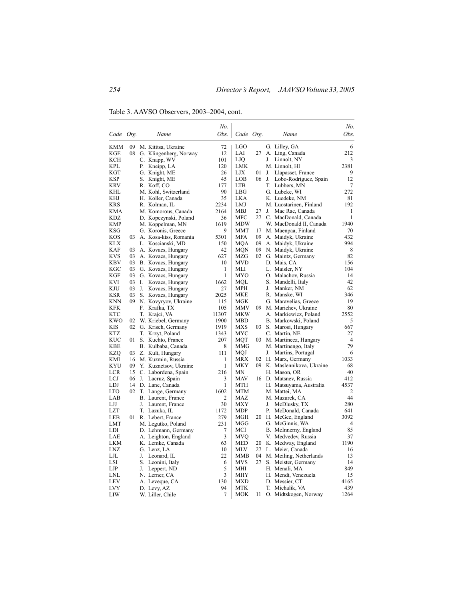Table 3. AAVSO Observers, 2003–2004, cont.

|                          |    |          |                                             | No.          |            |          |    |                                                | No.                  |
|--------------------------|----|----------|---------------------------------------------|--------------|------------|----------|----|------------------------------------------------|----------------------|
| Code Org.                |    |          | Name                                        | Obs.         | Code Org.  |          |    | Name                                           | Obs.                 |
| <b>KMM</b>               | 09 |          | M. Kititsa, Ukraine                         | 72           | LGO        |          |    | G. Lilley, GA                                  | 6                    |
| KGE                      | 08 |          | G. Klingenberg, Norway                      | 12           | LAI        | 27       |    | A. Ling, Canada                                | 212                  |
| KCH                      |    |          | C. Knapp, WV                                | 101          | <b>LJO</b> |          | J. | Linnolt, NY                                    | 3                    |
| KPL                      |    | Р.       | Kneipp, LA                                  | 120          | LMK        |          |    | M. Linnolt, HI                                 | 2381                 |
| KGT                      |    |          | G. Knight, ME                               | 26           | LJX        | 01       |    | J. Llapasset, France                           | 9                    |
| KSP                      |    | S.       | Knight, ME                                  | 45           | LOB        | 06       | J. | Lobo-Rodriguez, Spain                          | 12                   |
| KRV                      |    |          | R. Koff, CO                                 | 177          | <b>LTB</b> |          |    | T. Lubbers, MN                                 | 7                    |
| KHL                      |    |          | M. Kohl, Switzerland                        | 90           | LBG        |          |    | G. Lubcke, WI                                  | 272                  |
| <b>KHJ</b>               |    |          | H. Koller, Canada                           | 35           | <b>LKA</b> |          |    | K. Luedeke, NM                                 | 81                   |
| KRS                      |    |          | R. Kolman, IL                               | 2234         | LMJ        |          |    | M. Luostarinen, Finland                        | 192                  |
| KMA                      |    |          | M. Komorous, Canada                         | 2164         | MBJ        | 27       | J. | Mac Rae, Canada                                | 1                    |
| KDZ                      |    |          | D. Kopczynski, Poland                       | 36           | MFC        | 27       |    | C. MacDonald, Canada                           | 1                    |
| KMP<br>KSG               |    |          | M. Koppelman, MN                            | 1619<br>9    | <b>MDW</b> | 17       |    | W. MacDonald II, Canada                        | 1940<br>70           |
| KOS                      | 03 |          | G. Koronis, Greece<br>A. Kosa-kiss, Romania | 5301         | MMT<br>MFA | 09       |    | M. Maenpaa, Finland                            | 432                  |
| <b>KLX</b>               |    |          | L. Koscianski, MD                           | 150          | MQA        | 09       |    | A. Maidyk, Ukraine<br>A. Maidyk, Ukraine       | 994                  |
| KAF                      | 03 |          | A. Kovacs, Hungary                          | 42           | MQN        | 09       |    | N. Maidyk, Ukraine                             | 8                    |
| KVS                      | 03 |          | A. Kovacs, Hungary                          | 627          | MZG        | 02       |    | G. Maintz, Germany                             | 82                   |
| <b>KBV</b>               | 03 |          | B. Kovacs, Hungary                          | 10           | MVD        |          |    | D. Mais, CA                                    | 156                  |
| KGC                      | 03 |          | G. Kovacs, Hungary                          | 1            | MLI        |          |    | L. Maisler, NY                                 | 104                  |
| KGF                      | 03 |          | G. Kovacs, Hungary                          | 1            | MYO        |          |    | O. Malachov, Russia                            | 14                   |
| KVI                      | 03 | L.       | Kovacs, Hungary                             | 1662         | MOL        |          |    | S. Mandelli, Italy                             | 42                   |
| KJU                      | 03 | J.       | Kovacs, Hungary                             | 27           | MPH        |          | J. | Manker, NM                                     | 62                   |
| <b>KSR</b>               | 03 |          | S. Kovacs, Hungary                          | 2025         | MKE        |          |    | R. Manske, WI                                  | 346                  |
| KNN                      | 09 |          | N. Kovyryov, Ukraine                        | 115          | MGK        |          |    | G. Maravelias, Greece                          | 19                   |
| KFK                      |    | F.       | Krafka, TX                                  | 105          | MMV        | 09       |    | M. Marichev, Ukraine                           | 80                   |
| <b>KTC</b>               |    | T.       | Krajci, VA                                  | 11307        | MKW        |          |    | A. Markiewicz, Poland                          | 2552                 |
| <b>KWO</b>               | 02 |          | W. Kriebel, Germany                         | 1900         | MBD        |          |    | B. Markowski, Poland                           | 5                    |
| KIS                      | 02 |          | G. Krisch, Germany                          | 1919         | MXS        | 03       |    | S. Marosi, Hungary                             | 667                  |
| <b>KTZ</b>               |    |          | T. Krzyt, Poland                            | 1343         | MYC        |          |    | C. Martin, NE                                  | 27                   |
| <b>KUC</b><br><b>KBE</b> | 01 |          | S. Kuchto, France                           | 207          | MQT<br>MMG | 03       |    | M. Martinecz, Hungary                          | $\overline{4}$<br>79 |
| KZO                      | 03 |          | B. Kulbaba, Canada                          | 8<br>111     | MOJ        |          | J. | M. Martinengo, Italy<br>Martins, Portugal      | 6                    |
| KMI                      | 16 |          | Z. Kuli, Hungary<br>M. Kuzmin, Russia       | 1            | MRX        | 02       |    | H. Marx, Germany                               | 1033                 |
| <b>KYU</b>               | 09 |          | Y. Kuznetsov, Ukraine                       | $\mathbf{1}$ | MKY        | 09       |    | K. Maslennikova, Ukraine                       | 68                   |
| <b>LCR</b>               | 15 |          | C. Labordena, Spain                         | 216          | MΝ         |          |    | H. Mason, OR                                   | 40                   |
| LCJ                      | 06 | J.       | Lacruz, Spain                               | 3            | MAV        | 16       |    | D. Matsney, Russia                             | 412                  |
| LDJ                      | 14 |          | D. Lane, Canada                             | 1            | <b>MTH</b> |          |    | H. Matsuyama, Australia                        | 4537                 |
| <b>LTO</b>               | 02 |          | T. Lange, Germany                           | 1602         | <b>MTM</b> |          |    | M. Mattei, MA                                  | $\overline{2}$       |
| LAB                      |    |          | B. Laurent, France                          | 2            | MAZ        |          |    | M. Mazurek, CA                                 | 44                   |
| LJJ                      |    | J.       | Laurent, France                             | 30           | MXY        |          | J. | McDlusky, TX                                   | 280                  |
| <b>LZT</b>               |    |          | T. Lazuka, IL                               | 1172         | MDP        |          | Р. | McDonald, Canada                               | 641                  |
| LEB                      | 01 |          | R. Lebert, France                           | 279          | MGH        | 20       |    | H. McGee, England                              | 3092                 |
| <b>LMT</b>               |    |          | M. Legutko, Poland                          | 231          | MGG        |          |    | G. McGinnis, WA                                | 4                    |
| LDI                      |    |          | D. Lehmann, Germany                         | 7            | MCI        |          |    | B. McInnerny, England                          | 85                   |
| LAE                      |    |          | A. Leighton, England                        | 3            | MVQ        |          |    | V. Medvedev, Russia                            | 37                   |
| <b>LKM</b>               |    |          | K. Lemke, Canada                            | 63           | <b>MED</b> | 20       |    | K. Medway, England                             | 1190                 |
| LNZ                      |    |          | G. Lenz, LA                                 | 10<br>22     | MLV<br>MMB | 27<br>04 |    | L. Meier, Canada                               | 16<br>13             |
| LJL<br>LSI               |    | J.<br>S. | Leonard, IL                                 | 6            | <b>MVS</b> | 27       |    | M. Meiling, Netherlands<br>S. Meister, Germany | 14                   |
| LJP                      |    | J.       | Leonini, Italy<br>Leppert, ND               | 5            | MHI        |          |    | H. Menali, MA                                  | 849                  |
| LNL                      |    |          | N. Lerner, CA                               | 3            | MHY        |          |    | H. Mendt, Venezuela                            | 15                   |
| <b>LEV</b>               |    |          | A. Leveque, CA                              | 130          | MXD        |          |    | D. Messier, CT                                 | 4165                 |
| <b>LVY</b>               |    |          | D. Levy, AZ                                 | 94           | <b>MTK</b> |          |    | T. Michalik, VA                                | 439                  |
| LIW                      |    |          | W. Liller, Chile                            | 7            | MOK        | 11       |    | O. Midtskogen, Norway                          | 1264                 |
|                          |    |          |                                             |              |            |          |    |                                                |                      |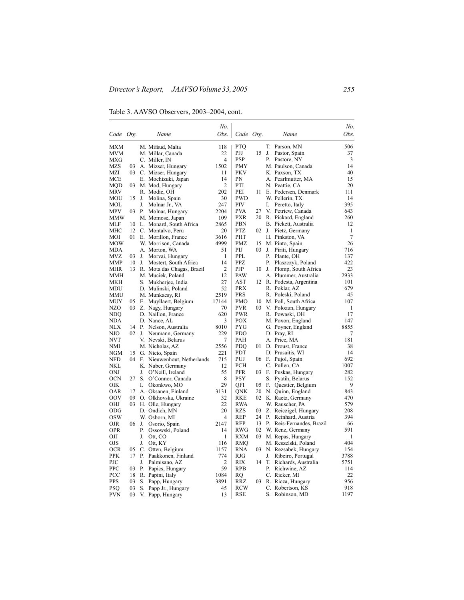Table 3. AAVSO Observers, 2003–2004, cont.

|            |                 |       |                             | No.            |            |    |    |                        | No.            |
|------------|-----------------|-------|-----------------------------|----------------|------------|----|----|------------------------|----------------|
| Code Org.  |                 |       | Name                        | Obs.           | Code Org.  |    |    | Name                   | Obs.           |
| MXM        |                 |       | M. Mifsud, Malta            | 118            | PTO        |    | T. | Parson, MN             | 506            |
| MVM        |                 |       | M. Millar, Canada           | 22             | PJJ        | 15 | J. | Pastor, Spain          | 37             |
| MXG        |                 |       | C. Miller, IN               | 4              | PSP        |    | Р. | Pastore, NY            | 3              |
| MZS        | 03              |       | A. Mizser, Hungary          | 1502           | <b>PMY</b> |    |    | M. Paulson, Canada     | 14             |
| MZI        | 03              |       | C. Mizser, Hungary          | 11             | <b>PKV</b> |    |    | K. Paxson, TX          | 40             |
| MCE        |                 |       | E. Mochizuki, Japan         | 14             | PN         |    |    | A. Pearlmutter, MA     | 15             |
| MOD        | 03              |       | M. Mod, Hungary             | $\overline{2}$ | PTI        |    |    | N. Peattie, CA         | 20             |
| MRV        |                 |       | R. Modic, OH                | 202            | PEI        | 11 |    | E. Pedersen, Denmark   | 111            |
| MOU        | 15              | J.    | Molina, Spain               | 30             | <b>PWD</b> |    |    | W. Pellerin, TX        | 14             |
| MOL        |                 | J.    | Molnar Jr., VA              | 247            | PIV        |    | I. | Peretto, Italy         | 395            |
| <b>MPV</b> |                 | 03 P. | Molnar, Hungary             | 2204           | <b>PVA</b> | 27 |    | V. Petriew, Canada     | 643            |
| <b>MMW</b> |                 |       | M. Momose, Japan            | 109            | PXR        | 20 |    | R. Pickard, England    | 260            |
| MLF        | 10              |       | L. Monard, South Africa     | 2865           | PBN        |    |    | B. Pickett, Australia  | 12             |
| МНС        | 12              |       | C. Montalvo, Peru           | 20             | <b>PTZ</b> | 02 | J. | Pietz, Germany         | 1              |
| MOI        | 01              |       | E. Morillon, France         | 3616           | PHT        |    |    | H. Pinkston, VA        | $\overline{7}$ |
| MOW        |                 |       | W. Morrison, Canada         | 4999           | <b>PMZ</b> | 15 |    | M. Pinto, Spain        | 26             |
| MDA        |                 |       | A. Morton, WA               | 51             | PIJ        | 03 | J. | Piriti, Hungary        | 716            |
| MVZ        | 03              | J.    | Morvai, Hungary             | 1              | <b>PPL</b> |    | Р. | Plante, OH             | 137            |
| MMP        | 10              | J.    | Mostert, South Africa       | 14             | PPZ        |    | Р. | Plaszczyk, Poland      | 422            |
| MHR        | 13              |       | R. Mota das Chagas, Brazil  | $\overline{2}$ | <b>PJP</b> | 10 | J. | Plomp, South Africa    | 23             |
| MMH        |                 |       | M. Muciek, Poland           | 12             | PAW        |    |    | A. Plummer, Australia  | 2933           |
| MKH        |                 |       | S. Mukherjee, India         | 27             | AST        | 12 |    | R. Podesta, Argentina  | 101            |
| MDU        |                 |       | D. Mulinski, Poland         | 52             | PRX        |    |    | R. Poklar, AZ          | 679            |
| MMU        |                 |       | M. Munkacsy, RI             | 2519           | PRS        |    |    | R. Poleski, Poland     | 45             |
| MUY        | 05              |       | E. Muyllaert, Belgium       | 17144          | PMO        | 10 |    | M. Poll, South Africa  | 107            |
| NZO        | 03              |       | Z. Nagy, Hungary            | 70             | <b>PVR</b> | 03 |    | V. Polozun, Hungary    | 1              |
| NDQ        |                 |       | D. Naillon, France          | 620            | <b>PWR</b> |    |    | R. Powaski, OH         | 17             |
| NDA        |                 |       | D. Nance, AL                | 3              | POX        |    |    | M. Poxon, England      | 147            |
| NLX        | 14              |       | P. Nelson, Australia        | 8010           | PYG        |    |    | G. Poyner, England     | 8855           |
| NJO        | $02 \text{ J.}$ |       | Neumann, Germany            | 229            | <b>PDO</b> |    |    | D. Pray, RI            | 7              |
| <b>NVT</b> |                 |       | V. Nevski, Belarus          | 7              | PAH        |    |    | A. Price, MA           | 181            |
| NMI        |                 |       | M. Nicholas, AZ             | 2556           | PDO        | 01 |    | D. Proust, France      | 38             |
| NGM        | 15              |       | G. Nieto, Spain             | 221            | PDT        |    |    | D. Prusaitis, WI       | 14             |
| <b>NFD</b> | 04              |       | F. Nieuwenhout, Netherlands | 715            | PUJ        | 06 | F. | Pujol, Spain           | 692            |
| NKL        |                 |       | K. Nuber, Germany           | 12             | PCH        |    |    | C. Pullen, CA          | 1007           |
| <b>ONJ</b> |                 | J.    | O'Neill, Ireland            | 55             | <b>PFR</b> | 03 | F. | Puskas, Hungary        | 282            |
| <b>OCN</b> | 27              |       | S. O'Connor, Canada         | 8              | PSY        |    | S. | Pyatih, Belarus        | 152            |
| OIK        |                 | I.    | Okonkwo, MO                 | 29             | OFI        | 05 | F. | Questier, Belgium      | 9              |
| OAR        | 17              |       | A. Oksanen, Finland         | 3131           | ONK        | 20 |    | N. Quinn, England      | 843            |
| OOV        | 09              |       | O. Olkhovska, Ukraine       | 32             | RKE        | 02 |    | K. Raetz, Germany      | 470            |
| OHJ        | 03              |       | H. Olle, Hungary            | 22             | <b>RWA</b> |    |    | W. Rauscher, PA        | 579            |
| ODG        |                 |       | D. Ondich, MN               | 20             | <b>RZS</b> | 03 |    | Z. Reiczigel, Hungary  | 208            |
| <b>OSW</b> |                 |       | W. Osborn, MI               | 4              | <b>REP</b> | 24 | P. | Reinhard, Austria      | 394            |
| OJR        | 06              | J.    | Osorio, Spain               | 2147           | RFP        | 13 | Р. | Reis-Fernandes, Brazil | 66             |
| <b>OPR</b> |                 | Р.    | Ossowski, Poland            | 14             | RWG        | 02 |    | W. Renz, Germany       | 591            |
| ОIJ        |                 | J.    | Ott, CO                     | 1              | RXM        | 03 |    | M. Repas, Hungary      | 1              |
| OJS        |                 | J.    | Ott, KY                     | 116            | RMQ        |    |    | M. Reszelski, Poland   | 404            |
| <b>OCR</b> | 05              |       | C. Otten, Belgium           | 1157           | <b>RNA</b> | 03 |    | N. Rezsabek, Hungary   | 154            |
| PPK        | 17              | Р.    | Paakkonen, Finland          | 774            | RJG        |    | J. | Ribeiro, Portugal      | 3788           |
| PJC        |                 | J.    | Palmisano, AZ               | $\overline{2}$ | RIX        | 14 | T. | Richards, Australia    | 5751           |
| <b>PPC</b> | 03              | Р.    | Papics, Hungary             | 59             | <b>RPB</b> |    | Р. | Richwine, AZ           | 114            |
| PCC        | 18              |       | R. Papini, Italy            | 1084           | RQ         |    |    | C. Ricker, MI          | 22             |
| PPS        | 03              |       | S. Papp, Hungary            | 3891           | RRZ        | 03 |    | R. Ricza, Hungary      | 956            |
| PSQ        | 03              | S.    | Papp Jr., Hungary           | 45             | RCW        |    |    | C. Robertson, KS       | 918            |
| PVN        | 03              | V.    | Papp, Hungary               | 13             | RSE        |    | S. | Robinson, MD           | 1197           |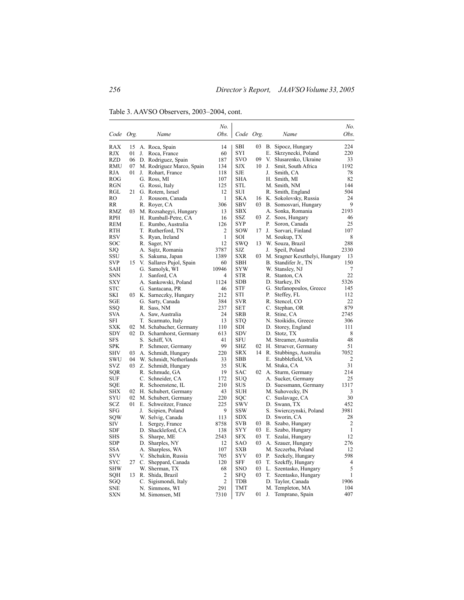Table 3. AAVSO Observers, 2003–2004, cont.

| Obs.<br>Obs.<br>Name<br>Code Org.<br>Name<br>Code Org.<br>RAX<br>SBI<br>B. Sipocz, Hungary<br>224<br>15<br>A. Roca, Spain<br>14<br>03<br><b>RJX</b><br>60<br>SYI<br>E. Skrzynecki, Poland<br>220<br>01<br>J.<br>Roca, France<br><b>RZD</b><br>187<br><b>SVO</b><br>09<br>V. Slusarenko, Ukraine<br>06<br>D. Rodriguez, Spain<br>33<br>10<br>1192<br>RMU<br>M. Rodriguez Marco, Spain<br>SJX<br>J.<br>Smit, South Africa<br>07<br>134<br><b>SJE</b><br>Smith, CA<br>78<br>RJA<br>01<br>Rohart, France<br>118<br>J.<br>J.<br>82<br>ROG<br>G. Ross, MI<br>107<br><b>SHA</b><br>H. Smith, MI<br>125<br>STL<br>144<br>RGN<br>G. Rossi, Italy<br>M. Smith, NM<br>12<br>504<br>RGL<br>21<br>G. Rotem, Israel<br>SUI<br>R. Smith, England<br>$\mathbf{1}$<br><b>SKA</b><br>24<br>RO<br>J.<br>Rousom, Canada<br>K. Sokolovsky, Russia<br>16<br>9<br>306<br><b>SBV</b><br>03<br>B. Somosvari, Hungary<br>RR<br>R. Royer, CA<br>2193<br>RMZ<br>03<br>M. Rozsahegyi, Hungary<br>13<br>SBX<br>A. Sonka, Romania<br>RPH<br>H. Rumball-Petre, CA<br>16<br>SSZ<br>03<br>Z. Soos, Hungary<br>46<br>SYP<br>Р.<br>Soron, Canada<br>25<br>REM<br>E. Rumbo, Australia<br>126<br><b>SOW</b><br>107<br>RTH<br>T. Rutherford, TN<br>2<br>17<br>J.<br>Sorvari, Finland<br>RSV<br>$\mathbf{1}$<br>SOI<br>8<br>S. Ryan, Ireland<br>M. Soukup, TX<br>288<br>SOC<br>R. Sager, NY<br>12<br>SWQ<br>13 W. Souza, Brazil<br>2330<br>3787<br>SJZ<br>Speil, Poland<br>SJO<br>A. Sajtz, Romania<br>J.<br>SSU<br>1389<br>03<br>M. Sragner Keszthelyi, Hungary<br>S. Sakuma, Japan<br>SXR<br>13<br>150<br><b>SBH</b><br>SVP<br>15<br>V. Sallares Pujol, Spain<br>60<br>B. Standifer Jr., TN<br>SAH<br>G. Samolyk, WI<br>10946<br>SYW<br>W. Stansley, NJ<br>7<br><b>STR</b><br>22<br>SNN<br>J.<br>Sanford, CA<br>4<br>R. Stanton, CA<br>5326<br><b>SXY</b><br><b>SDB</b><br>D. Starkey, IN<br>A. Sankowski, Poland<br>1124<br>STC<br>46<br><b>STF</b><br>G. Stefanopoulos, Greece<br>145<br>G. Santacana, PR<br>SKI<br>03 K. Sarneczky, Hungary<br>212<br>STI<br>Р.<br>Steffey, FL<br>112<br>22<br>SGE<br>G. Sarty, Canada<br>384<br>SVR<br>R. Stencel, CO<br>C. Stephan, OR<br>879<br>SSO<br>R. Sass, NM<br>237<br><b>SET</b><br>2745<br>SVA<br>A. Saw, Australia<br>24<br><b>SRB</b><br>R. Stine, CA<br>13<br><b>STQ</b><br>N. Stoikidis, Greece<br>306<br>SFI<br>T. Scarmato, Italy<br><b>SXK</b><br>111<br>02<br>M. Schabacher, Germany<br>110<br>SDI<br>D. Storey, England<br><b>SDY</b><br>02 D. Scharnhorst, Germany<br><b>SDV</b><br>D. Stotz, TX<br>8<br>613<br>SFU<br>48<br>SFS<br>S. Schiff, VA<br>41<br>M. Streamer, Australia<br>99<br>SPK<br>Р.<br>SHZ<br>H. Struever, Germany<br>51<br>Schmeer, Germany<br>02<br>220<br>SHV<br>03<br>A. Schmidt, Hungary<br><b>SRX</b><br>14<br>R. Stubbings, Australia<br>7052<br><b>SBB</b><br>2<br>SWU<br>04<br>W. Schmidt, Netherlands<br>33<br>E. Stubblefield, VA<br>SVZ<br>31<br>03<br>Z. Schmidt, Hungary<br>35<br><b>SUK</b><br>M. Stuka, CA<br>SQR<br>19<br>214<br>R. Schmude, GA<br>SAC<br>02 A. Sturm, Germany<br>SUF<br>C. Schneider, CA<br>172<br>SUQ<br>A. Sucker, Germany<br>25<br>210<br>D. Suessmann, Germany<br>1317<br>SQE<br>R. Schoenstene, IL<br>SUS<br>SHX<br>02<br>H. Schubert, Germany<br>43<br><b>SUH</b><br>M. Suhovecky, IN<br>3<br>30<br>SYU<br>220<br>SQC<br>C. Suslavage, CA<br>02 M. Schubert, Germany<br>452<br>SCZ<br>01<br>E. Schweitzer, France<br>225<br>SWV<br>D. Swann, TX<br><b>SSW</b><br>3981<br>SFG<br>J.<br>Scipien, Poland<br>9<br>S. Swierczynski, Poland<br>W. Selvig, Canada<br>113<br>SDX<br>D. Sworin, CA<br>28<br>SQW<br>SIV<br>8758<br><b>SVB</b><br>B. Szabo, Hungary<br>2<br>I.<br>Sergey, France<br>03<br>$\mathbf{1}$<br>SDF<br>D. Shackleford, CA<br>138<br>SYY<br>03<br>E. Szabo, Hungary<br>2543<br><b>SFX</b><br>03<br>12<br>SHS<br>S.<br>Sharpe, ME<br>T. Szalai, Hungary<br>12<br>03<br>276<br>SDP<br>D. Sharples, NY<br>SAO<br>A. Szauer, Hungary<br><b>SXB</b><br>12<br>SSA<br>A. Sharpless, WA<br>107<br>M. Szczerba, Poland<br><b>SYV</b><br>598<br><b>SVV</b><br>03<br>P. Szekely, Hungary<br>V. Shchukin, Russia<br>705<br>SYC<br>SFF<br>03<br>4<br>27<br>C. Sheppard, Canada<br>120<br>T. Szekffy, Hungary<br>5<br>SHW<br>W. Sherman, TX<br>68<br><b>SNO</b><br>03<br>L. Szentasko, Hungary<br>2<br><b>SFQ</b><br>03<br>T. Szentasko, Hungary<br>1<br>SQH<br>13<br>R. Shida, Brazil<br>$\overline{2}$<br>1906<br>SGQ<br>C. Sigismondi, Italy<br>TDB<br>D. Taylor, Canada<br>291<br>TMT<br>M. Templeton, MA<br>104<br>SNE<br>N. Simmons, WI<br>TJV<br>01<br>407<br><b>SXN</b><br>M. Simonsen, MI<br>7310<br>J.<br>Temprano, Spain |  |  | No. |  |  | No. |
|----------------------------------------------------------------------------------------------------------------------------------------------------------------------------------------------------------------------------------------------------------------------------------------------------------------------------------------------------------------------------------------------------------------------------------------------------------------------------------------------------------------------------------------------------------------------------------------------------------------------------------------------------------------------------------------------------------------------------------------------------------------------------------------------------------------------------------------------------------------------------------------------------------------------------------------------------------------------------------------------------------------------------------------------------------------------------------------------------------------------------------------------------------------------------------------------------------------------------------------------------------------------------------------------------------------------------------------------------------------------------------------------------------------------------------------------------------------------------------------------------------------------------------------------------------------------------------------------------------------------------------------------------------------------------------------------------------------------------------------------------------------------------------------------------------------------------------------------------------------------------------------------------------------------------------------------------------------------------------------------------------------------------------------------------------------------------------------------------------------------------------------------------------------------------------------------------------------------------------------------------------------------------------------------------------------------------------------------------------------------------------------------------------------------------------------------------------------------------------------------------------------------------------------------------------------------------------------------------------------------------------------------------------------------------------------------------------------------------------------------------------------------------------------------------------------------------------------------------------------------------------------------------------------------------------------------------------------------------------------------------------------------------------------------------------------------------------------------------------------------------------------------------------------------------------------------------------------------------------------------------------------------------------------------------------------------------------------------------------------------------------------------------------------------------------------------------------------------------------------------------------------------------------------------------------------------------------------------------------------------------------------------------------------------------------------------------------------------------------------------------------------------------------------------------------------------------------------------------------------------------------------------------------------------------------------------------------------------------------------------------------------------------------------------------------------------------------------------------------------------------------------------------------------------------------------------------------------------------------------------------------------------------------------------------------------------------------------------------------------------------------------------------------------------------------------------------------------------------------------------------------------------------------------------------------------------------------------------------------------|--|--|-----|--|--|-----|
|                                                                                                                                                                                                                                                                                                                                                                                                                                                                                                                                                                                                                                                                                                                                                                                                                                                                                                                                                                                                                                                                                                                                                                                                                                                                                                                                                                                                                                                                                                                                                                                                                                                                                                                                                                                                                                                                                                                                                                                                                                                                                                                                                                                                                                                                                                                                                                                                                                                                                                                                                                                                                                                                                                                                                                                                                                                                                                                                                                                                                                                                                                                                                                                                                                                                                                                                                                                                                                                                                                                                                                                                                                                                                                                                                                                                                                                                                                                                                                                                                                                                                                                                                                                                                                                                                                                                                                                                                                                                                                                                                                                                                |  |  |     |  |  |     |
|                                                                                                                                                                                                                                                                                                                                                                                                                                                                                                                                                                                                                                                                                                                                                                                                                                                                                                                                                                                                                                                                                                                                                                                                                                                                                                                                                                                                                                                                                                                                                                                                                                                                                                                                                                                                                                                                                                                                                                                                                                                                                                                                                                                                                                                                                                                                                                                                                                                                                                                                                                                                                                                                                                                                                                                                                                                                                                                                                                                                                                                                                                                                                                                                                                                                                                                                                                                                                                                                                                                                                                                                                                                                                                                                                                                                                                                                                                                                                                                                                                                                                                                                                                                                                                                                                                                                                                                                                                                                                                                                                                                                                |  |  |     |  |  |     |
|                                                                                                                                                                                                                                                                                                                                                                                                                                                                                                                                                                                                                                                                                                                                                                                                                                                                                                                                                                                                                                                                                                                                                                                                                                                                                                                                                                                                                                                                                                                                                                                                                                                                                                                                                                                                                                                                                                                                                                                                                                                                                                                                                                                                                                                                                                                                                                                                                                                                                                                                                                                                                                                                                                                                                                                                                                                                                                                                                                                                                                                                                                                                                                                                                                                                                                                                                                                                                                                                                                                                                                                                                                                                                                                                                                                                                                                                                                                                                                                                                                                                                                                                                                                                                                                                                                                                                                                                                                                                                                                                                                                                                |  |  |     |  |  |     |
|                                                                                                                                                                                                                                                                                                                                                                                                                                                                                                                                                                                                                                                                                                                                                                                                                                                                                                                                                                                                                                                                                                                                                                                                                                                                                                                                                                                                                                                                                                                                                                                                                                                                                                                                                                                                                                                                                                                                                                                                                                                                                                                                                                                                                                                                                                                                                                                                                                                                                                                                                                                                                                                                                                                                                                                                                                                                                                                                                                                                                                                                                                                                                                                                                                                                                                                                                                                                                                                                                                                                                                                                                                                                                                                                                                                                                                                                                                                                                                                                                                                                                                                                                                                                                                                                                                                                                                                                                                                                                                                                                                                                                |  |  |     |  |  |     |
|                                                                                                                                                                                                                                                                                                                                                                                                                                                                                                                                                                                                                                                                                                                                                                                                                                                                                                                                                                                                                                                                                                                                                                                                                                                                                                                                                                                                                                                                                                                                                                                                                                                                                                                                                                                                                                                                                                                                                                                                                                                                                                                                                                                                                                                                                                                                                                                                                                                                                                                                                                                                                                                                                                                                                                                                                                                                                                                                                                                                                                                                                                                                                                                                                                                                                                                                                                                                                                                                                                                                                                                                                                                                                                                                                                                                                                                                                                                                                                                                                                                                                                                                                                                                                                                                                                                                                                                                                                                                                                                                                                                                                |  |  |     |  |  |     |
|                                                                                                                                                                                                                                                                                                                                                                                                                                                                                                                                                                                                                                                                                                                                                                                                                                                                                                                                                                                                                                                                                                                                                                                                                                                                                                                                                                                                                                                                                                                                                                                                                                                                                                                                                                                                                                                                                                                                                                                                                                                                                                                                                                                                                                                                                                                                                                                                                                                                                                                                                                                                                                                                                                                                                                                                                                                                                                                                                                                                                                                                                                                                                                                                                                                                                                                                                                                                                                                                                                                                                                                                                                                                                                                                                                                                                                                                                                                                                                                                                                                                                                                                                                                                                                                                                                                                                                                                                                                                                                                                                                                                                |  |  |     |  |  |     |
|                                                                                                                                                                                                                                                                                                                                                                                                                                                                                                                                                                                                                                                                                                                                                                                                                                                                                                                                                                                                                                                                                                                                                                                                                                                                                                                                                                                                                                                                                                                                                                                                                                                                                                                                                                                                                                                                                                                                                                                                                                                                                                                                                                                                                                                                                                                                                                                                                                                                                                                                                                                                                                                                                                                                                                                                                                                                                                                                                                                                                                                                                                                                                                                                                                                                                                                                                                                                                                                                                                                                                                                                                                                                                                                                                                                                                                                                                                                                                                                                                                                                                                                                                                                                                                                                                                                                                                                                                                                                                                                                                                                                                |  |  |     |  |  |     |
|                                                                                                                                                                                                                                                                                                                                                                                                                                                                                                                                                                                                                                                                                                                                                                                                                                                                                                                                                                                                                                                                                                                                                                                                                                                                                                                                                                                                                                                                                                                                                                                                                                                                                                                                                                                                                                                                                                                                                                                                                                                                                                                                                                                                                                                                                                                                                                                                                                                                                                                                                                                                                                                                                                                                                                                                                                                                                                                                                                                                                                                                                                                                                                                                                                                                                                                                                                                                                                                                                                                                                                                                                                                                                                                                                                                                                                                                                                                                                                                                                                                                                                                                                                                                                                                                                                                                                                                                                                                                                                                                                                                                                |  |  |     |  |  |     |
|                                                                                                                                                                                                                                                                                                                                                                                                                                                                                                                                                                                                                                                                                                                                                                                                                                                                                                                                                                                                                                                                                                                                                                                                                                                                                                                                                                                                                                                                                                                                                                                                                                                                                                                                                                                                                                                                                                                                                                                                                                                                                                                                                                                                                                                                                                                                                                                                                                                                                                                                                                                                                                                                                                                                                                                                                                                                                                                                                                                                                                                                                                                                                                                                                                                                                                                                                                                                                                                                                                                                                                                                                                                                                                                                                                                                                                                                                                                                                                                                                                                                                                                                                                                                                                                                                                                                                                                                                                                                                                                                                                                                                |  |  |     |  |  |     |
|                                                                                                                                                                                                                                                                                                                                                                                                                                                                                                                                                                                                                                                                                                                                                                                                                                                                                                                                                                                                                                                                                                                                                                                                                                                                                                                                                                                                                                                                                                                                                                                                                                                                                                                                                                                                                                                                                                                                                                                                                                                                                                                                                                                                                                                                                                                                                                                                                                                                                                                                                                                                                                                                                                                                                                                                                                                                                                                                                                                                                                                                                                                                                                                                                                                                                                                                                                                                                                                                                                                                                                                                                                                                                                                                                                                                                                                                                                                                                                                                                                                                                                                                                                                                                                                                                                                                                                                                                                                                                                                                                                                                                |  |  |     |  |  |     |
|                                                                                                                                                                                                                                                                                                                                                                                                                                                                                                                                                                                                                                                                                                                                                                                                                                                                                                                                                                                                                                                                                                                                                                                                                                                                                                                                                                                                                                                                                                                                                                                                                                                                                                                                                                                                                                                                                                                                                                                                                                                                                                                                                                                                                                                                                                                                                                                                                                                                                                                                                                                                                                                                                                                                                                                                                                                                                                                                                                                                                                                                                                                                                                                                                                                                                                                                                                                                                                                                                                                                                                                                                                                                                                                                                                                                                                                                                                                                                                                                                                                                                                                                                                                                                                                                                                                                                                                                                                                                                                                                                                                                                |  |  |     |  |  |     |
|                                                                                                                                                                                                                                                                                                                                                                                                                                                                                                                                                                                                                                                                                                                                                                                                                                                                                                                                                                                                                                                                                                                                                                                                                                                                                                                                                                                                                                                                                                                                                                                                                                                                                                                                                                                                                                                                                                                                                                                                                                                                                                                                                                                                                                                                                                                                                                                                                                                                                                                                                                                                                                                                                                                                                                                                                                                                                                                                                                                                                                                                                                                                                                                                                                                                                                                                                                                                                                                                                                                                                                                                                                                                                                                                                                                                                                                                                                                                                                                                                                                                                                                                                                                                                                                                                                                                                                                                                                                                                                                                                                                                                |  |  |     |  |  |     |
|                                                                                                                                                                                                                                                                                                                                                                                                                                                                                                                                                                                                                                                                                                                                                                                                                                                                                                                                                                                                                                                                                                                                                                                                                                                                                                                                                                                                                                                                                                                                                                                                                                                                                                                                                                                                                                                                                                                                                                                                                                                                                                                                                                                                                                                                                                                                                                                                                                                                                                                                                                                                                                                                                                                                                                                                                                                                                                                                                                                                                                                                                                                                                                                                                                                                                                                                                                                                                                                                                                                                                                                                                                                                                                                                                                                                                                                                                                                                                                                                                                                                                                                                                                                                                                                                                                                                                                                                                                                                                                                                                                                                                |  |  |     |  |  |     |
|                                                                                                                                                                                                                                                                                                                                                                                                                                                                                                                                                                                                                                                                                                                                                                                                                                                                                                                                                                                                                                                                                                                                                                                                                                                                                                                                                                                                                                                                                                                                                                                                                                                                                                                                                                                                                                                                                                                                                                                                                                                                                                                                                                                                                                                                                                                                                                                                                                                                                                                                                                                                                                                                                                                                                                                                                                                                                                                                                                                                                                                                                                                                                                                                                                                                                                                                                                                                                                                                                                                                                                                                                                                                                                                                                                                                                                                                                                                                                                                                                                                                                                                                                                                                                                                                                                                                                                                                                                                                                                                                                                                                                |  |  |     |  |  |     |
|                                                                                                                                                                                                                                                                                                                                                                                                                                                                                                                                                                                                                                                                                                                                                                                                                                                                                                                                                                                                                                                                                                                                                                                                                                                                                                                                                                                                                                                                                                                                                                                                                                                                                                                                                                                                                                                                                                                                                                                                                                                                                                                                                                                                                                                                                                                                                                                                                                                                                                                                                                                                                                                                                                                                                                                                                                                                                                                                                                                                                                                                                                                                                                                                                                                                                                                                                                                                                                                                                                                                                                                                                                                                                                                                                                                                                                                                                                                                                                                                                                                                                                                                                                                                                                                                                                                                                                                                                                                                                                                                                                                                                |  |  |     |  |  |     |
|                                                                                                                                                                                                                                                                                                                                                                                                                                                                                                                                                                                                                                                                                                                                                                                                                                                                                                                                                                                                                                                                                                                                                                                                                                                                                                                                                                                                                                                                                                                                                                                                                                                                                                                                                                                                                                                                                                                                                                                                                                                                                                                                                                                                                                                                                                                                                                                                                                                                                                                                                                                                                                                                                                                                                                                                                                                                                                                                                                                                                                                                                                                                                                                                                                                                                                                                                                                                                                                                                                                                                                                                                                                                                                                                                                                                                                                                                                                                                                                                                                                                                                                                                                                                                                                                                                                                                                                                                                                                                                                                                                                                                |  |  |     |  |  |     |
|                                                                                                                                                                                                                                                                                                                                                                                                                                                                                                                                                                                                                                                                                                                                                                                                                                                                                                                                                                                                                                                                                                                                                                                                                                                                                                                                                                                                                                                                                                                                                                                                                                                                                                                                                                                                                                                                                                                                                                                                                                                                                                                                                                                                                                                                                                                                                                                                                                                                                                                                                                                                                                                                                                                                                                                                                                                                                                                                                                                                                                                                                                                                                                                                                                                                                                                                                                                                                                                                                                                                                                                                                                                                                                                                                                                                                                                                                                                                                                                                                                                                                                                                                                                                                                                                                                                                                                                                                                                                                                                                                                                                                |  |  |     |  |  |     |
|                                                                                                                                                                                                                                                                                                                                                                                                                                                                                                                                                                                                                                                                                                                                                                                                                                                                                                                                                                                                                                                                                                                                                                                                                                                                                                                                                                                                                                                                                                                                                                                                                                                                                                                                                                                                                                                                                                                                                                                                                                                                                                                                                                                                                                                                                                                                                                                                                                                                                                                                                                                                                                                                                                                                                                                                                                                                                                                                                                                                                                                                                                                                                                                                                                                                                                                                                                                                                                                                                                                                                                                                                                                                                                                                                                                                                                                                                                                                                                                                                                                                                                                                                                                                                                                                                                                                                                                                                                                                                                                                                                                                                |  |  |     |  |  |     |
|                                                                                                                                                                                                                                                                                                                                                                                                                                                                                                                                                                                                                                                                                                                                                                                                                                                                                                                                                                                                                                                                                                                                                                                                                                                                                                                                                                                                                                                                                                                                                                                                                                                                                                                                                                                                                                                                                                                                                                                                                                                                                                                                                                                                                                                                                                                                                                                                                                                                                                                                                                                                                                                                                                                                                                                                                                                                                                                                                                                                                                                                                                                                                                                                                                                                                                                                                                                                                                                                                                                                                                                                                                                                                                                                                                                                                                                                                                                                                                                                                                                                                                                                                                                                                                                                                                                                                                                                                                                                                                                                                                                                                |  |  |     |  |  |     |
|                                                                                                                                                                                                                                                                                                                                                                                                                                                                                                                                                                                                                                                                                                                                                                                                                                                                                                                                                                                                                                                                                                                                                                                                                                                                                                                                                                                                                                                                                                                                                                                                                                                                                                                                                                                                                                                                                                                                                                                                                                                                                                                                                                                                                                                                                                                                                                                                                                                                                                                                                                                                                                                                                                                                                                                                                                                                                                                                                                                                                                                                                                                                                                                                                                                                                                                                                                                                                                                                                                                                                                                                                                                                                                                                                                                                                                                                                                                                                                                                                                                                                                                                                                                                                                                                                                                                                                                                                                                                                                                                                                                                                |  |  |     |  |  |     |
|                                                                                                                                                                                                                                                                                                                                                                                                                                                                                                                                                                                                                                                                                                                                                                                                                                                                                                                                                                                                                                                                                                                                                                                                                                                                                                                                                                                                                                                                                                                                                                                                                                                                                                                                                                                                                                                                                                                                                                                                                                                                                                                                                                                                                                                                                                                                                                                                                                                                                                                                                                                                                                                                                                                                                                                                                                                                                                                                                                                                                                                                                                                                                                                                                                                                                                                                                                                                                                                                                                                                                                                                                                                                                                                                                                                                                                                                                                                                                                                                                                                                                                                                                                                                                                                                                                                                                                                                                                                                                                                                                                                                                |  |  |     |  |  |     |
|                                                                                                                                                                                                                                                                                                                                                                                                                                                                                                                                                                                                                                                                                                                                                                                                                                                                                                                                                                                                                                                                                                                                                                                                                                                                                                                                                                                                                                                                                                                                                                                                                                                                                                                                                                                                                                                                                                                                                                                                                                                                                                                                                                                                                                                                                                                                                                                                                                                                                                                                                                                                                                                                                                                                                                                                                                                                                                                                                                                                                                                                                                                                                                                                                                                                                                                                                                                                                                                                                                                                                                                                                                                                                                                                                                                                                                                                                                                                                                                                                                                                                                                                                                                                                                                                                                                                                                                                                                                                                                                                                                                                                |  |  |     |  |  |     |
|                                                                                                                                                                                                                                                                                                                                                                                                                                                                                                                                                                                                                                                                                                                                                                                                                                                                                                                                                                                                                                                                                                                                                                                                                                                                                                                                                                                                                                                                                                                                                                                                                                                                                                                                                                                                                                                                                                                                                                                                                                                                                                                                                                                                                                                                                                                                                                                                                                                                                                                                                                                                                                                                                                                                                                                                                                                                                                                                                                                                                                                                                                                                                                                                                                                                                                                                                                                                                                                                                                                                                                                                                                                                                                                                                                                                                                                                                                                                                                                                                                                                                                                                                                                                                                                                                                                                                                                                                                                                                                                                                                                                                |  |  |     |  |  |     |
|                                                                                                                                                                                                                                                                                                                                                                                                                                                                                                                                                                                                                                                                                                                                                                                                                                                                                                                                                                                                                                                                                                                                                                                                                                                                                                                                                                                                                                                                                                                                                                                                                                                                                                                                                                                                                                                                                                                                                                                                                                                                                                                                                                                                                                                                                                                                                                                                                                                                                                                                                                                                                                                                                                                                                                                                                                                                                                                                                                                                                                                                                                                                                                                                                                                                                                                                                                                                                                                                                                                                                                                                                                                                                                                                                                                                                                                                                                                                                                                                                                                                                                                                                                                                                                                                                                                                                                                                                                                                                                                                                                                                                |  |  |     |  |  |     |
|                                                                                                                                                                                                                                                                                                                                                                                                                                                                                                                                                                                                                                                                                                                                                                                                                                                                                                                                                                                                                                                                                                                                                                                                                                                                                                                                                                                                                                                                                                                                                                                                                                                                                                                                                                                                                                                                                                                                                                                                                                                                                                                                                                                                                                                                                                                                                                                                                                                                                                                                                                                                                                                                                                                                                                                                                                                                                                                                                                                                                                                                                                                                                                                                                                                                                                                                                                                                                                                                                                                                                                                                                                                                                                                                                                                                                                                                                                                                                                                                                                                                                                                                                                                                                                                                                                                                                                                                                                                                                                                                                                                                                |  |  |     |  |  |     |
|                                                                                                                                                                                                                                                                                                                                                                                                                                                                                                                                                                                                                                                                                                                                                                                                                                                                                                                                                                                                                                                                                                                                                                                                                                                                                                                                                                                                                                                                                                                                                                                                                                                                                                                                                                                                                                                                                                                                                                                                                                                                                                                                                                                                                                                                                                                                                                                                                                                                                                                                                                                                                                                                                                                                                                                                                                                                                                                                                                                                                                                                                                                                                                                                                                                                                                                                                                                                                                                                                                                                                                                                                                                                                                                                                                                                                                                                                                                                                                                                                                                                                                                                                                                                                                                                                                                                                                                                                                                                                                                                                                                                                |  |  |     |  |  |     |
|                                                                                                                                                                                                                                                                                                                                                                                                                                                                                                                                                                                                                                                                                                                                                                                                                                                                                                                                                                                                                                                                                                                                                                                                                                                                                                                                                                                                                                                                                                                                                                                                                                                                                                                                                                                                                                                                                                                                                                                                                                                                                                                                                                                                                                                                                                                                                                                                                                                                                                                                                                                                                                                                                                                                                                                                                                                                                                                                                                                                                                                                                                                                                                                                                                                                                                                                                                                                                                                                                                                                                                                                                                                                                                                                                                                                                                                                                                                                                                                                                                                                                                                                                                                                                                                                                                                                                                                                                                                                                                                                                                                                                |  |  |     |  |  |     |
|                                                                                                                                                                                                                                                                                                                                                                                                                                                                                                                                                                                                                                                                                                                                                                                                                                                                                                                                                                                                                                                                                                                                                                                                                                                                                                                                                                                                                                                                                                                                                                                                                                                                                                                                                                                                                                                                                                                                                                                                                                                                                                                                                                                                                                                                                                                                                                                                                                                                                                                                                                                                                                                                                                                                                                                                                                                                                                                                                                                                                                                                                                                                                                                                                                                                                                                                                                                                                                                                                                                                                                                                                                                                                                                                                                                                                                                                                                                                                                                                                                                                                                                                                                                                                                                                                                                                                                                                                                                                                                                                                                                                                |  |  |     |  |  |     |
|                                                                                                                                                                                                                                                                                                                                                                                                                                                                                                                                                                                                                                                                                                                                                                                                                                                                                                                                                                                                                                                                                                                                                                                                                                                                                                                                                                                                                                                                                                                                                                                                                                                                                                                                                                                                                                                                                                                                                                                                                                                                                                                                                                                                                                                                                                                                                                                                                                                                                                                                                                                                                                                                                                                                                                                                                                                                                                                                                                                                                                                                                                                                                                                                                                                                                                                                                                                                                                                                                                                                                                                                                                                                                                                                                                                                                                                                                                                                                                                                                                                                                                                                                                                                                                                                                                                                                                                                                                                                                                                                                                                                                |  |  |     |  |  |     |
|                                                                                                                                                                                                                                                                                                                                                                                                                                                                                                                                                                                                                                                                                                                                                                                                                                                                                                                                                                                                                                                                                                                                                                                                                                                                                                                                                                                                                                                                                                                                                                                                                                                                                                                                                                                                                                                                                                                                                                                                                                                                                                                                                                                                                                                                                                                                                                                                                                                                                                                                                                                                                                                                                                                                                                                                                                                                                                                                                                                                                                                                                                                                                                                                                                                                                                                                                                                                                                                                                                                                                                                                                                                                                                                                                                                                                                                                                                                                                                                                                                                                                                                                                                                                                                                                                                                                                                                                                                                                                                                                                                                                                |  |  |     |  |  |     |
|                                                                                                                                                                                                                                                                                                                                                                                                                                                                                                                                                                                                                                                                                                                                                                                                                                                                                                                                                                                                                                                                                                                                                                                                                                                                                                                                                                                                                                                                                                                                                                                                                                                                                                                                                                                                                                                                                                                                                                                                                                                                                                                                                                                                                                                                                                                                                                                                                                                                                                                                                                                                                                                                                                                                                                                                                                                                                                                                                                                                                                                                                                                                                                                                                                                                                                                                                                                                                                                                                                                                                                                                                                                                                                                                                                                                                                                                                                                                                                                                                                                                                                                                                                                                                                                                                                                                                                                                                                                                                                                                                                                                                |  |  |     |  |  |     |
|                                                                                                                                                                                                                                                                                                                                                                                                                                                                                                                                                                                                                                                                                                                                                                                                                                                                                                                                                                                                                                                                                                                                                                                                                                                                                                                                                                                                                                                                                                                                                                                                                                                                                                                                                                                                                                                                                                                                                                                                                                                                                                                                                                                                                                                                                                                                                                                                                                                                                                                                                                                                                                                                                                                                                                                                                                                                                                                                                                                                                                                                                                                                                                                                                                                                                                                                                                                                                                                                                                                                                                                                                                                                                                                                                                                                                                                                                                                                                                                                                                                                                                                                                                                                                                                                                                                                                                                                                                                                                                                                                                                                                |  |  |     |  |  |     |
|                                                                                                                                                                                                                                                                                                                                                                                                                                                                                                                                                                                                                                                                                                                                                                                                                                                                                                                                                                                                                                                                                                                                                                                                                                                                                                                                                                                                                                                                                                                                                                                                                                                                                                                                                                                                                                                                                                                                                                                                                                                                                                                                                                                                                                                                                                                                                                                                                                                                                                                                                                                                                                                                                                                                                                                                                                                                                                                                                                                                                                                                                                                                                                                                                                                                                                                                                                                                                                                                                                                                                                                                                                                                                                                                                                                                                                                                                                                                                                                                                                                                                                                                                                                                                                                                                                                                                                                                                                                                                                                                                                                                                |  |  |     |  |  |     |
|                                                                                                                                                                                                                                                                                                                                                                                                                                                                                                                                                                                                                                                                                                                                                                                                                                                                                                                                                                                                                                                                                                                                                                                                                                                                                                                                                                                                                                                                                                                                                                                                                                                                                                                                                                                                                                                                                                                                                                                                                                                                                                                                                                                                                                                                                                                                                                                                                                                                                                                                                                                                                                                                                                                                                                                                                                                                                                                                                                                                                                                                                                                                                                                                                                                                                                                                                                                                                                                                                                                                                                                                                                                                                                                                                                                                                                                                                                                                                                                                                                                                                                                                                                                                                                                                                                                                                                                                                                                                                                                                                                                                                |  |  |     |  |  |     |
|                                                                                                                                                                                                                                                                                                                                                                                                                                                                                                                                                                                                                                                                                                                                                                                                                                                                                                                                                                                                                                                                                                                                                                                                                                                                                                                                                                                                                                                                                                                                                                                                                                                                                                                                                                                                                                                                                                                                                                                                                                                                                                                                                                                                                                                                                                                                                                                                                                                                                                                                                                                                                                                                                                                                                                                                                                                                                                                                                                                                                                                                                                                                                                                                                                                                                                                                                                                                                                                                                                                                                                                                                                                                                                                                                                                                                                                                                                                                                                                                                                                                                                                                                                                                                                                                                                                                                                                                                                                                                                                                                                                                                |  |  |     |  |  |     |
|                                                                                                                                                                                                                                                                                                                                                                                                                                                                                                                                                                                                                                                                                                                                                                                                                                                                                                                                                                                                                                                                                                                                                                                                                                                                                                                                                                                                                                                                                                                                                                                                                                                                                                                                                                                                                                                                                                                                                                                                                                                                                                                                                                                                                                                                                                                                                                                                                                                                                                                                                                                                                                                                                                                                                                                                                                                                                                                                                                                                                                                                                                                                                                                                                                                                                                                                                                                                                                                                                                                                                                                                                                                                                                                                                                                                                                                                                                                                                                                                                                                                                                                                                                                                                                                                                                                                                                                                                                                                                                                                                                                                                |  |  |     |  |  |     |
|                                                                                                                                                                                                                                                                                                                                                                                                                                                                                                                                                                                                                                                                                                                                                                                                                                                                                                                                                                                                                                                                                                                                                                                                                                                                                                                                                                                                                                                                                                                                                                                                                                                                                                                                                                                                                                                                                                                                                                                                                                                                                                                                                                                                                                                                                                                                                                                                                                                                                                                                                                                                                                                                                                                                                                                                                                                                                                                                                                                                                                                                                                                                                                                                                                                                                                                                                                                                                                                                                                                                                                                                                                                                                                                                                                                                                                                                                                                                                                                                                                                                                                                                                                                                                                                                                                                                                                                                                                                                                                                                                                                                                |  |  |     |  |  |     |
|                                                                                                                                                                                                                                                                                                                                                                                                                                                                                                                                                                                                                                                                                                                                                                                                                                                                                                                                                                                                                                                                                                                                                                                                                                                                                                                                                                                                                                                                                                                                                                                                                                                                                                                                                                                                                                                                                                                                                                                                                                                                                                                                                                                                                                                                                                                                                                                                                                                                                                                                                                                                                                                                                                                                                                                                                                                                                                                                                                                                                                                                                                                                                                                                                                                                                                                                                                                                                                                                                                                                                                                                                                                                                                                                                                                                                                                                                                                                                                                                                                                                                                                                                                                                                                                                                                                                                                                                                                                                                                                                                                                                                |  |  |     |  |  |     |
|                                                                                                                                                                                                                                                                                                                                                                                                                                                                                                                                                                                                                                                                                                                                                                                                                                                                                                                                                                                                                                                                                                                                                                                                                                                                                                                                                                                                                                                                                                                                                                                                                                                                                                                                                                                                                                                                                                                                                                                                                                                                                                                                                                                                                                                                                                                                                                                                                                                                                                                                                                                                                                                                                                                                                                                                                                                                                                                                                                                                                                                                                                                                                                                                                                                                                                                                                                                                                                                                                                                                                                                                                                                                                                                                                                                                                                                                                                                                                                                                                                                                                                                                                                                                                                                                                                                                                                                                                                                                                                                                                                                                                |  |  |     |  |  |     |
|                                                                                                                                                                                                                                                                                                                                                                                                                                                                                                                                                                                                                                                                                                                                                                                                                                                                                                                                                                                                                                                                                                                                                                                                                                                                                                                                                                                                                                                                                                                                                                                                                                                                                                                                                                                                                                                                                                                                                                                                                                                                                                                                                                                                                                                                                                                                                                                                                                                                                                                                                                                                                                                                                                                                                                                                                                                                                                                                                                                                                                                                                                                                                                                                                                                                                                                                                                                                                                                                                                                                                                                                                                                                                                                                                                                                                                                                                                                                                                                                                                                                                                                                                                                                                                                                                                                                                                                                                                                                                                                                                                                                                |  |  |     |  |  |     |
|                                                                                                                                                                                                                                                                                                                                                                                                                                                                                                                                                                                                                                                                                                                                                                                                                                                                                                                                                                                                                                                                                                                                                                                                                                                                                                                                                                                                                                                                                                                                                                                                                                                                                                                                                                                                                                                                                                                                                                                                                                                                                                                                                                                                                                                                                                                                                                                                                                                                                                                                                                                                                                                                                                                                                                                                                                                                                                                                                                                                                                                                                                                                                                                                                                                                                                                                                                                                                                                                                                                                                                                                                                                                                                                                                                                                                                                                                                                                                                                                                                                                                                                                                                                                                                                                                                                                                                                                                                                                                                                                                                                                                |  |  |     |  |  |     |
|                                                                                                                                                                                                                                                                                                                                                                                                                                                                                                                                                                                                                                                                                                                                                                                                                                                                                                                                                                                                                                                                                                                                                                                                                                                                                                                                                                                                                                                                                                                                                                                                                                                                                                                                                                                                                                                                                                                                                                                                                                                                                                                                                                                                                                                                                                                                                                                                                                                                                                                                                                                                                                                                                                                                                                                                                                                                                                                                                                                                                                                                                                                                                                                                                                                                                                                                                                                                                                                                                                                                                                                                                                                                                                                                                                                                                                                                                                                                                                                                                                                                                                                                                                                                                                                                                                                                                                                                                                                                                                                                                                                                                |  |  |     |  |  |     |
|                                                                                                                                                                                                                                                                                                                                                                                                                                                                                                                                                                                                                                                                                                                                                                                                                                                                                                                                                                                                                                                                                                                                                                                                                                                                                                                                                                                                                                                                                                                                                                                                                                                                                                                                                                                                                                                                                                                                                                                                                                                                                                                                                                                                                                                                                                                                                                                                                                                                                                                                                                                                                                                                                                                                                                                                                                                                                                                                                                                                                                                                                                                                                                                                                                                                                                                                                                                                                                                                                                                                                                                                                                                                                                                                                                                                                                                                                                                                                                                                                                                                                                                                                                                                                                                                                                                                                                                                                                                                                                                                                                                                                |  |  |     |  |  |     |
|                                                                                                                                                                                                                                                                                                                                                                                                                                                                                                                                                                                                                                                                                                                                                                                                                                                                                                                                                                                                                                                                                                                                                                                                                                                                                                                                                                                                                                                                                                                                                                                                                                                                                                                                                                                                                                                                                                                                                                                                                                                                                                                                                                                                                                                                                                                                                                                                                                                                                                                                                                                                                                                                                                                                                                                                                                                                                                                                                                                                                                                                                                                                                                                                                                                                                                                                                                                                                                                                                                                                                                                                                                                                                                                                                                                                                                                                                                                                                                                                                                                                                                                                                                                                                                                                                                                                                                                                                                                                                                                                                                                                                |  |  |     |  |  |     |
|                                                                                                                                                                                                                                                                                                                                                                                                                                                                                                                                                                                                                                                                                                                                                                                                                                                                                                                                                                                                                                                                                                                                                                                                                                                                                                                                                                                                                                                                                                                                                                                                                                                                                                                                                                                                                                                                                                                                                                                                                                                                                                                                                                                                                                                                                                                                                                                                                                                                                                                                                                                                                                                                                                                                                                                                                                                                                                                                                                                                                                                                                                                                                                                                                                                                                                                                                                                                                                                                                                                                                                                                                                                                                                                                                                                                                                                                                                                                                                                                                                                                                                                                                                                                                                                                                                                                                                                                                                                                                                                                                                                                                |  |  |     |  |  |     |
|                                                                                                                                                                                                                                                                                                                                                                                                                                                                                                                                                                                                                                                                                                                                                                                                                                                                                                                                                                                                                                                                                                                                                                                                                                                                                                                                                                                                                                                                                                                                                                                                                                                                                                                                                                                                                                                                                                                                                                                                                                                                                                                                                                                                                                                                                                                                                                                                                                                                                                                                                                                                                                                                                                                                                                                                                                                                                                                                                                                                                                                                                                                                                                                                                                                                                                                                                                                                                                                                                                                                                                                                                                                                                                                                                                                                                                                                                                                                                                                                                                                                                                                                                                                                                                                                                                                                                                                                                                                                                                                                                                                                                |  |  |     |  |  |     |
|                                                                                                                                                                                                                                                                                                                                                                                                                                                                                                                                                                                                                                                                                                                                                                                                                                                                                                                                                                                                                                                                                                                                                                                                                                                                                                                                                                                                                                                                                                                                                                                                                                                                                                                                                                                                                                                                                                                                                                                                                                                                                                                                                                                                                                                                                                                                                                                                                                                                                                                                                                                                                                                                                                                                                                                                                                                                                                                                                                                                                                                                                                                                                                                                                                                                                                                                                                                                                                                                                                                                                                                                                                                                                                                                                                                                                                                                                                                                                                                                                                                                                                                                                                                                                                                                                                                                                                                                                                                                                                                                                                                                                |  |  |     |  |  |     |
|                                                                                                                                                                                                                                                                                                                                                                                                                                                                                                                                                                                                                                                                                                                                                                                                                                                                                                                                                                                                                                                                                                                                                                                                                                                                                                                                                                                                                                                                                                                                                                                                                                                                                                                                                                                                                                                                                                                                                                                                                                                                                                                                                                                                                                                                                                                                                                                                                                                                                                                                                                                                                                                                                                                                                                                                                                                                                                                                                                                                                                                                                                                                                                                                                                                                                                                                                                                                                                                                                                                                                                                                                                                                                                                                                                                                                                                                                                                                                                                                                                                                                                                                                                                                                                                                                                                                                                                                                                                                                                                                                                                                                |  |  |     |  |  |     |
|                                                                                                                                                                                                                                                                                                                                                                                                                                                                                                                                                                                                                                                                                                                                                                                                                                                                                                                                                                                                                                                                                                                                                                                                                                                                                                                                                                                                                                                                                                                                                                                                                                                                                                                                                                                                                                                                                                                                                                                                                                                                                                                                                                                                                                                                                                                                                                                                                                                                                                                                                                                                                                                                                                                                                                                                                                                                                                                                                                                                                                                                                                                                                                                                                                                                                                                                                                                                                                                                                                                                                                                                                                                                                                                                                                                                                                                                                                                                                                                                                                                                                                                                                                                                                                                                                                                                                                                                                                                                                                                                                                                                                |  |  |     |  |  |     |
|                                                                                                                                                                                                                                                                                                                                                                                                                                                                                                                                                                                                                                                                                                                                                                                                                                                                                                                                                                                                                                                                                                                                                                                                                                                                                                                                                                                                                                                                                                                                                                                                                                                                                                                                                                                                                                                                                                                                                                                                                                                                                                                                                                                                                                                                                                                                                                                                                                                                                                                                                                                                                                                                                                                                                                                                                                                                                                                                                                                                                                                                                                                                                                                                                                                                                                                                                                                                                                                                                                                                                                                                                                                                                                                                                                                                                                                                                                                                                                                                                                                                                                                                                                                                                                                                                                                                                                                                                                                                                                                                                                                                                |  |  |     |  |  |     |
|                                                                                                                                                                                                                                                                                                                                                                                                                                                                                                                                                                                                                                                                                                                                                                                                                                                                                                                                                                                                                                                                                                                                                                                                                                                                                                                                                                                                                                                                                                                                                                                                                                                                                                                                                                                                                                                                                                                                                                                                                                                                                                                                                                                                                                                                                                                                                                                                                                                                                                                                                                                                                                                                                                                                                                                                                                                                                                                                                                                                                                                                                                                                                                                                                                                                                                                                                                                                                                                                                                                                                                                                                                                                                                                                                                                                                                                                                                                                                                                                                                                                                                                                                                                                                                                                                                                                                                                                                                                                                                                                                                                                                |  |  |     |  |  |     |
|                                                                                                                                                                                                                                                                                                                                                                                                                                                                                                                                                                                                                                                                                                                                                                                                                                                                                                                                                                                                                                                                                                                                                                                                                                                                                                                                                                                                                                                                                                                                                                                                                                                                                                                                                                                                                                                                                                                                                                                                                                                                                                                                                                                                                                                                                                                                                                                                                                                                                                                                                                                                                                                                                                                                                                                                                                                                                                                                                                                                                                                                                                                                                                                                                                                                                                                                                                                                                                                                                                                                                                                                                                                                                                                                                                                                                                                                                                                                                                                                                                                                                                                                                                                                                                                                                                                                                                                                                                                                                                                                                                                                                |  |  |     |  |  |     |
|                                                                                                                                                                                                                                                                                                                                                                                                                                                                                                                                                                                                                                                                                                                                                                                                                                                                                                                                                                                                                                                                                                                                                                                                                                                                                                                                                                                                                                                                                                                                                                                                                                                                                                                                                                                                                                                                                                                                                                                                                                                                                                                                                                                                                                                                                                                                                                                                                                                                                                                                                                                                                                                                                                                                                                                                                                                                                                                                                                                                                                                                                                                                                                                                                                                                                                                                                                                                                                                                                                                                                                                                                                                                                                                                                                                                                                                                                                                                                                                                                                                                                                                                                                                                                                                                                                                                                                                                                                                                                                                                                                                                                |  |  |     |  |  |     |
|                                                                                                                                                                                                                                                                                                                                                                                                                                                                                                                                                                                                                                                                                                                                                                                                                                                                                                                                                                                                                                                                                                                                                                                                                                                                                                                                                                                                                                                                                                                                                                                                                                                                                                                                                                                                                                                                                                                                                                                                                                                                                                                                                                                                                                                                                                                                                                                                                                                                                                                                                                                                                                                                                                                                                                                                                                                                                                                                                                                                                                                                                                                                                                                                                                                                                                                                                                                                                                                                                                                                                                                                                                                                                                                                                                                                                                                                                                                                                                                                                                                                                                                                                                                                                                                                                                                                                                                                                                                                                                                                                                                                                |  |  |     |  |  |     |
|                                                                                                                                                                                                                                                                                                                                                                                                                                                                                                                                                                                                                                                                                                                                                                                                                                                                                                                                                                                                                                                                                                                                                                                                                                                                                                                                                                                                                                                                                                                                                                                                                                                                                                                                                                                                                                                                                                                                                                                                                                                                                                                                                                                                                                                                                                                                                                                                                                                                                                                                                                                                                                                                                                                                                                                                                                                                                                                                                                                                                                                                                                                                                                                                                                                                                                                                                                                                                                                                                                                                                                                                                                                                                                                                                                                                                                                                                                                                                                                                                                                                                                                                                                                                                                                                                                                                                                                                                                                                                                                                                                                                                |  |  |     |  |  |     |
|                                                                                                                                                                                                                                                                                                                                                                                                                                                                                                                                                                                                                                                                                                                                                                                                                                                                                                                                                                                                                                                                                                                                                                                                                                                                                                                                                                                                                                                                                                                                                                                                                                                                                                                                                                                                                                                                                                                                                                                                                                                                                                                                                                                                                                                                                                                                                                                                                                                                                                                                                                                                                                                                                                                                                                                                                                                                                                                                                                                                                                                                                                                                                                                                                                                                                                                                                                                                                                                                                                                                                                                                                                                                                                                                                                                                                                                                                                                                                                                                                                                                                                                                                                                                                                                                                                                                                                                                                                                                                                                                                                                                                |  |  |     |  |  |     |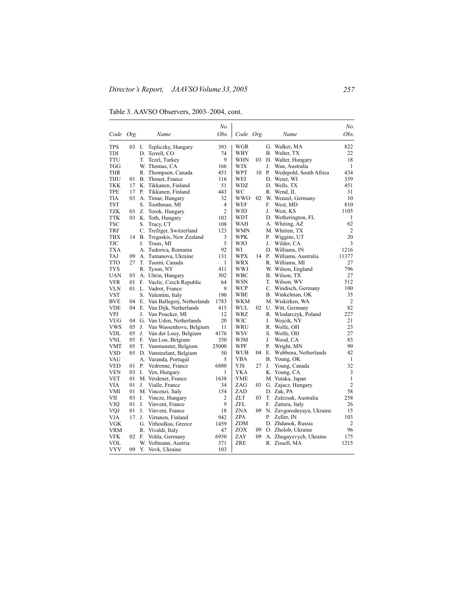Table 3. AAVSO Observers, 2003–2004, cont.

|            |    |    |                                                       | No.                     |            |    |    |                           | No.            |
|------------|----|----|-------------------------------------------------------|-------------------------|------------|----|----|---------------------------|----------------|
| Code Org.  |    |    | Name                                                  | Obs.                    | Code Org.  |    |    | Name                      | Obs.           |
| TPS        | 03 | Ι. | Tepliczky, Hungary                                    | 393                     | WGR        |    |    | G. Walker, MA             | 822            |
| TDI        |    | D. | Terrell, CO                                           | 74                      | WBY        |    |    | B. Walter, TX             | 22             |
| TTU        |    | T. | 9<br>Tezel, Turkey<br>WHN<br>03<br>H. Walter, Hungary |                         |            | 18 |    |                           |                |
| TGG        |    |    | W. Thomas, CA                                         | 166                     | WJX        |    | J. | Wan, Australia            | $\mathbf{1}$   |
| <b>THR</b> |    |    | R. Thompson, Canada                                   | 451                     | WPT        | 10 | Р. | Wedepohl, South Africa    | 434            |
| <b>THU</b> | 01 |    | B. Thouet, France                                     | 116                     | WEI        |    |    | D. Weier, WI              | 359            |
| <b>TKK</b> | 17 |    | K. Tikkanen, Finland                                  | 51                      | WDZ        |    |    | D. Wells, TX              | 451            |
| TPE        | 17 | Р. | Tikkanen, Finland                                     | 443                     | WС         |    |    | R. Wend, IL               | 31             |
| TIA        | 03 |    | A. Timar, Hungary                                     | 32                      | WWO        | 02 |    | W. Wenzel, Germany        | 10             |
| TST        |    |    | S. Toothman, MI                                       | $\overline{4}$          | WEF        |    | F. | West, MD                  | 810            |
| <b>TZK</b> | 03 |    | Z. Torok, Hungary                                     | $\overline{2}$          | WJD        |    | J. | West, KS                  | 1105           |
| <b>TTK</b> | 03 |    | K. Toth, Hungary                                      | 103                     | <b>WDT</b> |    |    | D. Wetherington, FL       | 1              |
| TSC        |    | S. | Tracy, CT                                             | 108                     | WAH        |    |    | A. Whiting, AZ            | 62             |
| <b>TRF</b> |    |    | C. Trefzger, Switzerland                              | 123                     | <b>WMN</b> |    |    | M. Whitten, TX            | 2              |
| TBX        |    |    | 14 B. Tregaskis, New Zealand                          | 3                       | WPK        |    | Р. | Wiggins, UT               | 20             |
| TJC        |    | J. | Truax, MI                                             | 5                       | WJO        |    | J. | Wilder, CA                | 3              |
| <b>TXA</b> |    |    | A. Tudorica, Romania                                  | 92                      | WI         |    |    | D. Williams, IN           | 1216           |
| <b>TAJ</b> | 09 |    | A. Tumanova, Ukraine                                  | 131                     | WPX        | 14 | Р. | Williams, Australia       | 11377          |
| <b>TTO</b> | 27 | T. | Tuomi, Canada                                         | $\mathbf{1}$            | WRX        |    |    | R. Williams, MI           | 27             |
| TYS        |    |    | R. Tyson, NY                                          | 411                     | WWJ        |    |    | W. Wilson, England        | 796            |
| <b>UAN</b> | 03 |    | A. Uhrin, Hungary                                     | 302                     | WBC        |    |    | B. Wilson, TX             | 27             |
| VFR        | 01 | F. | Vaclic, Czech Republic                                | 64                      | WSN        |    |    | T. Wilson, WV             | 512            |
| VLN        | 01 |    | L. Vadrot, France                                     | 9                       | WCP        |    |    | C. Windisch, Germany      | 100            |
| <b>VST</b> |    |    | S. Valentini, Italy                                   | 190                     | <b>WBE</b> |    |    | B. Winkelman, OK          | 35             |
| <b>BVE</b> | 04 |    | E. Van Ballegoij, Netherlands                         | 1783                    | WKM        |    |    | M. Wiskirken, WA          | $\overline{c}$ |
| VDE        | 04 |    | E. Van Dijk, Netherlands                              | 415                     | WUL        | 02 |    | U. Witt, Germany          | 82             |
| VPJ        |    | J. | Van Poucker, MI                                       | 12                      | WRZ        |    |    | R. Wlodarczyk, Poland     | 227            |
| <b>VUG</b> | 04 |    | G. Van Uden, Netherlands                              | 20                      | WJC        |    | J. | Wojcik, NY                | 21             |
| <b>VWS</b> | 05 | J. | Van Wassenhove, Belgium                               | 11                      | WRU        |    |    | R. Wolfe, OH              | 23             |
| <b>VDL</b> | 05 | J. | Van der Looy, Belgium                                 | 4176                    | WSV        |    | S. | Wolfe, OH                 | 27             |
| VNL        | 05 | F. | Van Loo, Belgium                                      | 350                     | WJM        |    | J. | Wood, CA                  | 83             |
| VMT        | 05 |    | T. Vanmunster, Belgium                                | 25000                   | WPF        |    | P. | Wright, MN                | 99             |
| <b>VSD</b> | 05 |    | D. Vansteelant, Belgium                               | 50                      | WUB        | 04 |    | E. Wubbena, Netherlands   | 42             |
| VAU        |    |    | A. Varanda, Portugal                                  | 5                       | YBA        |    |    | B. Young, OK              | 1              |
| <b>VED</b> | 01 | Р. | Vedrenne, France                                      | 6880                    | YJS        | 27 | J. | Young, Canada             | 32             |
| <b>VEN</b> | 03 | I. | Ven, Hungary                                          | 1                       | YKA        |    |    | K. Young, CA              | 3              |
| <b>VET</b> | 01 |    | M. Verdenet, France                                   | 1638                    | YME        |    |    | M. Yutaka, Japan          | 1              |
| <b>VIA</b> | 01 |    | J. Vialle, France                                     | 34                      | ZAG        | 03 |    | G. Zajacz, Hungary        | $\overline{c}$ |
| VMI        | 01 |    | M. Vincenzi, Italy                                    | 154                     | ZAD        |    |    | D. Zak, PA                | 58             |
| VII        | 03 | I. | Vincze, Hungary                                       | $\overline{\mathbf{c}}$ | ZLT        | 03 |    | T. Zalezsak, Australia    | 258            |
| VJQ        | 01 | J. | Vinvent, France                                       | 9                       | ZFL        |    | F. | Zattera, Italy            | 26             |
| VQJ        | 01 | L  | Vinvent, France                                       | 18                      | ZNA        | 09 |    | N. Zavgorodnyaya, Ukraine | 15             |
| <b>VJA</b> | 17 | J. | Virtanen, Finland                                     | 942                     | ZPA        |    | Р. | Zeller, IN                | 103            |
| VGK        |    |    | G. Vithoulkas, Greece                                 | 1459                    | ZDM        |    |    | D. Zhdanok, Russia        | 2              |
| <b>VRM</b> |    |    | R. Vivaldi, Italy                                     | 47                      | ZOX        | 09 |    | O. Zholob, Ukraine        | 96             |
| <b>VFK</b> | 02 | E. | Vohla, Germany                                        | 6950                    | ZAY        | 09 |    | A. Zhugayevych, Ukraine   | 175            |
| VOL        |    |    | W. Vollmann, Austria                                  | 371                     | ZRE        |    |    | R. Zissell, MA            | 1215           |
| <b>VYV</b> | 09 |    | Y. Vovk, Ukraine                                      | 103                     |            |    |    |                           |                |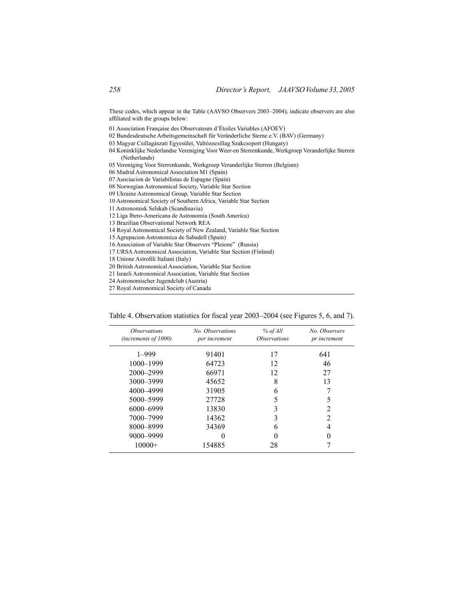These codes, which appear in the Table (AAVSO Observers 2003–2004), indicate observers are also affiliated with the groups below:

- 01 Association Française des Observateurs d'Étoiles Variables (AFOEV)
- 02 Bundesdeutsche Arbeitsgemeinschaft für Veränderliche Sterne e.V. (BAV) (Germany)
- 03 Magyar Csillagàszati Egyesület, Valtózocsillag Szakcsoport (Hungary)
- 04 Koninklijke Nederlandse Vereniging Voor Weer-en Sterrenkunde, Werkgroep Veranderlijke Sterren (Netherlands)
- 05 Vereniging Voor Sterrenkunde, Werkgroep Veranderlijke Sterren (Belgium)
- 06 Madrid Astronomical Association M1 (Spain)
- 07 Asociacion de Variabilistas de Espagne (Spain)
- 08 Norwegian Astronomical Society, Variable Star Section
- 09 Ukraine Astronomical Group, Variable Star Section
- 10 Astronomical Society of Southern Africa, Variable Star Section
- 11 Astronomisk Selskab (Scandinavia)
- 12 Liga Ibero-Americana de Astronomia (South America)
- 13 Brazilian Observational Network REA
- 14 Royal Astronomical Society of New Zealand, Variable Star Section
- 15 Agrupacion Astronomica de Sabadell (Spain)
- 16 Association of Variable Star Observers "Pleione" (Russia)
- 17 URSAAstronomical Association, Variable Star Section (Finland)
- 18 Unione Astrofili Italiani (Italy)
- 20 British Astronomical Association, Variable Star Section
- 21 Israeli Astronomical Association, Variable Star Section
- 24 Astronomischer Jugendclub (Austria)
- 27 Royal Astronomical Society of Canada

| Table 4. Observation statistics for fiscal year 2003–2004 (see Figures 5, 6, and 7). |  |  |  |  |
|--------------------------------------------------------------------------------------|--|--|--|--|
|                                                                                      |  |  |  |  |

| <i><b>Observations</b></i><br>(increments of 1000) | No. Observations<br>per increment | $%$ of All<br><i><b>Observations</b></i> | No. Observers<br>pr increment |
|----------------------------------------------------|-----------------------------------|------------------------------------------|-------------------------------|
| $1 - 999$                                          | 91401                             | 17                                       | 641                           |
| 1000-1999                                          | 64723                             | 12                                       | 46                            |
| 2000-2999                                          | 66971                             | 12                                       | 27                            |
| 3000-3999                                          | 45652                             | 8                                        | 13                            |
| 4000-4999                                          | 31905                             | 6                                        |                               |
| 5000-5999                                          | 27728                             | 5                                        | 5                             |
| 6000–6999                                          | 13830                             |                                          | 2                             |
| 7000-7999                                          | 14362                             |                                          | $\mathfrak{D}$                |
| 8000-8999                                          | 34369                             | 6                                        | 4                             |
| 9000-9999                                          |                                   |                                          | 0                             |
| $10000+$                                           | 154885                            | 28                                       |                               |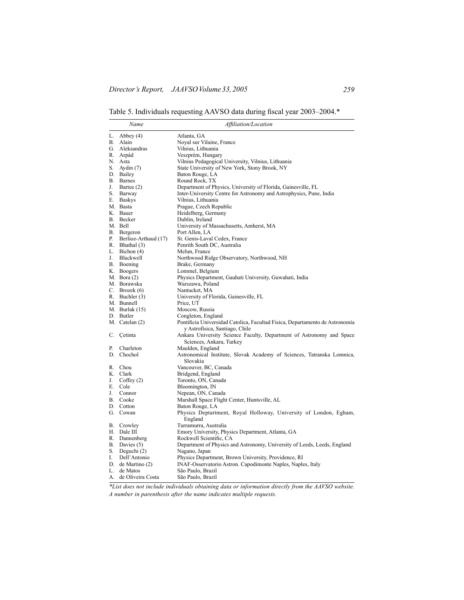Table 5. Individuals requesting AAVSO data during fiscal year 2003–2004.\*

|    | Name                 | Affiliation/Location                                                                                           |
|----|----------------------|----------------------------------------------------------------------------------------------------------------|
|    | L. Abbey $(4)$       | Atlanta, GA                                                                                                    |
|    | B. Alain             | Noyal sur Vilaine, France                                                                                      |
|    | G. Aleksandras       | Vilnius, Lithuania                                                                                             |
|    | R. Arpád             | Veszprém, Hungary                                                                                              |
|    | N. Asta              | Vilnius Pedagogical University, Vilnius, Lithuania                                                             |
|    | S. Aydin $(7)$       | State University of New York, Stony Brook, NY                                                                  |
|    | D. Bailey            | Baton Rouge, LA                                                                                                |
|    | B. Barnes            | Round Rock, TX                                                                                                 |
| J. | Bartee (2)           | Department of Physics, University of Florida, Gainesville, FL                                                  |
|    | S. Barway            | Inter-University Centre for Astronomy and Astrophysics, Pune, India                                            |
|    | E. Baskys            | Vilnius, Lithuania                                                                                             |
|    | M. Basta             | Prague, Czech Republic                                                                                         |
|    | K. Bauer             | Heidelberg, Germany                                                                                            |
|    | B. Becker            | Dublin, Ireland                                                                                                |
|    | M. Bell              | University of Massachusetts, Amherst, MA                                                                       |
|    | B. Bergeron          | Port Allen, LA                                                                                                 |
| Р. | Berlioz-Arthaud (17) | St. Genis-Laval Cedex, France                                                                                  |
|    | R. Bhathal (3)       | Penrith South DC, Australia                                                                                    |
|    | L. Bichon $(4)$      | Melun, France                                                                                                  |
| J. | Blackwell            | Northwood Ridge Observatory, Northwood, NH                                                                     |
|    | B. Boening           | Brake, Germany                                                                                                 |
|    | K. Boogers           | Lommel, Belgium                                                                                                |
|    | M. Bora (2)          | Physics Department, Gauhati University, Guwahati, India                                                        |
|    | M. Borawska          | Warszawa, Poland                                                                                               |
|    | C. Brozek $(6)$      | Nantucket, MA                                                                                                  |
|    | R. Buchler (3)       | University of Florida, Gainesville, FL                                                                         |
|    | M. Bunnell           | Price, UT                                                                                                      |
|    | M. Burlak (15)       | Moscow, Russia                                                                                                 |
|    | D. Butler            | Congleton, England                                                                                             |
|    | M. Catelan (2)       | Pontificia Universidad Catolica, Facultad Fisica, Departamento de Astronomía<br>y Astrofísica, Santiago, Chile |
|    | C. Cetinta           | Ankara University Science Faculty, Department of Astronomy and Space<br>Sciences, Ankara, Turkey               |
| Р. | Charleton            | Maulden, England                                                                                               |
|    | D. Chochol           | Astronomical Institute, Slovak Academy of Sciences, Tatranska Lomnica,                                         |
|    |                      | Slovakia                                                                                                       |
|    | R. Chou              | Vancouver, BC, Canada                                                                                          |
|    | K. Clark             | Bridgend, England                                                                                              |
| J. | Coffey $(2)$         | Toronto, ON, Canada                                                                                            |
|    | E. Cole              | Bloomington, IN                                                                                                |
| J. | Connor               | Nepean, ON, Canada                                                                                             |
|    | B. Cooke             | Marshall Space Flight Center, Huntsville, AL                                                                   |
|    | D. Cotton            | Baton Rouge, LA                                                                                                |
|    | G. Cowan             | Physics Deptartment, Royal Holloway, University of London, Egham,<br>England                                   |
|    | B. Crowley           | Turramurra, Australia                                                                                          |
|    | H. Dale III          | Emory University, Physics Department, Atlanta, GA                                                              |
|    | R. Dannenberg        | Rockwell Scientific, CA                                                                                        |
|    | B. Davies (5)        | Department of Physics and Astronomy, University of Leeds, Leeds, England                                       |
|    | S. Deguchi (2)       | Nagano, Japan                                                                                                  |
| I. | Dell'Antonio         | Physics Department, Brown University, Providence, RI                                                           |
|    | D. de Martino (2)    | INAF-Osservatorio Astron. Capodimonte Naples, Naples, Italy                                                    |
|    | L. de Matos          | São Paulo, Brazil                                                                                              |
|    | A. de Oliveira Costa | São Paulo, Brazil                                                                                              |

*\*List does not include individuals obtaining data or information directly from the AAVSO website. A number in parenthesis after the name indicates multiple requests.*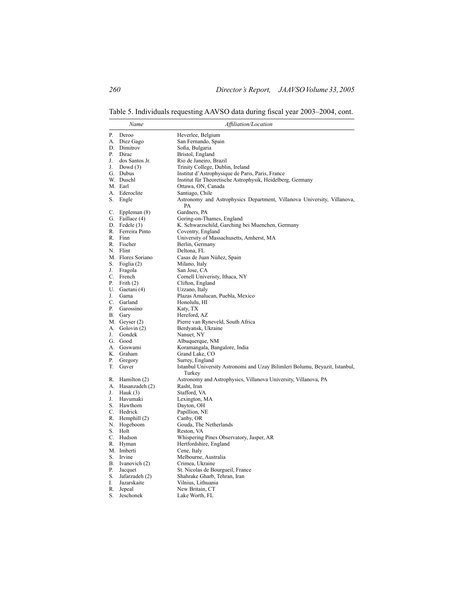Table 5. Individuals requesting AAVSO data during fiscal year 2003–2004, cont.

|          | Name                                 | Affiliation/Location                                                                           |
|----------|--------------------------------------|------------------------------------------------------------------------------------------------|
| Р.       | Deroo                                | Heverlee, Belgium                                                                              |
| А.       | Diez Gago                            | San Fernando, Spain                                                                            |
|          | D. Dimitrov                          | Sofia, Bulgaria                                                                                |
| P.       | Dirac                                | Bristol, England                                                                               |
| J.       | dos Santos Jr.                       | Rio de Janeiro, Brazil                                                                         |
| J.       | Dowd $(3)$                           | Trinity College, Dublin, Ireland                                                               |
|          | G. Dubus                             | Institut d'Astrophysique de Paris, Paris, France                                               |
|          | W. Duschl                            | Institut für Theoretische Astrophysik, Heidelberg, Germany                                     |
|          | M. Earl                              | Ottawa, ON, Canada                                                                             |
|          | A. Ederoclite                        | Santiago, Chile                                                                                |
| S.       | Engle                                | Astronomy and Astrophysics Department, Villanova University, Villanova,<br>PA                  |
| C.       | Eppleman (8)                         | Gardners, PA                                                                                   |
|          | G. Faillace (4)                      | Goring-on-Thames, England                                                                      |
|          | D. Fedele (3)                        | K. Schwarzschild, Garching bei Muenchen, Germany                                               |
|          | R. Ferreira Pinto                    | Coventry, England                                                                              |
|          | R. Finn                              | University of Massachusetts, Amherst, MA                                                       |
|          | R. Fischer                           | Berlin, Germany                                                                                |
|          | N. Flint                             | Deltona, FL                                                                                    |
|          | M. Flores Soriano                    | Casas de Juan Núñez, Spain                                                                     |
| S.       | Foglia (2)                           | Milano, Italy                                                                                  |
| J.       | Fragola                              | San Jose, CA                                                                                   |
| C.       | French                               | Cornell Univeristy, Ithaca, NY                                                                 |
| Р.       | Frith $(2)$                          | Clifton, England                                                                               |
|          | U. Gaetani (4)                       | Uzzano, Italy                                                                                  |
| J.       | Gama                                 | Plazas Amalucan, Puebla, Mexico                                                                |
| C.       | Garland                              | Honolulu, HI                                                                                   |
| P.       | Garossino                            | Katy, TX                                                                                       |
| В.       | Gary                                 | Hereford, AZ                                                                                   |
|          | M. Geyser (2)                        | Pierre van Ryneveld, South Africa                                                              |
| А.       | Golovin $(2)$                        | Berdyansk, Ukraine                                                                             |
| J.       | Gondek                               | Nanuet, NY                                                                                     |
|          | G. Good                              | Albuquerque, NM                                                                                |
|          | A. Goswami                           | Koramangala, Bangalore, India                                                                  |
|          | K. Graham                            | Grand Lake, CO                                                                                 |
| Р.<br>T. | Gregory<br>Guver                     | Surrey, England<br>Istanbul University Astronomi and Uzay Bilimleri Bolumu, Beyazit, Istanbul, |
|          |                                      | Turkey                                                                                         |
|          | R. Hamilton (2)<br>A. Hasanzadeh (2) | Astronomy and Astrophysics, Villanova University, Villanova, PA<br>Rasht, Iran                 |
| J.       | Hauk $(3)$                           |                                                                                                |
| J.       | Havumaki                             | Stafford, VA<br>Lexington, MA                                                                  |
| S.       | Hawthorn                             | Dayton, OH                                                                                     |
|          | C. Hedrick                           | Papillion, NE                                                                                  |
|          | R. Hemphill (2)                      | Canby, OR                                                                                      |
| N.       | Hogeboom                             | Gouda, The Netherlands                                                                         |
| S.       | Holt                                 | Reston, VA                                                                                     |
|          | C. Hudson                            | Whispering Pines Observatory, Jasper, AR                                                       |
| R.       | Hyman                                | Hertfordshire, England                                                                         |
|          | M. Imberti                           | Cene, Italy                                                                                    |
| S.       | Irvine                               | Melbourne, Australia                                                                           |
| В.       | Ivanovich (2)                        | Crimea, Ukraine                                                                                |
| Р.       | Jacquet                              | St. Nicolas de Bourgueil, France                                                               |
| S.       | Jafarzadeh (2)                       | Shahrake Gharb, Tehran, Iran                                                                   |
| I.       | Jazarskaite                          | Vilnius, Lithuania                                                                             |
| R.       | Jepeal                               | New Britain, CT                                                                                |
| S.       | Jeschonek                            | Lake Worth, FL                                                                                 |
|          |                                      |                                                                                                |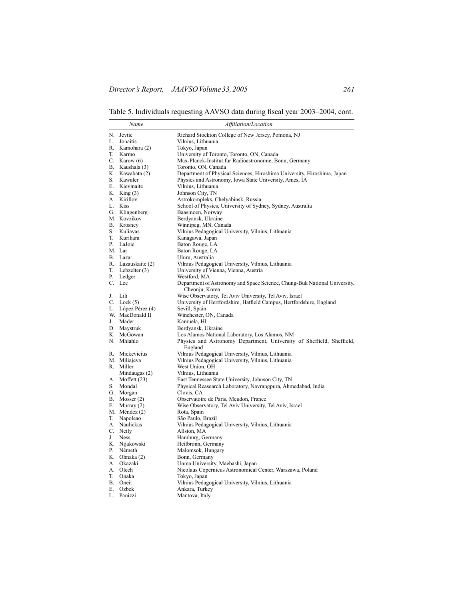Table 5. Individuals requesting AAVSO data during fiscal year 2003–2004, cont.

|    | Name                 | Affiliation/Location                                                                        |
|----|----------------------|---------------------------------------------------------------------------------------------|
|    | N. Jevtic            | Richard Stockton College of New Jersey, Pomona, NJ                                          |
|    | L. Jonaitis          | Vilnius, Lithuania                                                                          |
|    | R. Kamohara (2)      | Tokyo, Japan                                                                                |
|    | T. Karmo             | University of Toronto, Toronto, ON, Canada                                                  |
|    | C. Karow $(6)$       | Max-Planck-Institut für Radioastronomie, Bonn, Germany                                      |
|    | B. Kaushala (3)      | Toronto, ON, Canada                                                                         |
|    | K. Kawabata (2)      | Department of Physical Sciences, Hiroshima University, Hiroshima, Japan                     |
|    | S. Kawaler           | Physics and Astronomy, Iowa State University, Ames, IA                                      |
|    | E. Kievinaite        | Vilnius, Lithuania                                                                          |
|    | K. King (3)          | Johnson City, TN                                                                            |
|    | A. Kirillov          | Astrokompleks, Chelyabinsk, Russia                                                          |
|    | L. Kiss              | School of Physics, University of Sydney, Sydney, Australia                                  |
|    | G. Klingenberg       | Baasmoen, Norway                                                                            |
|    | M. Kovzikov          | Berdyansk, Ukraine                                                                          |
|    | B. Krosney           |                                                                                             |
|    | S. Kuliavas          | Winnipeg, MN, Canada<br>Vilnius Pedagogical University, Vilnius, Lithuania                  |
|    | T. Kurihara          | Kanagawa, Japan                                                                             |
| Р. | LaJoie               |                                                                                             |
|    |                      | Baton Rouge, LA                                                                             |
|    | M. Lar               | Baton Rouge, LA                                                                             |
|    | B. Lazar             | Uluru, Australia                                                                            |
|    | R. Lazauskaite (2)   | Vilnius Pedagogical University, Vilnius, Lithuania                                          |
|    | $T.$ Lebzelter $(3)$ | University of Vienna, Vienna, Austria                                                       |
|    | P. Ledger            | Westford, MA                                                                                |
|    | C. Lee               | Department of Astronomy and Space Science, Chung-Buk National University,<br>Cheonju, Korea |
|    | J. Lili              | Wise Observatory, Tel Aviv University, Tel Aviv, Israel                                     |
|    | $C.$ Lock $(5)$      | University of Hertfordshire, Hatfield Campus, Hertfordshire, England                        |
|    | L. López Pérez (4)   | Sevill, Spain                                                                               |
|    | W. MacDonald II      | Winchester, ON, Canada                                                                      |
|    | J. Mader             | Kamuela, HI                                                                                 |
|    | D. Maystruk          | Berdyansk, Ukraine                                                                          |
|    | K. McGowan           | Los Alamos National Laboratory, Los Alamos, NM                                              |
|    | N. Mhlahlo           | Physics and Astronomy Department, University of Sheffield, Sheffield,<br>England            |
|    | R. Mickevicius       | Vilnius Pedagogical University, Vilnius, Lithuania                                          |
|    | M. Miliajeva         | Vilnius Pedagogical University, Vilnius, Lithuania                                          |
|    | R. Miller            | West Union, OH                                                                              |
|    | Mindaugas (2)        | Vilnius, Lithuania                                                                          |
|    | A. Moffett (23)      | East Tennessee State University, Johnson City, TN                                           |
| S. | Mondal               | Physical Reasearch Laboratory, Navrangpura, Ahmedabad, India                                |
|    | G. Morgan            | Clovis, CA                                                                                  |
|    | B. Mosser $(2)$      | Observatoire de Paris, Meudon, France                                                       |
| E. | Murray $(2)$         | Wise Observatory, Tel Aviv University, Tel Aviv, Israel                                     |
|    | M. Méndez (2)        | Rota, Spain                                                                                 |
|    | T. Napoleao          | São Paulo, Brazil                                                                           |
|    | A. Naulickas         | Vilnius Pedagogical University, Vilnius, Lithuania                                          |
|    | C. Neily             | Allston, MA                                                                                 |
| J. | <b>Ness</b>          | Hamburg, Germany                                                                            |
|    | K. Nijakowski        | Heilbronn, Germany                                                                          |
| Р. | Németh               | Malomsok, Hungary                                                                           |
|    | K. Ohnaka (2)        | Bonn, Germany                                                                               |
|    | A. Okazaki           | Unma University, Maebashi, Japan                                                            |
|    | A. Olech             | Nicolaus Copernicus Astronomical Center, Warszawa, Poland                                   |
| T. | Onaka                | Tokyo, Japan                                                                                |
|    | B. Oneit             | Vilnius Pedagogical University, Vilnius, Lithuania                                          |
|    | E. Ozbek             | Ankara, Turkey                                                                              |
| L. | Panizzi              | Mantova, Italy                                                                              |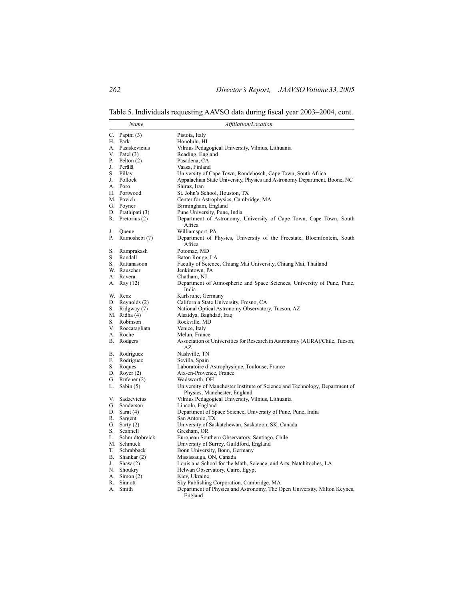Table 5. Individuals requesting AAVSO data during fiscal year 2003–2004, cont.

|    | Name                   | Affiliation/Location                                                                                        |
|----|------------------------|-------------------------------------------------------------------------------------------------------------|
|    | C. Papini $(3)$        | Pistoia, Italy                                                                                              |
|    | H. Park                | Honolulu, HI                                                                                                |
|    | A. Pasiskevicius       | Vilnius Pedagogical University, Vilnius, Lithuania                                                          |
|    | V. Patel $(3)$         | Reading, England                                                                                            |
|    | P. Pelton $(2)$        | Pasadena, CA                                                                                                |
| J. | Perälä                 | Vaasa, Finland                                                                                              |
|    | S. Pillay              | University of Cape Town, Rondebosch, Cape Town, South Africa                                                |
|    | J. Pollock             | Appalachian State University, Physics and Astronomy Department, Boone, NC                                   |
|    | A. Poro                | Shiraz, Iran                                                                                                |
|    | H. Portwood            | St. John's School, Houston, TX                                                                              |
|    | M. Povich              | Center for Astrophysics, Cambridge, MA                                                                      |
|    | G. Poyner              | Birmingham, England                                                                                         |
|    | D. Prathipati (3)      | Pune University, Pune, India                                                                                |
|    | R. Pretorius (2)       | Department of Astronomy, University of Cape Town, Cape Town, South<br>Africa                                |
| J. | Queue                  | Williamsport, PA                                                                                            |
| Р. | Ramoshebi (7)          | Department of Physics, University of the Freestate, Bloemfontein, South<br>Africa                           |
|    | S. Ramprakash          | Potomac, MD                                                                                                 |
|    | S. Randall             | Baton Rouge, LA                                                                                             |
|    | S. Rattanasoon         | Faculty of Science, Chiang Mai University, Chiang Mai, Thailand                                             |
|    | W. Rauscher            | Jenkintown, PA                                                                                              |
|    | A. Ravera              | Chatham, NJ                                                                                                 |
|    | A. Ray (12)            | Department of Atmospheric and Space Sciences, University of Pune, Pune,<br>India                            |
|    | W. Renz                | Karlsruhe, Germany                                                                                          |
|    | D. Reynolds $(2)$      | California State University, Fresno, CA                                                                     |
|    | S. Ridgway (7)         | National Optical Astronomy Observatory, Tucson, AZ                                                          |
|    | M. Ridha $(4)$         | Alsaidya, Baghdad, Iraq                                                                                     |
|    | S. Robinson            | Rockville, MD                                                                                               |
|    | V. Roccatagliata       | Venice, Italy                                                                                               |
|    | A. Roche               | Melun, France                                                                                               |
|    | B. Rodgers             | Association of Universities for Research in Astronomy (AURA)/Chile, Tucson,<br>AZ                           |
|    | B. Rodriguez           | Nashville, TN                                                                                               |
|    | F. Rodriguez           | Sevilla, Spain                                                                                              |
|    | S. Roques              | Laboratoire d'Astrophysique, Toulouse, France                                                               |
|    | D. Royer $(2)$         | Aix-en-Provence, France                                                                                     |
|    | G. Rufener (2)         | Wadsworth, OH                                                                                               |
|    | L. Sabin $(5)$         | University of Manchester Institute of Science and Technology, Department of<br>Physics, Manchester, England |
|    | V. Sadzevicius         | Vilnius Pedagogical University, Vilnius, Lithuania                                                          |
|    | G. Sanderson           | Lincoln, England                                                                                            |
|    | D. Sarat $(4)$         | Department of Space Science, University of Pune, Pune, India                                                |
|    | R. Sargent             | San Antonio, TX                                                                                             |
|    | G. Sarty $(2)$         | University of Saskatchewan, Saskatoon, SK, Canada                                                           |
|    | S. Scannell            | Gresham, OR                                                                                                 |
|    | L. Schmidtobreick      | European Southern Observatory, Santiago, Chile                                                              |
|    | M. Schmuck             | University of Surrey, Guildford, England                                                                    |
|    | T. Schrabback          | Bonn University, Bonn, Germany                                                                              |
|    | B. Shankar (2)         | Mississauga, ON, Canada                                                                                     |
| J. | Shaw $(2)$             | Louisiana School for the Math, Science, and Arts, Natchitoches, LA                                          |
|    | N. Shoukry             | Helwan Observatory, Cairo, Egypt                                                                            |
|    | A. Simon $(2)$         | Kiev, Ukraine                                                                                               |
|    | R. Sinnott<br>A. Smith | Sky Publishing Corporation, Cambridge, MA                                                                   |
|    |                        | Department of Physics and Astronomy, The Open University, Milton Keynes,<br>England                         |